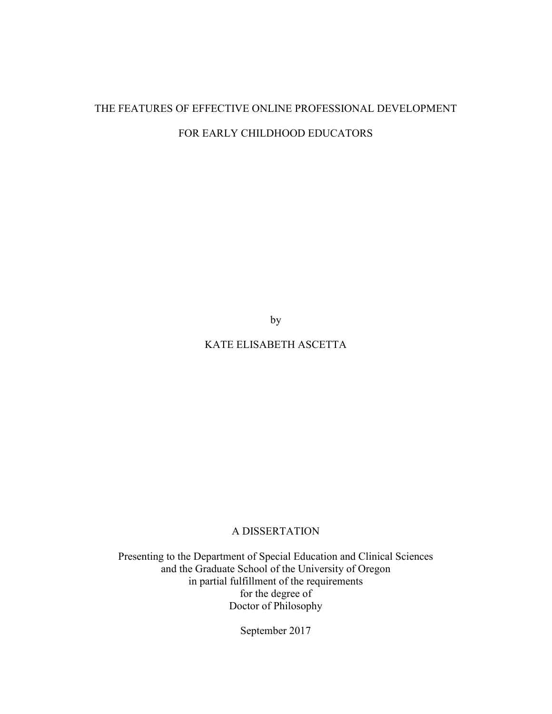# THE FEATURES OF EFFECTIVE ONLINE PROFESSIONAL DEVELOPMENT FOR EARLY CHILDHOOD EDUCATORS

by

## KATE ELISABETH ASCETTA

## A DISSERTATION

Presenting to the Department of Special Education and Clinical Sciences and the Graduate School of the University of Oregon in partial fulfillment of the requirements for the degree of Doctor of Philosophy

September 2017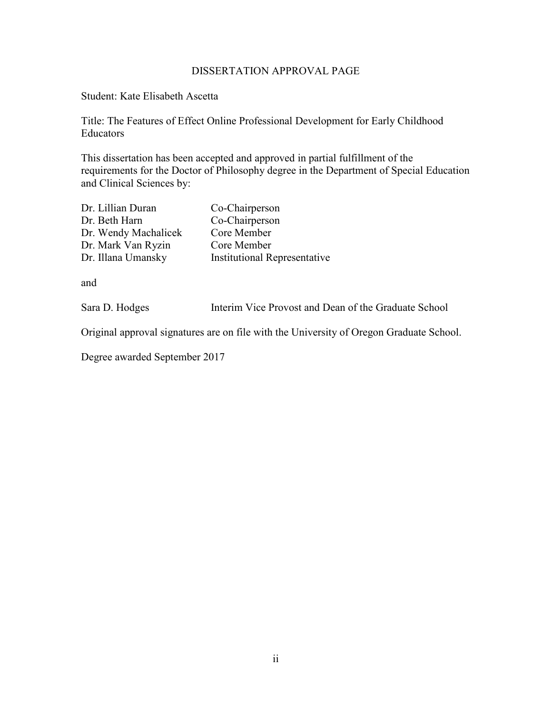## DISSERTATION APPROVAL PAGE

Student: Kate Elisabeth Ascetta

Title: The Features of Effect Online Professional Development for Early Childhood Educators

This dissertation has been accepted and approved in partial fulfillment of the requirements for the Doctor of Philosophy degree in the Department of Special Education and Clinical Sciences by:

| Dr. Lillian Duran    | Co-Chairperson                      |
|----------------------|-------------------------------------|
| Dr. Beth Harn        | Co-Chairperson                      |
| Dr. Wendy Machalicek | Core Member                         |
| Dr. Mark Van Ryzin   | Core Member                         |
| Dr. Illana Umansky   | <b>Institutional Representative</b> |

and

|  | Sara D. Hodges |  | Interim Vice Provost and Dean of the Graduate School |
|--|----------------|--|------------------------------------------------------|
|--|----------------|--|------------------------------------------------------|

Original approval signatures are on file with the University of Oregon Graduate School.

Degree awarded September 2017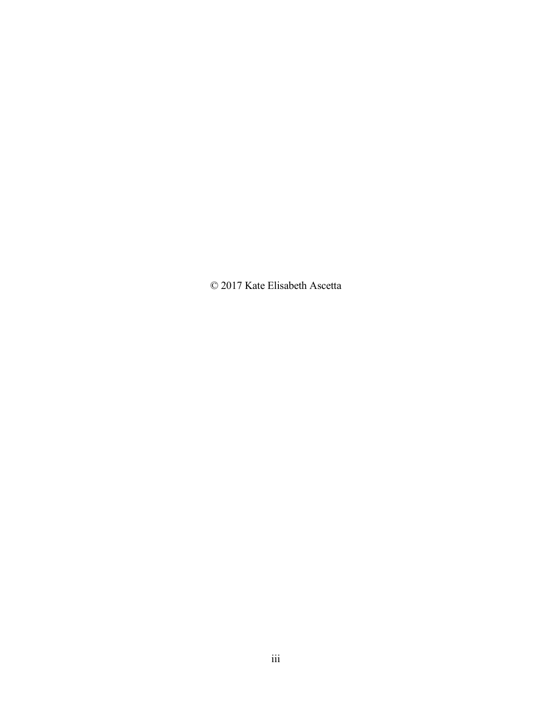© 2017 Kate Elisabeth Ascetta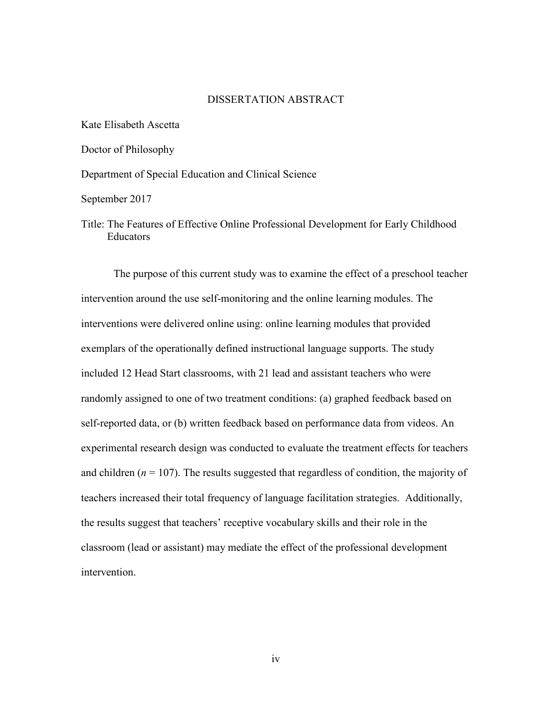### DISSERTATION ABSTRACT

Kate Elisabeth Ascetta Doctor of Philosophy Department of Special Education and Clinical Science

September 2017

Title: The Features of Effective Online Professional Development for Early Childhood Educators

 The purpose of this current study was to examine the effect of a preschool teacher intervention around the use self-monitoring and the online learning modules. The interventions were delivered online using: online learning modules that provided exemplars of the operationally defined instructional language supports. The study included 12 Head Start classrooms, with 21 lead and assistant teachers who were randomly assigned to one of two treatment conditions: (a) graphed feedback based on self-reported data, or (b) written feedback based on performance data from videos. An experimental research design was conducted to evaluate the treatment effects for teachers and children ( $n = 107$ ). The results suggested that regardless of condition, the majority of teachers increased their total frequency of language facilitation strategies. Additionally, the results suggest that teachers' receptive vocabulary skills and their role in the classroom (lead or assistant) may mediate the effect of the professional development intervention.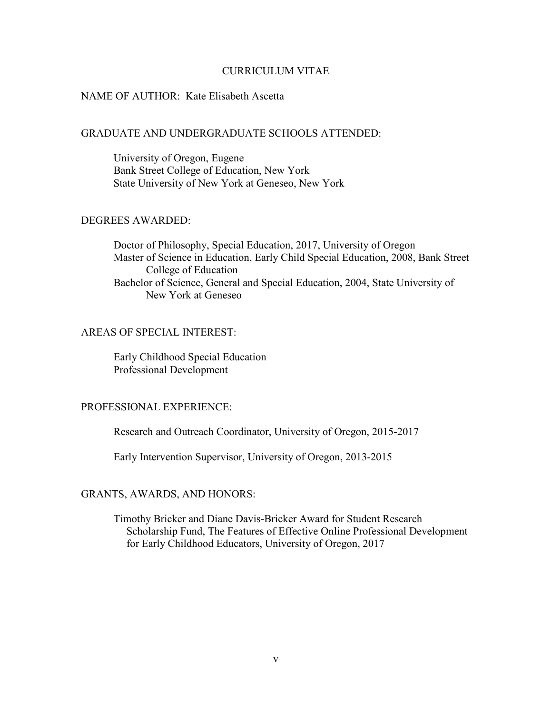#### CURRICULUM VITAE

### NAME OF AUTHOR: Kate Elisabeth Ascetta

### GRADUATE AND UNDERGRADUATE SCHOOLS ATTENDED:

 University of Oregon, Eugene Bank Street College of Education, New York State University of New York at Geneseo, New York

## DEGREES AWARDED:

 Doctor of Philosophy, Special Education, 2017, University of Oregon Master of Science in Education, Early Child Special Education, 2008, Bank Street College of Education Bachelor of Science, General and Special Education, 2004, State University of New York at Geneseo

### AREAS OF SPECIAL INTEREST:

 Early Childhood Special Education Professional Development

### PROFESSIONAL EXPERIENCE:

Research and Outreach Coordinator, University of Oregon, 2015-2017

Early Intervention Supervisor, University of Oregon, 2013-2015

### GRANTS, AWARDS, AND HONORS:

 Timothy Bricker and Diane Davis-Bricker Award for Student Research Scholarship Fund, The Features of Effective Online Professional Development for Early Childhood Educators, University of Oregon, 2017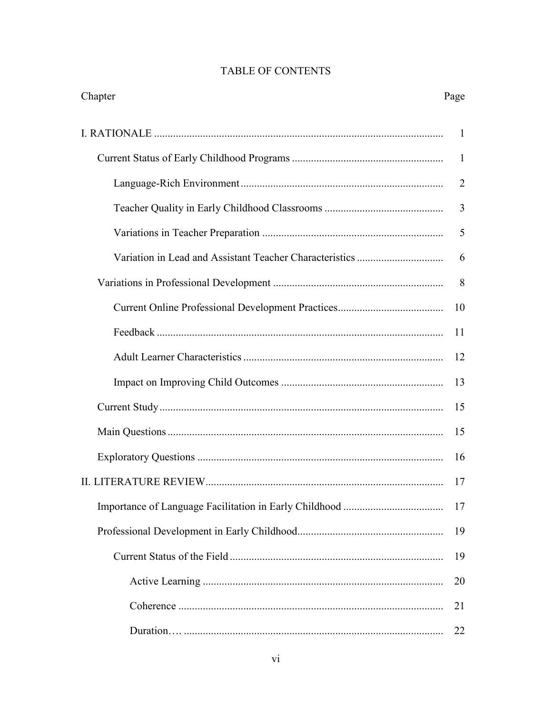| Chapter | Page           |
|---------|----------------|
|         | -1             |
|         | $\mathbf{1}$   |
|         | $\overline{2}$ |
|         | 3              |
|         | 5              |
|         | 6              |
|         | 8              |
|         | 10             |
|         | 11             |
|         | 12             |
|         | 13             |
|         | 15             |
|         | 15             |
|         | 16             |
|         | 17             |
|         | 17             |
|         | 19             |
|         | 19             |
|         | 20             |
|         | 21             |
|         | 22             |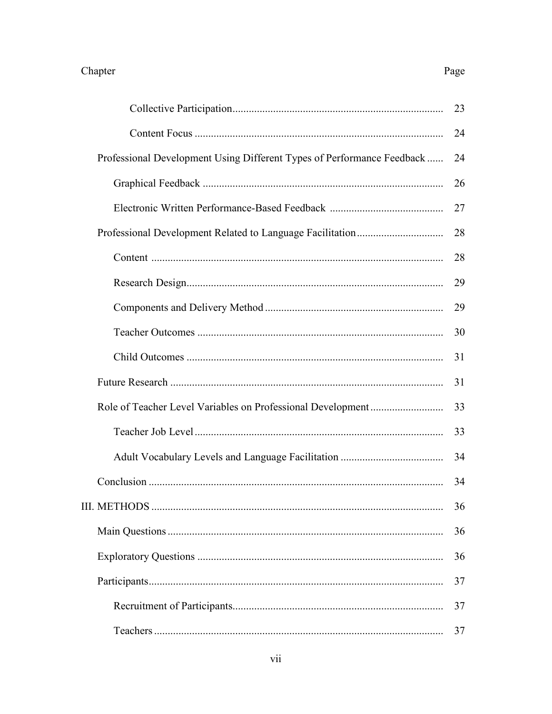|                                                                        | 23 |
|------------------------------------------------------------------------|----|
|                                                                        | 24 |
| Professional Development Using Different Types of Performance Feedback | 24 |
|                                                                        | 26 |
|                                                                        | 27 |
|                                                                        | 28 |
|                                                                        | 28 |
|                                                                        | 29 |
|                                                                        | 29 |
|                                                                        | 30 |
|                                                                        | 31 |
|                                                                        | 31 |
|                                                                        | 33 |
|                                                                        | 33 |
|                                                                        | 34 |
|                                                                        | 34 |
|                                                                        | 36 |
|                                                                        | 36 |
|                                                                        | 36 |
|                                                                        | 37 |
|                                                                        | 37 |
|                                                                        | 37 |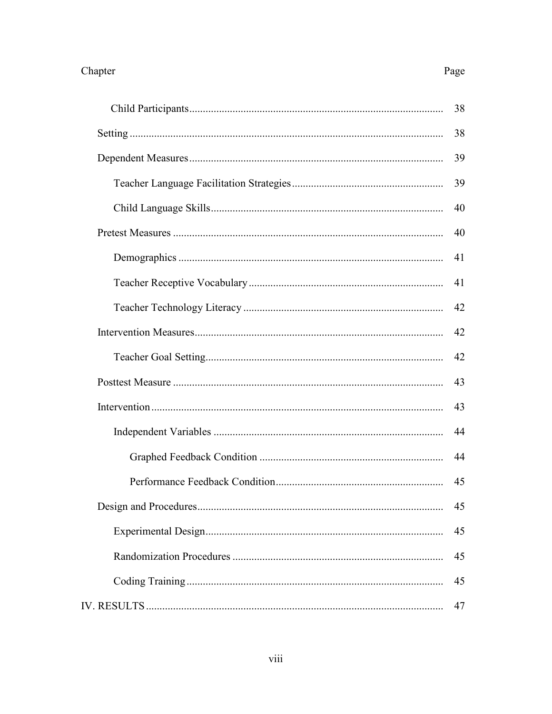| 38 |
|----|
| 38 |
| 39 |
| 39 |
| 40 |
| 40 |
| 41 |
| 41 |
| 42 |
| 42 |
| 42 |
| 43 |
| 43 |
| 44 |
| 44 |
| 45 |
| 45 |
| 45 |
| 45 |
| 45 |
| 47 |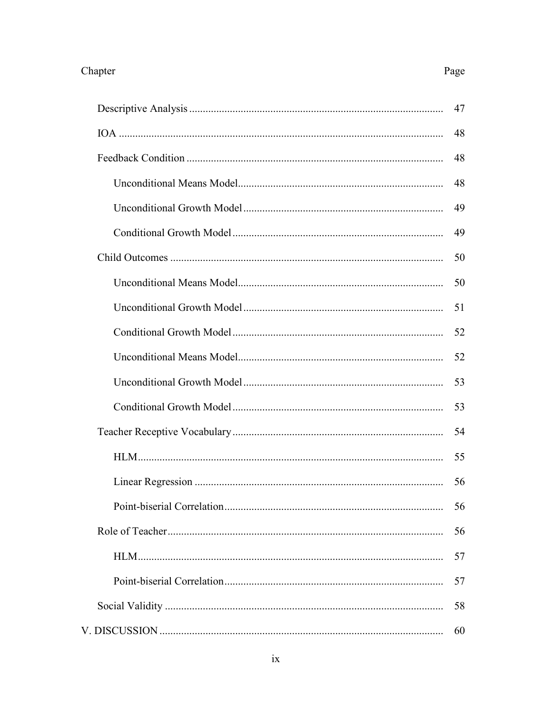|                            | 47 |
|----------------------------|----|
|                            | 48 |
|                            | 48 |
|                            | 48 |
|                            | 49 |
|                            | 49 |
|                            | 50 |
|                            | 50 |
|                            | 51 |
|                            | 52 |
|                            | 52 |
|                            | 53 |
|                            | 53 |
|                            | 54 |
|                            | 55 |
|                            | 56 |
| Point-biserial Correlation | 56 |
|                            | 56 |
|                            | 57 |
|                            | 57 |
|                            | 58 |
|                            | 60 |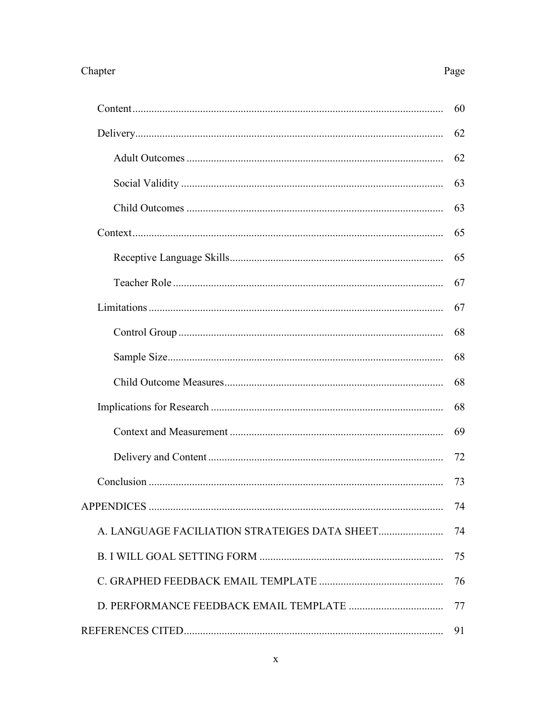| 60 |
|----|
| 62 |
| 62 |
| 63 |
| 63 |
| 65 |
| 65 |
| 67 |
| 67 |
| 68 |
| 68 |
| 68 |
| 68 |
| 69 |
| 72 |
| 73 |
| 74 |
| 74 |
| 75 |
| 76 |
| 77 |
| 91 |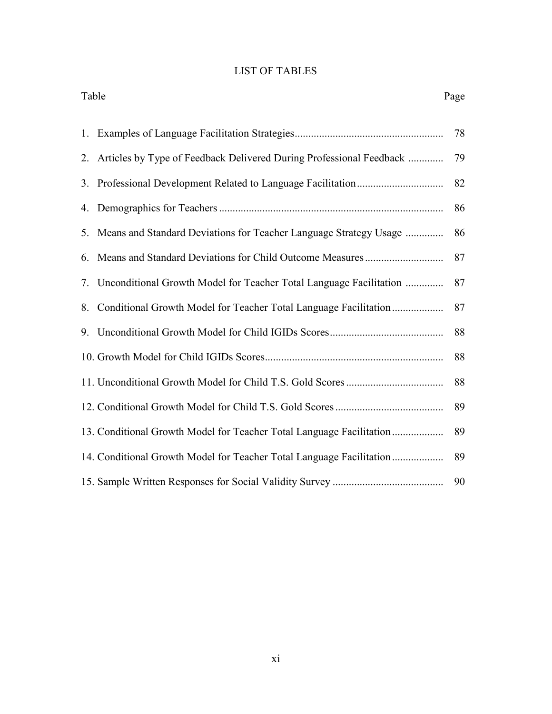# LIST OF TABLES

| Table |                                                                       | Page |
|-------|-----------------------------------------------------------------------|------|
|       |                                                                       | 78   |
| 2.    | Articles by Type of Feedback Delivered During Professional Feedback   | 79   |
| 3.    |                                                                       | 82   |
|       |                                                                       | 86   |
| 5.    | Means and Standard Deviations for Teacher Language Strategy Usage     | 86   |
| 6.    |                                                                       | 87   |
|       | 7. Unconditional Growth Model for Teacher Total Language Facilitation | 87   |
| 8.    | Conditional Growth Model for Teacher Total Language Facilitation      | 87   |
|       |                                                                       | 88   |
|       |                                                                       | 88   |
|       |                                                                       | 88   |
|       |                                                                       | 89   |
|       | 13. Conditional Growth Model for Teacher Total Language Facilitation  | 89   |
|       | 14. Conditional Growth Model for Teacher Total Language Facilitation  | 89   |
|       |                                                                       | 90   |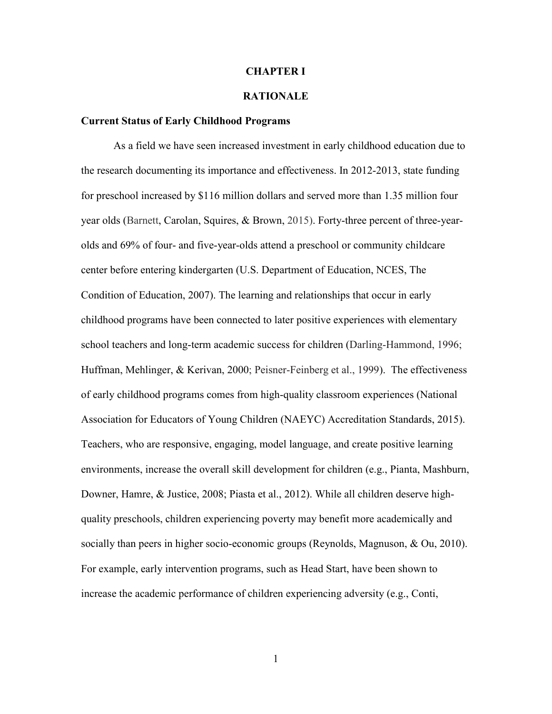#### **CHAPTER I**

### **RATIONALE**

#### **Current Status of Early Childhood Programs**

As a field we have seen increased investment in early childhood education due to the research documenting its importance and effectiveness. In 2012-2013, state funding for preschool increased by \$116 million dollars and served more than 1.35 million four year olds (Barnett, Carolan, Squires, & Brown, 2015). Forty-three percent of three-yearolds and 69% of four- and five-year-olds attend a preschool or community childcare center before entering kindergarten (U.S. Department of Education, NCES, The Condition of Education, 2007). The learning and relationships that occur in early childhood programs have been connected to later positive experiences with elementary school teachers and long-term academic success for children (Darling-Hammond, 1996; Huffman, Mehlinger, & Kerivan, 2000; Peisner-Feinberg et al., 1999). The effectiveness of early childhood programs comes from high-quality classroom experiences (National Association for Educators of Young Children (NAEYC) Accreditation Standards, 2015). Teachers, who are responsive, engaging, model language, and create positive learning environments, increase the overall skill development for children (e.g., Pianta, Mashburn, Downer, Hamre, & Justice, 2008; Piasta et al., 2012). While all children deserve highquality preschools, children experiencing poverty may benefit more academically and socially than peers in higher socio-economic groups (Reynolds, Magnuson, & Ou, 2010). For example, early intervention programs, such as Head Start, have been shown to increase the academic performance of children experiencing adversity (e.g., Conti,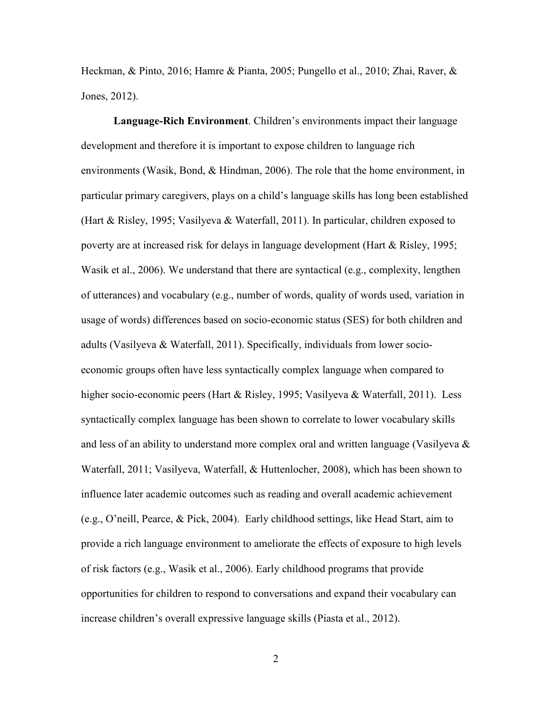Heckman, & Pinto, 2016; Hamre & Pianta, 2005; Pungello et al., 2010; Zhai, Raver, & Jones, 2012).

**Language-Rich Environment**. Children's environments impact their language development and therefore it is important to expose children to language rich environments (Wasik, Bond, & Hindman, 2006). The role that the home environment, in particular primary caregivers, plays on a child's language skills has long been established (Hart & Risley, 1995; Vasilyeva & Waterfall, 2011). In particular, children exposed to poverty are at increased risk for delays in language development (Hart & Risley, 1995; Wasik et al., 2006). We understand that there are syntactical (e.g., complexity, lengthen of utterances) and vocabulary (e.g., number of words, quality of words used, variation in usage of words) differences based on socio-economic status (SES) for both children and adults (Vasilyeva & Waterfall, 2011). Specifically, individuals from lower socioeconomic groups often have less syntactically complex language when compared to higher socio-economic peers (Hart & Risley, 1995; Vasilyeva & Waterfall, 2011). Less syntactically complex language has been shown to correlate to lower vocabulary skills and less of an ability to understand more complex oral and written language (Vasilyeva  $\&$ Waterfall, 2011; Vasilyeva, Waterfall, & Huttenlocher, 2008), which has been shown to influence later academic outcomes such as reading and overall academic achievement (e.g., O'neill, Pearce, & Pick, 2004). Early childhood settings, like Head Start, aim to provide a rich language environment to ameliorate the effects of exposure to high levels of risk factors (e.g., Wasik et al., 2006). Early childhood programs that provide opportunities for children to respond to conversations and expand their vocabulary can increase children's overall expressive language skills (Piasta et al., 2012).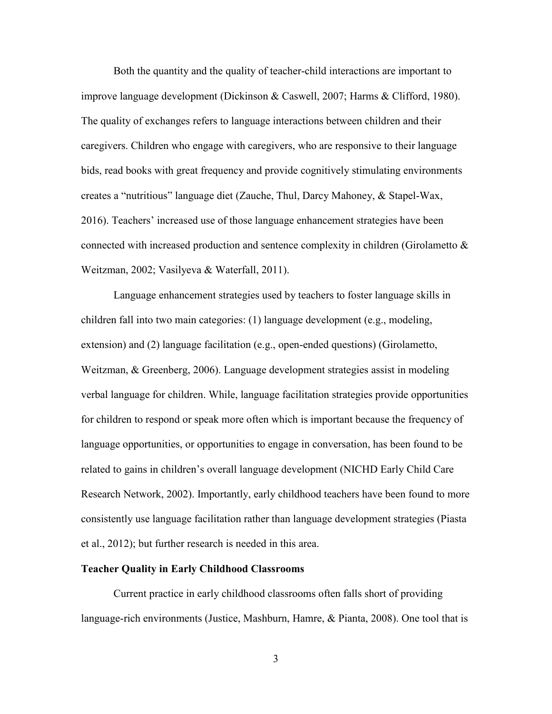Both the quantity and the quality of teacher-child interactions are important to improve language development (Dickinson & Caswell, 2007; Harms & Clifford, 1980). The quality of exchanges refers to language interactions between children and their caregivers. Children who engage with caregivers, who are responsive to their language bids, read books with great frequency and provide cognitively stimulating environments creates a "nutritious" language diet (Zauche, Thul, Darcy Mahoney, & Stapel-Wax, 2016). Teachers' increased use of those language enhancement strategies have been connected with increased production and sentence complexity in children (Girolametto & Weitzman, 2002; Vasilyeva & Waterfall, 2011).

Language enhancement strategies used by teachers to foster language skills in children fall into two main categories: (1) language development (e.g., modeling, extension) and (2) language facilitation (e.g., open-ended questions) (Girolametto, Weitzman, & Greenberg, 2006). Language development strategies assist in modeling verbal language for children. While, language facilitation strategies provide opportunities for children to respond or speak more often which is important because the frequency of language opportunities, or opportunities to engage in conversation, has been found to be related to gains in children's overall language development (NICHD Early Child Care Research Network, 2002). Importantly, early childhood teachers have been found to more consistently use language facilitation rather than language development strategies (Piasta et al., 2012); but further research is needed in this area.

### **Teacher Quality in Early Childhood Classrooms**

 Current practice in early childhood classrooms often falls short of providing language-rich environments (Justice, Mashburn, Hamre, & Pianta, 2008). One tool that is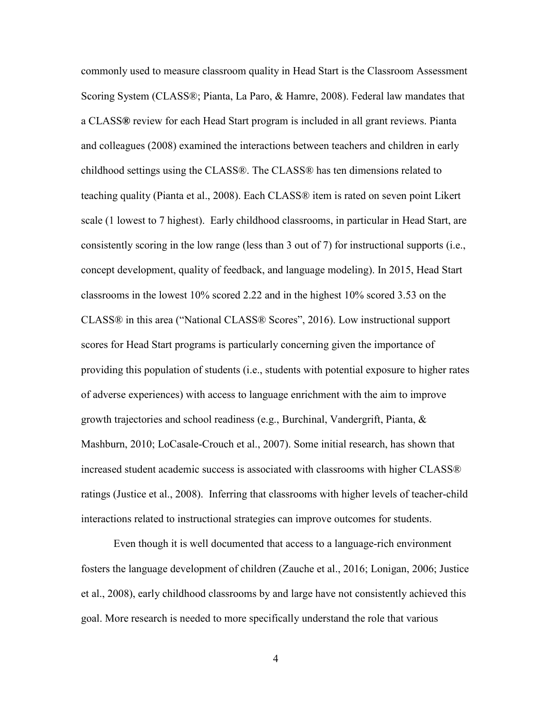commonly used to measure classroom quality in Head Start is the Classroom Assessment Scoring System (CLASS®; Pianta, La Paro, & Hamre, 2008). Federal law mandates that a CLASS**®** review for each Head Start program is included in all grant reviews. Pianta and colleagues (2008) examined the interactions between teachers and children in early childhood settings using the CLASS®. The CLASS® has ten dimensions related to teaching quality (Pianta et al., 2008). Each CLASS® item is rated on seven point Likert scale (1 lowest to 7 highest). Early childhood classrooms, in particular in Head Start, are consistently scoring in the low range (less than 3 out of 7) for instructional supports (i.e., concept development, quality of feedback, and language modeling). In 2015, Head Start classrooms in the lowest 10% scored 2.22 and in the highest 10% scored 3.53 on the CLASS® in this area ("National CLASS® Scores", 2016). Low instructional support scores for Head Start programs is particularly concerning given the importance of providing this population of students (i.e., students with potential exposure to higher rates of adverse experiences) with access to language enrichment with the aim to improve growth trajectories and school readiness (e.g., Burchinal, Vandergrift, Pianta, & Mashburn, 2010; LoCasale-Crouch et al., 2007). Some initial research, has shown that increased student academic success is associated with classrooms with higher CLASS® ratings (Justice et al., 2008). Inferring that classrooms with higher levels of teacher-child interactions related to instructional strategies can improve outcomes for students.

 Even though it is well documented that access to a language-rich environment fosters the language development of children (Zauche et al., 2016; Lonigan, 2006; Justice et al., 2008), early childhood classrooms by and large have not consistently achieved this goal. More research is needed to more specifically understand the role that various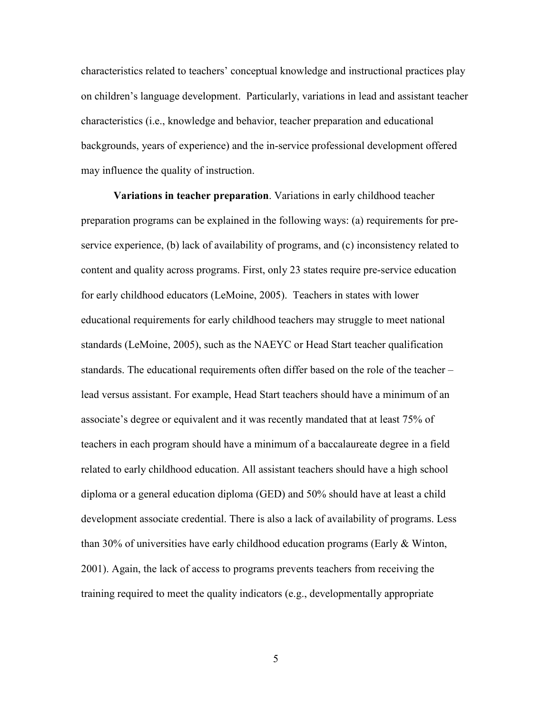characteristics related to teachers' conceptual knowledge and instructional practices play on children's language development. Particularly, variations in lead and assistant teacher characteristics (i.e., knowledge and behavior, teacher preparation and educational backgrounds, years of experience) and the in-service professional development offered may influence the quality of instruction.

**Variations in teacher preparation**. Variations in early childhood teacher preparation programs can be explained in the following ways: (a) requirements for preservice experience, (b) lack of availability of programs, and (c) inconsistency related to content and quality across programs. First, only 23 states require pre-service education for early childhood educators (LeMoine, 2005). Teachers in states with lower educational requirements for early childhood teachers may struggle to meet national standards (LeMoine, 2005), such as the NAEYC or Head Start teacher qualification standards. The educational requirements often differ based on the role of the teacher – lead versus assistant. For example, Head Start teachers should have a minimum of an associate's degree or equivalent and it was recently mandated that at least 75% of teachers in each program should have a minimum of a baccalaureate degree in a field related to early childhood education. All assistant teachers should have a high school diploma or a general education diploma (GED) and 50% should have at least a child development associate credential. There is also a lack of availability of programs. Less than 30% of universities have early childhood education programs (Early & Winton, 2001). Again, the lack of access to programs prevents teachers from receiving the training required to meet the quality indicators (e.g., developmentally appropriate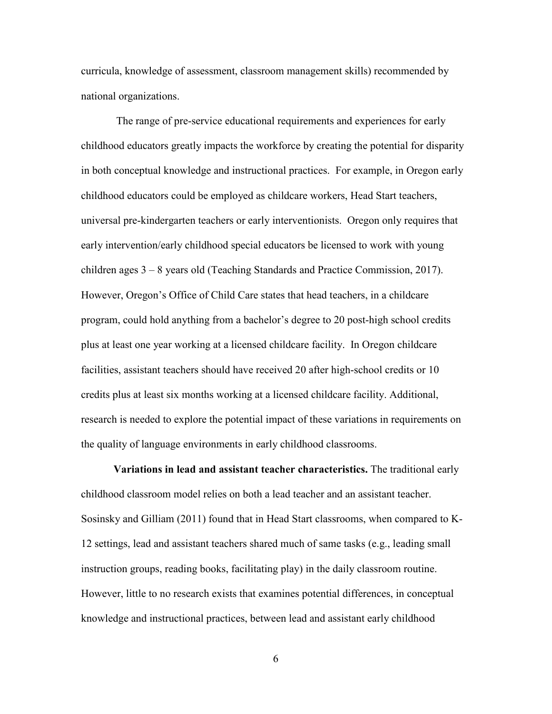curricula, knowledge of assessment, classroom management skills) recommended by national organizations.

 The range of pre-service educational requirements and experiences for early childhood educators greatly impacts the workforce by creating the potential for disparity in both conceptual knowledge and instructional practices. For example, in Oregon early childhood educators could be employed as childcare workers, Head Start teachers, universal pre-kindergarten teachers or early interventionists. Oregon only requires that early intervention/early childhood special educators be licensed to work with young children ages 3 – 8 years old (Teaching Standards and Practice Commission, 2017). However, Oregon's Office of Child Care states that head teachers, in a childcare program, could hold anything from a bachelor's degree to 20 post-high school credits plus at least one year working at a licensed childcare facility. In Oregon childcare facilities, assistant teachers should have received 20 after high-school credits or 10 credits plus at least six months working at a licensed childcare facility. Additional, research is needed to explore the potential impact of these variations in requirements on the quality of language environments in early childhood classrooms.

**Variations in lead and assistant teacher characteristics.** The traditional early childhood classroom model relies on both a lead teacher and an assistant teacher. Sosinsky and Gilliam (2011) found that in Head Start classrooms, when compared to K-12 settings, lead and assistant teachers shared much of same tasks (e.g., leading small instruction groups, reading books, facilitating play) in the daily classroom routine. However, little to no research exists that examines potential differences, in conceptual knowledge and instructional practices, between lead and assistant early childhood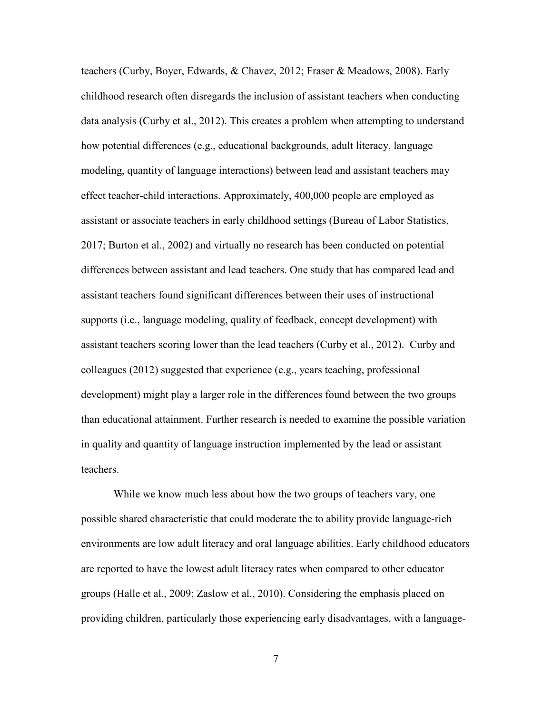teachers (Curby, Boyer, Edwards, & Chavez, 2012; Fraser & Meadows, 2008). Early childhood research often disregards the inclusion of assistant teachers when conducting data analysis (Curby et al., 2012). This creates a problem when attempting to understand how potential differences (e.g., educational backgrounds, adult literacy, language modeling, quantity of language interactions) between lead and assistant teachers may effect teacher-child interactions. Approximately, 400,000 people are employed as assistant or associate teachers in early childhood settings (Bureau of Labor Statistics, 2017; Burton et al., 2002) and virtually no research has been conducted on potential differences between assistant and lead teachers. One study that has compared lead and assistant teachers found significant differences between their uses of instructional supports (i.e., language modeling, quality of feedback, concept development) with assistant teachers scoring lower than the lead teachers (Curby et al., 2012). Curby and colleagues (2012) suggested that experience (e.g., years teaching, professional development) might play a larger role in the differences found between the two groups than educational attainment. Further research is needed to examine the possible variation in quality and quantity of language instruction implemented by the lead or assistant teachers.

 While we know much less about how the two groups of teachers vary, one possible shared characteristic that could moderate the to ability provide language-rich environments are low adult literacy and oral language abilities. Early childhood educators are reported to have the lowest adult literacy rates when compared to other educator groups (Halle et al., 2009; Zaslow et al., 2010). Considering the emphasis placed on providing children, particularly those experiencing early disadvantages, with a language-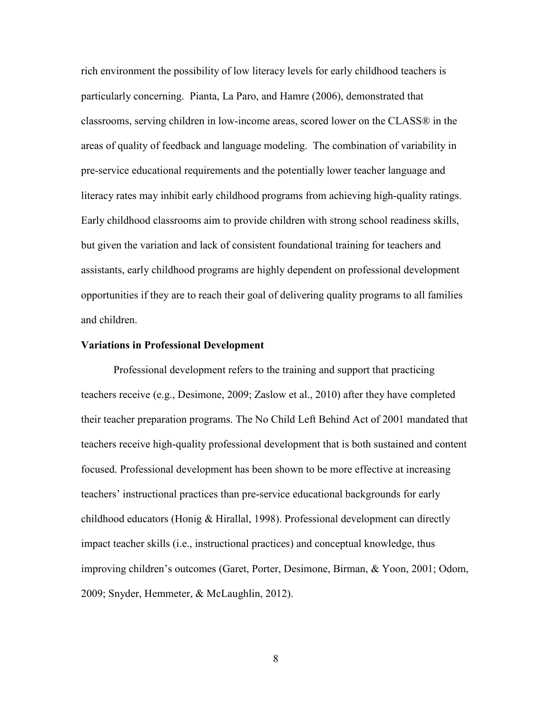rich environment the possibility of low literacy levels for early childhood teachers is particularly concerning. Pianta, La Paro, and Hamre (2006), demonstrated that classrooms, serving children in low-income areas, scored lower on the CLASS® in the areas of quality of feedback and language modeling. The combination of variability in pre-service educational requirements and the potentially lower teacher language and literacy rates may inhibit early childhood programs from achieving high-quality ratings. Early childhood classrooms aim to provide children with strong school readiness skills, but given the variation and lack of consistent foundational training for teachers and assistants, early childhood programs are highly dependent on professional development opportunities if they are to reach their goal of delivering quality programs to all families and children.

#### **Variations in Professional Development**

Professional development refers to the training and support that practicing teachers receive (e.g., Desimone, 2009; Zaslow et al., 2010) after they have completed their teacher preparation programs. The No Child Left Behind Act of 2001 mandated that teachers receive high-quality professional development that is both sustained and content focused. Professional development has been shown to be more effective at increasing teachers' instructional practices than pre-service educational backgrounds for early childhood educators (Honig & Hirallal, 1998). Professional development can directly impact teacher skills (i.e., instructional practices) and conceptual knowledge, thus improving children's outcomes (Garet, Porter, Desimone, Birman, & Yoon, 2001; Odom, 2009; Snyder, Hemmeter, & McLaughlin, 2012).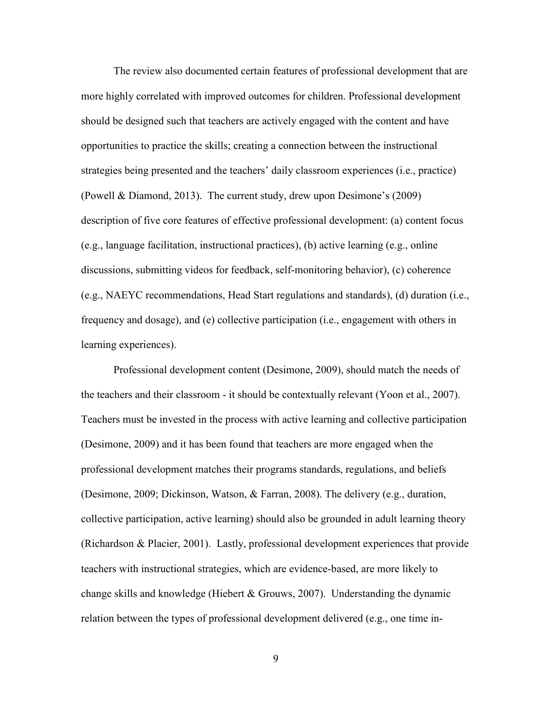The review also documented certain features of professional development that are more highly correlated with improved outcomes for children. Professional development should be designed such that teachers are actively engaged with the content and have opportunities to practice the skills; creating a connection between the instructional strategies being presented and the teachers' daily classroom experiences (i.e., practice) (Powell & Diamond, 2013). The current study, drew upon Desimone's (2009) description of five core features of effective professional development: (a) content focus (e.g., language facilitation, instructional practices), (b) active learning (e.g., online discussions, submitting videos for feedback, self-monitoring behavior), (c) coherence (e.g., NAEYC recommendations, Head Start regulations and standards), (d) duration (i.e., frequency and dosage), and (e) collective participation (i.e., engagement with others in learning experiences).

 Professional development content (Desimone, 2009), should match the needs of the teachers and their classroom - it should be contextually relevant (Yoon et al., 2007). Teachers must be invested in the process with active learning and collective participation (Desimone, 2009) and it has been found that teachers are more engaged when the professional development matches their programs standards, regulations, and beliefs (Desimone, 2009; Dickinson, Watson, & Farran, 2008). The delivery (e.g., duration, collective participation, active learning) should also be grounded in adult learning theory (Richardson & Placier, 2001). Lastly, professional development experiences that provide teachers with instructional strategies, which are evidence-based, are more likely to change skills and knowledge (Hiebert & Grouws, 2007). Understanding the dynamic relation between the types of professional development delivered (e.g., one time in-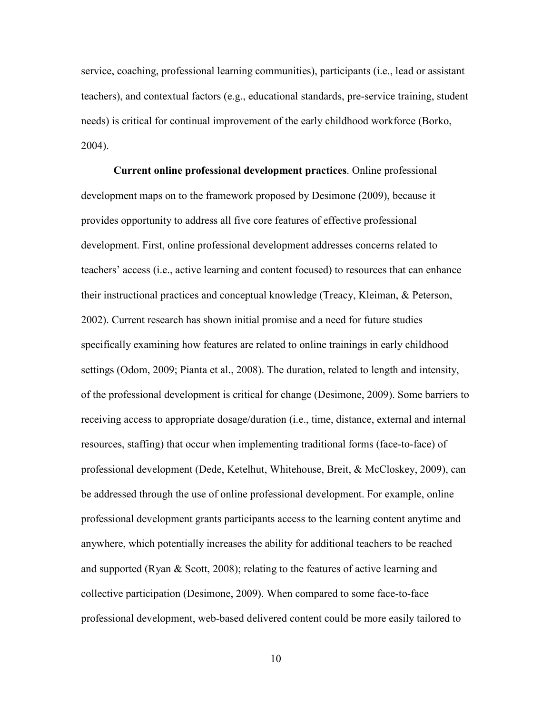service, coaching, professional learning communities), participants (i.e., lead or assistant teachers), and contextual factors (e.g., educational standards, pre-service training, student needs) is critical for continual improvement of the early childhood workforce (Borko, 2004).

**Current online professional development practices**. Online professional development maps on to the framework proposed by Desimone (2009), because it provides opportunity to address all five core features of effective professional development. First, online professional development addresses concerns related to teachers' access (i.e., active learning and content focused) to resources that can enhance their instructional practices and conceptual knowledge (Treacy, Kleiman, & Peterson, 2002). Current research has shown initial promise and a need for future studies specifically examining how features are related to online trainings in early childhood settings (Odom, 2009; Pianta et al., 2008). The duration, related to length and intensity, of the professional development is critical for change (Desimone, 2009). Some barriers to receiving access to appropriate dosage/duration (i.e., time, distance, external and internal resources, staffing) that occur when implementing traditional forms (face-to-face) of professional development (Dede, Ketelhut, Whitehouse, Breit, & McCloskey, 2009), can be addressed through the use of online professional development. For example, online professional development grants participants access to the learning content anytime and anywhere, which potentially increases the ability for additional teachers to be reached and supported (Ryan & Scott, 2008); relating to the features of active learning and collective participation (Desimone, 2009). When compared to some face-to-face professional development, web-based delivered content could be more easily tailored to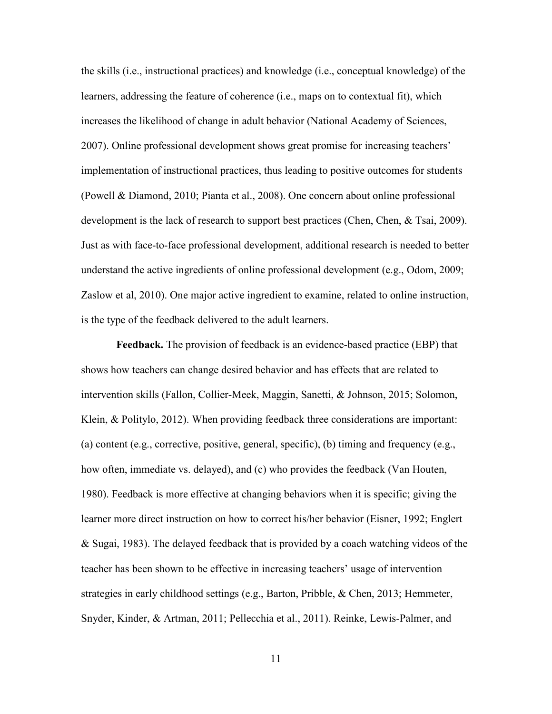the skills (i.e., instructional practices) and knowledge (i.e., conceptual knowledge) of the learners, addressing the feature of coherence (i.e., maps on to contextual fit), which increases the likelihood of change in adult behavior (National Academy of Sciences, 2007). Online professional development shows great promise for increasing teachers' implementation of instructional practices, thus leading to positive outcomes for students (Powell & Diamond, 2010; Pianta et al., 2008). One concern about online professional development is the lack of research to support best practices (Chen, Chen, & Tsai, 2009). Just as with face-to-face professional development, additional research is needed to better understand the active ingredients of online professional development (e.g., Odom, 2009; Zaslow et al, 2010). One major active ingredient to examine, related to online instruction, is the type of the feedback delivered to the adult learners.

**Feedback.** The provision of feedback is an evidence-based practice (EBP) that shows how teachers can change desired behavior and has effects that are related to intervention skills (Fallon, Collier-Meek, Maggin, Sanetti, & Johnson, 2015; Solomon, Klein, & Politylo, 2012). When providing feedback three considerations are important: (a) content (e.g., corrective, positive, general, specific), (b) timing and frequency (e.g., how often, immediate vs. delayed), and (c) who provides the feedback (Van Houten, 1980). Feedback is more effective at changing behaviors when it is specific; giving the learner more direct instruction on how to correct his/her behavior (Eisner, 1992; Englert & Sugai, 1983). The delayed feedback that is provided by a coach watching videos of the teacher has been shown to be effective in increasing teachers' usage of intervention strategies in early childhood settings (e.g., Barton, Pribble, & Chen, 2013; Hemmeter, Snyder, Kinder, & Artman, 2011; Pellecchia et al., 2011). Reinke, Lewis-Palmer, and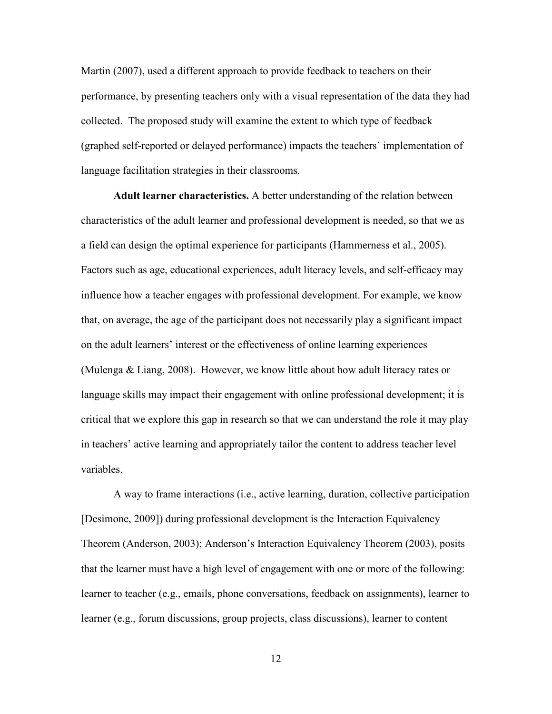Martin (2007), used a different approach to provide feedback to teachers on their performance, by presenting teachers only with a visual representation of the data they had collected. The proposed study will examine the extent to which type of feedback (graphed self-reported or delayed performance) impacts the teachers' implementation of language facilitation strategies in their classrooms.

 **Adult learner characteristics.** A better understanding of the relation between characteristics of the adult learner and professional development is needed, so that we as a field can design the optimal experience for participants (Hammerness et al., 2005). Factors such as age, educational experiences, adult literacy levels, and self-efficacy may influence how a teacher engages with professional development. For example, we know that, on average, the age of the participant does not necessarily play a significant impact on the adult learners' interest or the effectiveness of online learning experiences (Mulenga & Liang, 2008). However, we know little about how adult literacy rates or language skills may impact their engagement with online professional development; it is critical that we explore this gap in research so that we can understand the role it may play in teachers' active learning and appropriately tailor the content to address teacher level variables.

 A way to frame interactions (i.e., active learning, duration, collective participation [Desimone, 2009]) during professional development is the Interaction Equivalency Theorem (Anderson, 2003); Anderson's Interaction Equivalency Theorem (2003), posits that the learner must have a high level of engagement with one or more of the following: learner to teacher (e.g., emails, phone conversations, feedback on assignments), learner to learner (e.g., forum discussions, group projects, class discussions), learner to content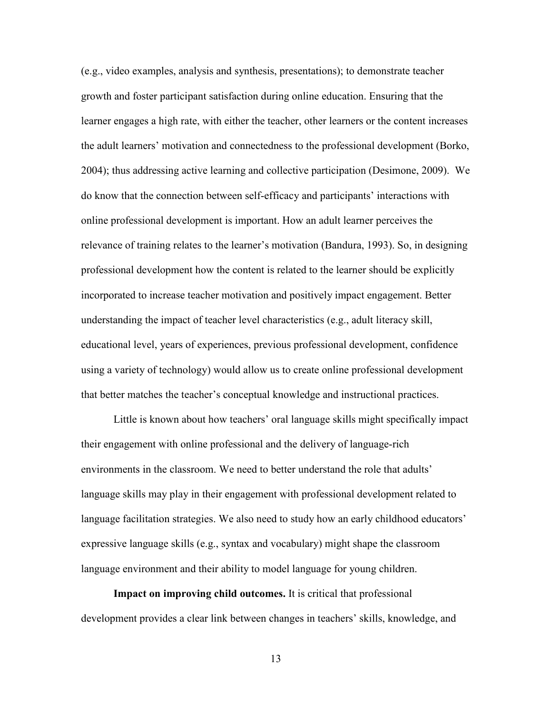(e.g., video examples, analysis and synthesis, presentations); to demonstrate teacher growth and foster participant satisfaction during online education. Ensuring that the learner engages a high rate, with either the teacher, other learners or the content increases the adult learners' motivation and connectedness to the professional development (Borko, 2004); thus addressing active learning and collective participation (Desimone, 2009). We do know that the connection between self-efficacy and participants' interactions with online professional development is important. How an adult learner perceives the relevance of training relates to the learner's motivation (Bandura, 1993). So, in designing professional development how the content is related to the learner should be explicitly incorporated to increase teacher motivation and positively impact engagement. Better understanding the impact of teacher level characteristics (e.g., adult literacy skill, educational level, years of experiences, previous professional development, confidence using a variety of technology) would allow us to create online professional development that better matches the teacher's conceptual knowledge and instructional practices.

 Little is known about how teachers' oral language skills might specifically impact their engagement with online professional and the delivery of language-rich environments in the classroom. We need to better understand the role that adults' language skills may play in their engagement with professional development related to language facilitation strategies. We also need to study how an early childhood educators' expressive language skills (e.g., syntax and vocabulary) might shape the classroom language environment and their ability to model language for young children.

 **Impact on improving child outcomes.** It is critical that professional development provides a clear link between changes in teachers' skills, knowledge, and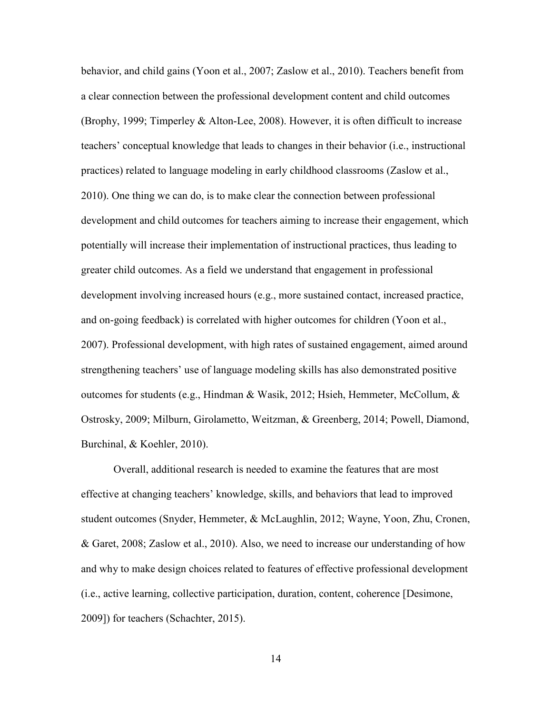behavior, and child gains (Yoon et al., 2007; Zaslow et al., 2010). Teachers benefit from a clear connection between the professional development content and child outcomes (Brophy, 1999; Timperley & Alton-Lee, 2008). However, it is often difficult to increase teachers' conceptual knowledge that leads to changes in their behavior (i.e., instructional practices) related to language modeling in early childhood classrooms (Zaslow et al., 2010). One thing we can do, is to make clear the connection between professional development and child outcomes for teachers aiming to increase their engagement, which potentially will increase their implementation of instructional practices, thus leading to greater child outcomes. As a field we understand that engagement in professional development involving increased hours (e.g., more sustained contact, increased practice, and on-going feedback) is correlated with higher outcomes for children (Yoon et al., 2007). Professional development, with high rates of sustained engagement, aimed around strengthening teachers' use of language modeling skills has also demonstrated positive outcomes for students (e.g., Hindman & Wasik, 2012; Hsieh, Hemmeter, McCollum,  $\&$ Ostrosky, 2009; Milburn, Girolametto, Weitzman, & Greenberg, 2014; Powell, Diamond, Burchinal, & Koehler, 2010).

 Overall, additional research is needed to examine the features that are most effective at changing teachers' knowledge, skills, and behaviors that lead to improved student outcomes (Snyder, Hemmeter, & McLaughlin, 2012; Wayne, Yoon, Zhu, Cronen, & Garet, 2008; Zaslow et al., 2010). Also, we need to increase our understanding of how and why to make design choices related to features of effective professional development (i.e., active learning, collective participation, duration, content, coherence [Desimone, 2009]) for teachers (Schachter, 2015).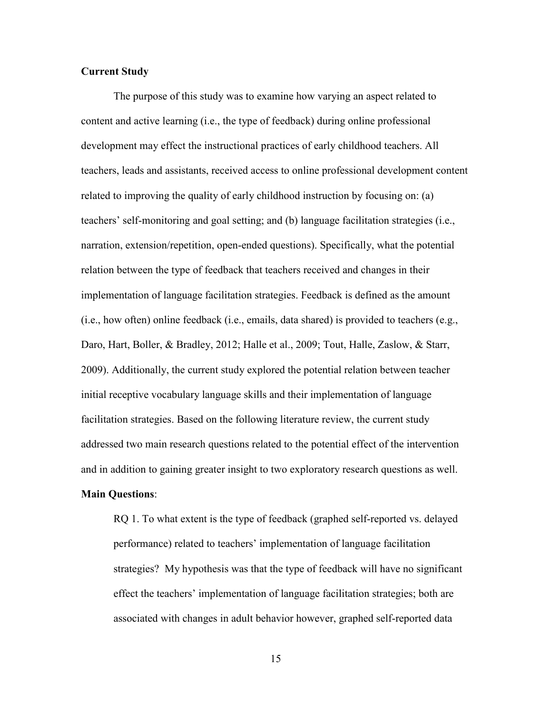### **Current Study**

The purpose of this study was to examine how varying an aspect related to content and active learning (i.e., the type of feedback) during online professional development may effect the instructional practices of early childhood teachers. All teachers, leads and assistants, received access to online professional development content related to improving the quality of early childhood instruction by focusing on: (a) teachers' self-monitoring and goal setting; and (b) language facilitation strategies (i.e., narration, extension/repetition, open-ended questions). Specifically, what the potential relation between the type of feedback that teachers received and changes in their implementation of language facilitation strategies. Feedback is defined as the amount (i.e., how often) online feedback (i.e., emails, data shared) is provided to teachers (e.g., Daro, Hart, Boller, & Bradley, 2012; Halle et al., 2009; Tout, Halle, Zaslow, & Starr, 2009). Additionally, the current study explored the potential relation between teacher initial receptive vocabulary language skills and their implementation of language facilitation strategies. Based on the following literature review, the current study addressed two main research questions related to the potential effect of the intervention and in addition to gaining greater insight to two exploratory research questions as well.

## **Main Questions**:

 RQ 1. To what extent is the type of feedback (graphed self-reported vs. delayed performance) related to teachers' implementation of language facilitation strategies? My hypothesis was that the type of feedback will have no significant effect the teachers' implementation of language facilitation strategies; both are associated with changes in adult behavior however, graphed self-reported data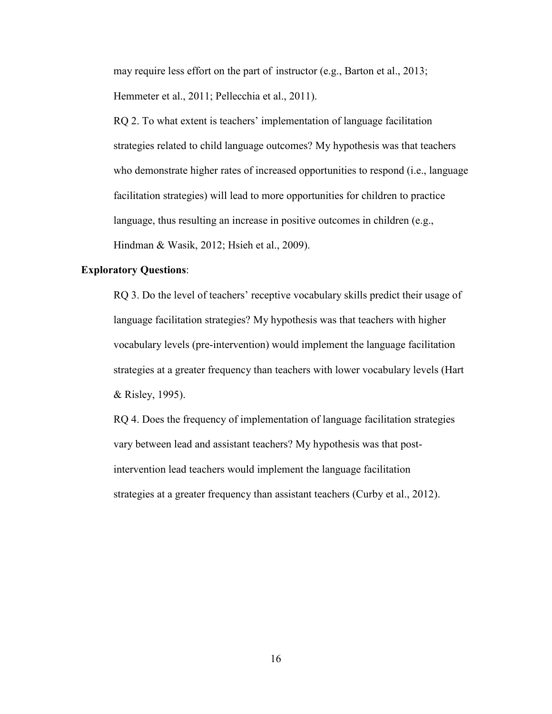may require less effort on the part of instructor (e.g., Barton et al., 2013; Hemmeter et al., 2011; Pellecchia et al., 2011).

 RQ 2. To what extent is teachers' implementation of language facilitation strategies related to child language outcomes? My hypothesis was that teachers who demonstrate higher rates of increased opportunities to respond (i.e., language facilitation strategies) will lead to more opportunities for children to practice language, thus resulting an increase in positive outcomes in children (e.g., Hindman & Wasik, 2012; Hsieh et al., 2009).

### **Exploratory Questions**:

 RQ 3. Do the level of teachers' receptive vocabulary skills predict their usage of language facilitation strategies? My hypothesis was that teachers with higher vocabulary levels (pre-intervention) would implement the language facilitation strategies at a greater frequency than teachers with lower vocabulary levels (Hart & Risley, 1995).

 RQ 4. Does the frequency of implementation of language facilitation strategies vary between lead and assistant teachers? My hypothesis was that post intervention lead teachers would implement the language facilitation strategies at a greater frequency than assistant teachers (Curby et al., 2012).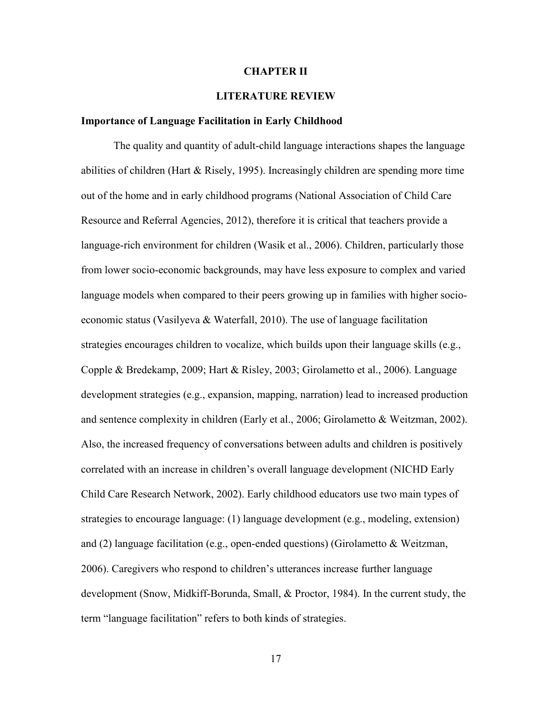#### **CHAPTER II**

### **LITERATURE REVIEW**

#### **Importance of Language Facilitation in Early Childhood**

 The quality and quantity of adult-child language interactions shapes the language abilities of children (Hart & Risely, 1995). Increasingly children are spending more time out of the home and in early childhood programs (National Association of Child Care Resource and Referral Agencies, 2012), therefore it is critical that teachers provide a language-rich environment for children (Wasik et al., 2006). Children, particularly those from lower socio-economic backgrounds, may have less exposure to complex and varied language models when compared to their peers growing up in families with higher socioeconomic status (Vasilyeva & Waterfall, 2010). The use of language facilitation strategies encourages children to vocalize, which builds upon their language skills (e.g., Copple & Bredekamp, 2009; Hart & Risley, 2003; Girolametto et al., 2006). Language development strategies (e.g., expansion, mapping, narration) lead to increased production and sentence complexity in children (Early et al., 2006; Girolametto & Weitzman, 2002). Also, the increased frequency of conversations between adults and children is positively correlated with an increase in children's overall language development (NICHD Early Child Care Research Network, 2002). Early childhood educators use two main types of strategies to encourage language: (1) language development (e.g., modeling, extension) and (2) language facilitation (e.g., open-ended questions) (Girolametto & Weitzman, 2006). Caregivers who respond to children's utterances increase further language development (Snow, Midkiff-Borunda, Small, & Proctor, 1984). In the current study, the term "language facilitation" refers to both kinds of strategies.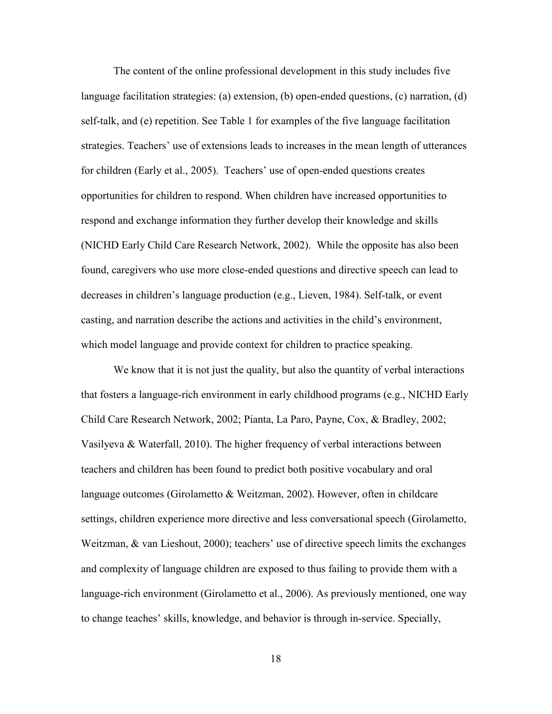The content of the online professional development in this study includes five language facilitation strategies: (a) extension, (b) open-ended questions, (c) narration, (d) self-talk, and (e) repetition. See Table 1 for examples of the five language facilitation strategies. Teachers' use of extensions leads to increases in the mean length of utterances for children (Early et al., 2005). Teachers' use of open-ended questions creates opportunities for children to respond. When children have increased opportunities to respond and exchange information they further develop their knowledge and skills (NICHD Early Child Care Research Network, 2002). While the opposite has also been found, caregivers who use more close-ended questions and directive speech can lead to decreases in children's language production (e.g., Lieven, 1984). Self-talk, or event casting, and narration describe the actions and activities in the child's environment, which model language and provide context for children to practice speaking.

 We know that it is not just the quality, but also the quantity of verbal interactions that fosters a language-rich environment in early childhood programs (e.g., NICHD Early Child Care Research Network, 2002; Pianta, La Paro, Payne, Cox, & Bradley, 2002; Vasilyeva & Waterfall, 2010). The higher frequency of verbal interactions between teachers and children has been found to predict both positive vocabulary and oral language outcomes (Girolametto & Weitzman, 2002). However, often in childcare settings, children experience more directive and less conversational speech (Girolametto, Weitzman, & van Lieshout, 2000); teachers' use of directive speech limits the exchanges and complexity of language children are exposed to thus failing to provide them with a language-rich environment (Girolametto et al., 2006). As previously mentioned, one way to change teaches' skills, knowledge, and behavior is through in-service. Specially,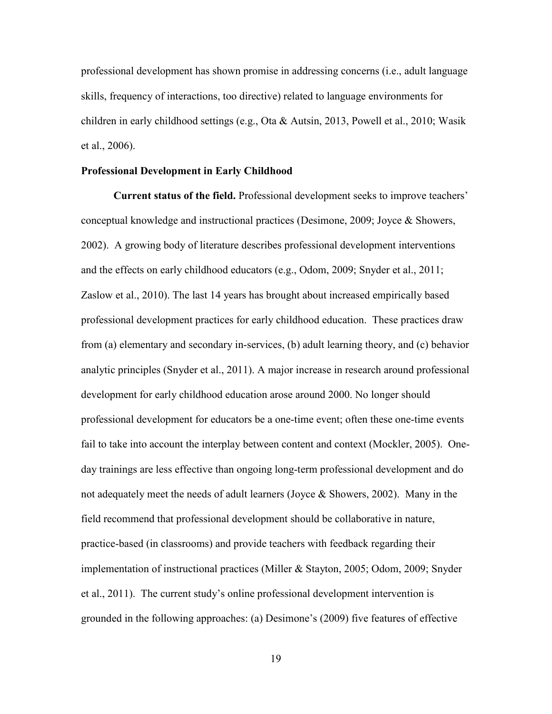professional development has shown promise in addressing concerns (i.e., adult language skills, frequency of interactions, too directive) related to language environments for children in early childhood settings (e.g., Ota & Autsin, 2013, Powell et al., 2010; Wasik et al., 2006).

#### **Professional Development in Early Childhood**

 **Current status of the field.** Professional development seeks to improve teachers' conceptual knowledge and instructional practices (Desimone, 2009; Joyce & Showers, 2002). A growing body of literature describes professional development interventions and the effects on early childhood educators (e.g., Odom, 2009; Snyder et al., 2011; Zaslow et al., 2010). The last 14 years has brought about increased empirically based professional development practices for early childhood education. These practices draw from (a) elementary and secondary in-services, (b) adult learning theory, and (c) behavior analytic principles (Snyder et al., 2011). A major increase in research around professional development for early childhood education arose around 2000. No longer should professional development for educators be a one-time event; often these one-time events fail to take into account the interplay between content and context (Mockler, 2005). Oneday trainings are less effective than ongoing long-term professional development and do not adequately meet the needs of adult learners (Joyce & Showers, 2002). Many in the field recommend that professional development should be collaborative in nature, practice-based (in classrooms) and provide teachers with feedback regarding their implementation of instructional practices (Miller & Stayton, 2005; Odom, 2009; Snyder et al., 2011). The current study's online professional development intervention is grounded in the following approaches: (a) Desimone's (2009) five features of effective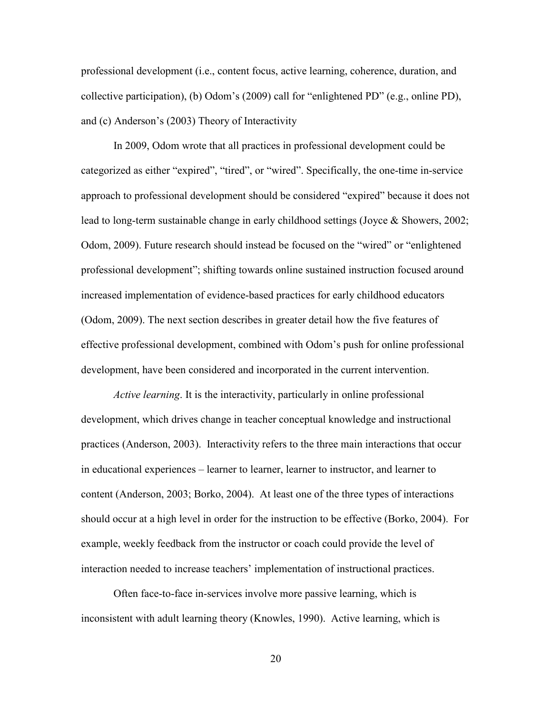professional development (i.e., content focus, active learning, coherence, duration, and collective participation), (b) Odom's (2009) call for "enlightened PD" (e.g., online PD), and (c) Anderson's (2003) Theory of Interactivity

 In 2009, Odom wrote that all practices in professional development could be categorized as either "expired", "tired", or "wired". Specifically, the one-time in-service approach to professional development should be considered "expired" because it does not lead to long-term sustainable change in early childhood settings (Joyce & Showers, 2002; Odom, 2009). Future research should instead be focused on the "wired" or "enlightened professional development"; shifting towards online sustained instruction focused around increased implementation of evidence-based practices for early childhood educators (Odom, 2009). The next section describes in greater detail how the five features of effective professional development, combined with Odom's push for online professional development, have been considered and incorporated in the current intervention.

*Active learning*. It is the interactivity, particularly in online professional development, which drives change in teacher conceptual knowledge and instructional practices (Anderson, 2003). Interactivity refers to the three main interactions that occur in educational experiences – learner to learner, learner to instructor, and learner to content (Anderson, 2003; Borko, 2004). At least one of the three types of interactions should occur at a high level in order for the instruction to be effective (Borko, 2004). For example, weekly feedback from the instructor or coach could provide the level of interaction needed to increase teachers' implementation of instructional practices.

Often face-to-face in-services involve more passive learning, which is inconsistent with adult learning theory (Knowles, 1990). Active learning, which is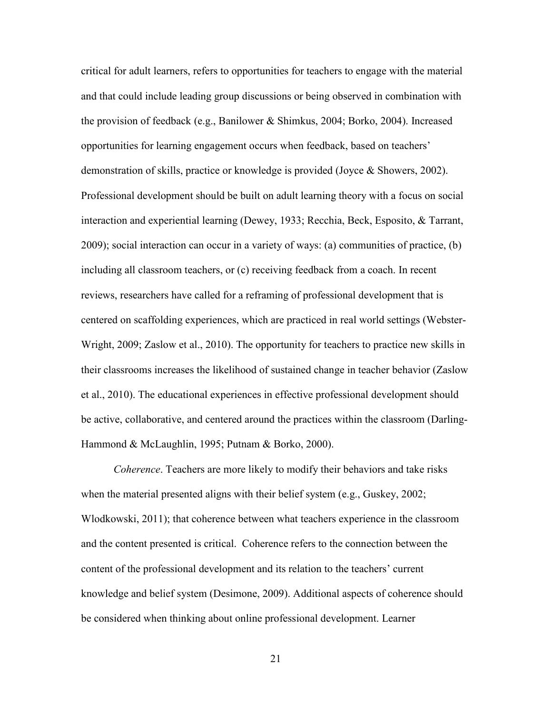critical for adult learners, refers to opportunities for teachers to engage with the material and that could include leading group discussions or being observed in combination with the provision of feedback (e.g., Banilower & Shimkus, 2004; Borko, 2004). Increased opportunities for learning engagement occurs when feedback, based on teachers' demonstration of skills, practice or knowledge is provided (Joyce & Showers, 2002). Professional development should be built on adult learning theory with a focus on social interaction and experiential learning (Dewey, 1933; Recchia, Beck, Esposito, & Tarrant, 2009); social interaction can occur in a variety of ways: (a) communities of practice, (b) including all classroom teachers, or (c) receiving feedback from a coach. In recent reviews, researchers have called for a reframing of professional development that is centered on scaffolding experiences, which are practiced in real world settings (Webster-Wright, 2009; Zaslow et al., 2010). The opportunity for teachers to practice new skills in their classrooms increases the likelihood of sustained change in teacher behavior (Zaslow et al., 2010). The educational experiences in effective professional development should be active, collaborative, and centered around the practices within the classroom (Darling-Hammond & McLaughlin, 1995; Putnam & Borko, 2000).

*Coherence*. Teachers are more likely to modify their behaviors and take risks when the material presented aligns with their belief system (e.g., Guskey, 2002; Wlodkowski, 2011); that coherence between what teachers experience in the classroom and the content presented is critical. Coherence refers to the connection between the content of the professional development and its relation to the teachers' current knowledge and belief system (Desimone, 2009). Additional aspects of coherence should be considered when thinking about online professional development. Learner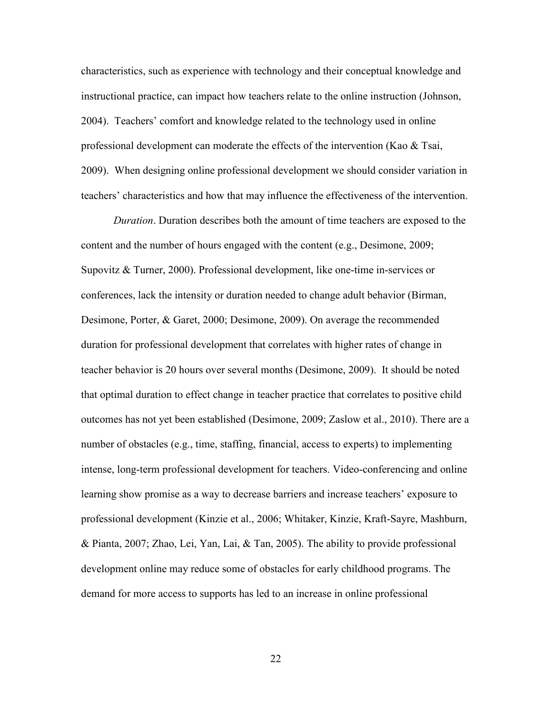characteristics, such as experience with technology and their conceptual knowledge and instructional practice, can impact how teachers relate to the online instruction (Johnson, 2004). Teachers' comfort and knowledge related to the technology used in online professional development can moderate the effects of the intervention (Kao  $\&$  Tsai, 2009). When designing online professional development we should consider variation in teachers' characteristics and how that may influence the effectiveness of the intervention.

*Duration*. Duration describes both the amount of time teachers are exposed to the content and the number of hours engaged with the content (e.g., Desimone, 2009; Supovitz & Turner, 2000). Professional development, like one-time in-services or conferences, lack the intensity or duration needed to change adult behavior (Birman, Desimone, Porter, & Garet, 2000; Desimone, 2009). On average the recommended duration for professional development that correlates with higher rates of change in teacher behavior is 20 hours over several months (Desimone, 2009). It should be noted that optimal duration to effect change in teacher practice that correlates to positive child outcomes has not yet been established (Desimone, 2009; Zaslow et al., 2010). There are a number of obstacles (e.g., time, staffing, financial, access to experts) to implementing intense, long-term professional development for teachers. Video-conferencing and online learning show promise as a way to decrease barriers and increase teachers' exposure to professional development (Kinzie et al., 2006; Whitaker, Kinzie, Kraft-Sayre, Mashburn, & Pianta, 2007; Zhao, Lei, Yan, Lai, & Tan, 2005). The ability to provide professional development online may reduce some of obstacles for early childhood programs. The demand for more access to supports has led to an increase in online professional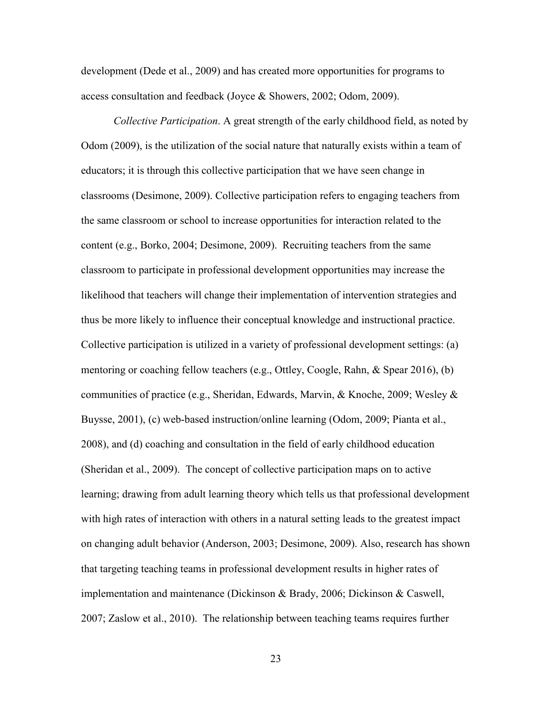development (Dede et al., 2009) and has created more opportunities for programs to access consultation and feedback (Joyce & Showers, 2002; Odom, 2009).

*Collective Participation*. A great strength of the early childhood field, as noted by Odom (2009), is the utilization of the social nature that naturally exists within a team of educators; it is through this collective participation that we have seen change in classrooms (Desimone, 2009). Collective participation refers to engaging teachers from the same classroom or school to increase opportunities for interaction related to the content (e.g., Borko, 2004; Desimone, 2009). Recruiting teachers from the same classroom to participate in professional development opportunities may increase the likelihood that teachers will change their implementation of intervention strategies and thus be more likely to influence their conceptual knowledge and instructional practice. Collective participation is utilized in a variety of professional development settings: (a) mentoring or coaching fellow teachers (e.g., Ottley, Coogle, Rahn, & Spear 2016), (b) communities of practice (e.g., Sheridan, Edwards, Marvin, & Knoche, 2009; Wesley & Buysse, 2001), (c) web-based instruction/online learning (Odom, 2009; Pianta et al., 2008), and (d) coaching and consultation in the field of early childhood education (Sheridan et al., 2009). The concept of collective participation maps on to active learning; drawing from adult learning theory which tells us that professional development with high rates of interaction with others in a natural setting leads to the greatest impact on changing adult behavior (Anderson, 2003; Desimone, 2009). Also, research has shown that targeting teaching teams in professional development results in higher rates of implementation and maintenance (Dickinson & Brady, 2006; Dickinson & Caswell, 2007; Zaslow et al., 2010). The relationship between teaching teams requires further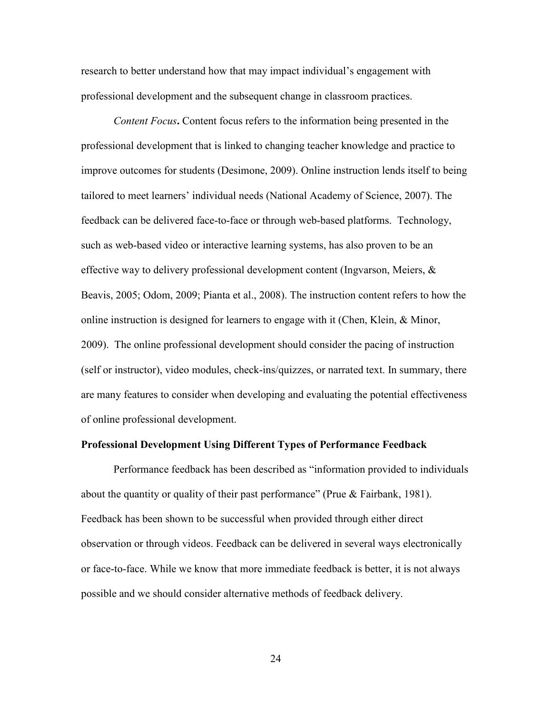research to better understand how that may impact individual's engagement with professional development and the subsequent change in classroom practices.

*Content Focus***.** Content focus refers to the information being presented in the professional development that is linked to changing teacher knowledge and practice to improve outcomes for students (Desimone, 2009). Online instruction lends itself to being tailored to meet learners' individual needs (National Academy of Science, 2007). The feedback can be delivered face-to-face or through web-based platforms. Technology, such as web-based video or interactive learning systems, has also proven to be an effective way to delivery professional development content (Ingvarson, Meiers,  $\&$ Beavis, 2005; Odom, 2009; Pianta et al., 2008). The instruction content refers to how the online instruction is designed for learners to engage with it (Chen, Klein, & Minor, 2009). The online professional development should consider the pacing of instruction (self or instructor), video modules, check-ins/quizzes, or narrated text. In summary, there are many features to consider when developing and evaluating the potential effectiveness of online professional development.

#### **Professional Development Using Different Types of Performance Feedback**

 Performance feedback has been described as "information provided to individuals about the quantity or quality of their past performance" (Prue & Fairbank, 1981). Feedback has been shown to be successful when provided through either direct observation or through videos. Feedback can be delivered in several ways electronically or face-to-face. While we know that more immediate feedback is better, it is not always possible and we should consider alternative methods of feedback delivery.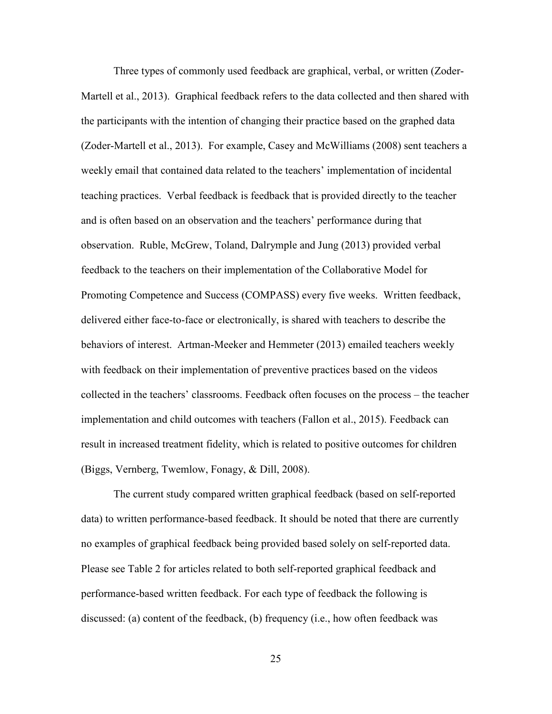Three types of commonly used feedback are graphical, verbal, or written (Zoder-Martell et al., 2013). Graphical feedback refers to the data collected and then shared with the participants with the intention of changing their practice based on the graphed data (Zoder-Martell et al., 2013). For example, Casey and McWilliams (2008) sent teachers a weekly email that contained data related to the teachers' implementation of incidental teaching practices. Verbal feedback is feedback that is provided directly to the teacher and is often based on an observation and the teachers' performance during that observation. Ruble, McGrew, Toland, Dalrymple and Jung (2013) provided verbal feedback to the teachers on their implementation of the Collaborative Model for Promoting Competence and Success (COMPASS) every five weeks. Written feedback, delivered either face-to-face or electronically, is shared with teachers to describe the behaviors of interest. Artman-Meeker and Hemmeter (2013) emailed teachers weekly with feedback on their implementation of preventive practices based on the videos collected in the teachers' classrooms. Feedback often focuses on the process – the teacher implementation and child outcomes with teachers (Fallon et al., 2015). Feedback can result in increased treatment fidelity, which is related to positive outcomes for children (Biggs, Vernberg, Twemlow, Fonagy, & Dill, 2008).

 The current study compared written graphical feedback (based on self-reported data) to written performance-based feedback. It should be noted that there are currently no examples of graphical feedback being provided based solely on self-reported data. Please see Table 2 for articles related to both self-reported graphical feedback and performance-based written feedback. For each type of feedback the following is discussed: (a) content of the feedback, (b) frequency (i.e., how often feedback was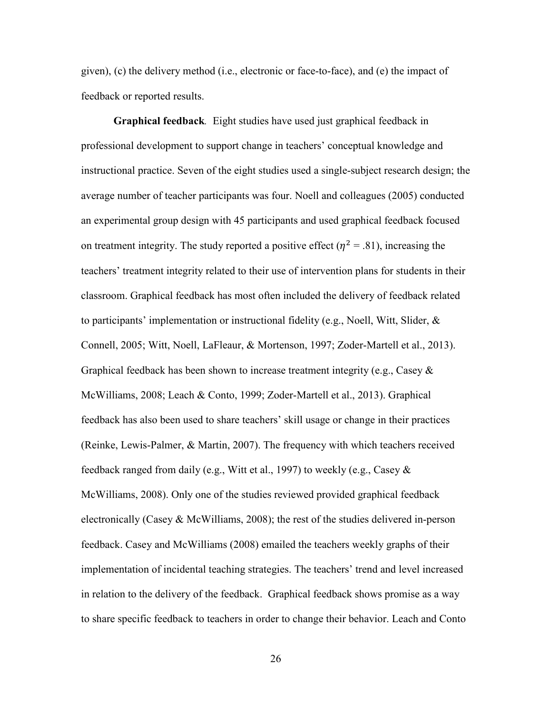given), (c) the delivery method (i.e., electronic or face-to-face), and (e) the impact of feedback or reported results.

 **Graphical feedback***.* Eight studies have used just graphical feedback in professional development to support change in teachers' conceptual knowledge and instructional practice. Seven of the eight studies used a single-subject research design; the average number of teacher participants was four. Noell and colleagues (2005) conducted an experimental group design with 45 participants and used graphical feedback focused on treatment integrity. The study reported a positive effect ( $\eta^2 = .81$ ), increasing the teachers' treatment integrity related to their use of intervention plans for students in their classroom. Graphical feedback has most often included the delivery of feedback related to participants' implementation or instructional fidelity (e.g., Noell, Witt, Slider, & Connell, 2005; Witt, Noell, LaFleaur, & Mortenson, 1997; Zoder-Martell et al., 2013). Graphical feedback has been shown to increase treatment integrity (e.g., Casey  $\&$ McWilliams, 2008; Leach & Conto, 1999; Zoder-Martell et al., 2013). Graphical feedback has also been used to share teachers' skill usage or change in their practices (Reinke, Lewis-Palmer, & Martin, 2007). The frequency with which teachers received feedback ranged from daily (e.g., Witt et al., 1997) to weekly (e.g., Casey & McWilliams, 2008). Only one of the studies reviewed provided graphical feedback electronically (Casey & McWilliams, 2008); the rest of the studies delivered in-person feedback. Casey and McWilliams (2008) emailed the teachers weekly graphs of their implementation of incidental teaching strategies. The teachers' trend and level increased in relation to the delivery of the feedback. Graphical feedback shows promise as a way to share specific feedback to teachers in order to change their behavior. Leach and Conto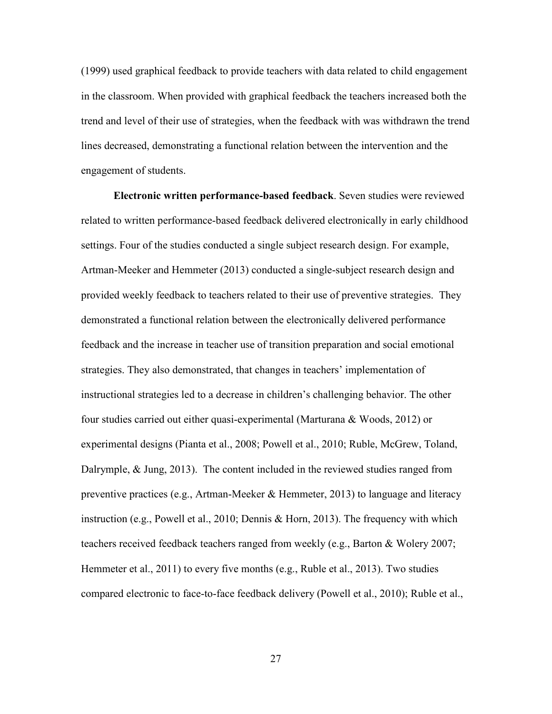(1999) used graphical feedback to provide teachers with data related to child engagement in the classroom. When provided with graphical feedback the teachers increased both the trend and level of their use of strategies, when the feedback with was withdrawn the trend lines decreased, demonstrating a functional relation between the intervention and the engagement of students.

 **Electronic written performance-based feedback**. Seven studies were reviewed related to written performance-based feedback delivered electronically in early childhood settings. Four of the studies conducted a single subject research design. For example, Artman-Meeker and Hemmeter (2013) conducted a single-subject research design and provided weekly feedback to teachers related to their use of preventive strategies. They demonstrated a functional relation between the electronically delivered performance feedback and the increase in teacher use of transition preparation and social emotional strategies. They also demonstrated, that changes in teachers' implementation of instructional strategies led to a decrease in children's challenging behavior. The other four studies carried out either quasi-experimental (Marturana & Woods, 2012) or experimental designs (Pianta et al., 2008; Powell et al., 2010; Ruble, McGrew, Toland, Dalrymple,  $\&$  Jung, 2013). The content included in the reviewed studies ranged from preventive practices (e.g., Artman-Meeker & Hemmeter, 2013) to language and literacy instruction (e.g., Powell et al., 2010; Dennis & Horn, 2013). The frequency with which teachers received feedback teachers ranged from weekly (e.g., Barton & Wolery 2007; Hemmeter et al., 2011) to every five months (e.g., Ruble et al., 2013). Two studies compared electronic to face-to-face feedback delivery (Powell et al., 2010); Ruble et al.,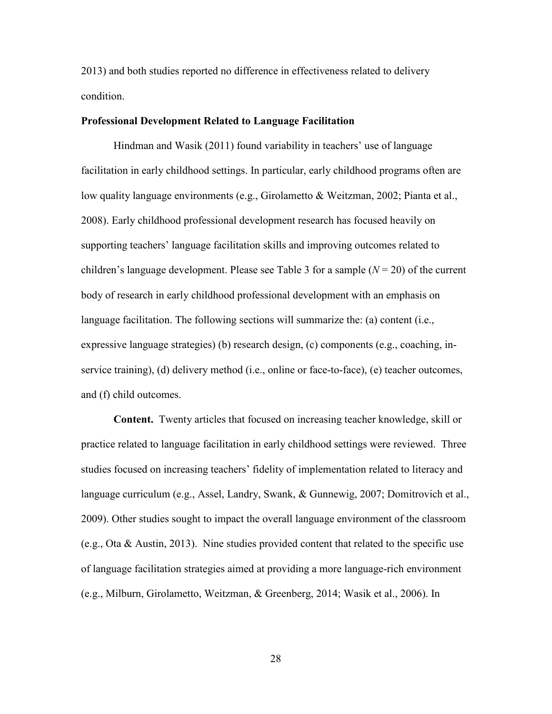2013) and both studies reported no difference in effectiveness related to delivery condition.

## **Professional Development Related to Language Facilitation**

Hindman and Wasik (2011) found variability in teachers' use of language facilitation in early childhood settings. In particular, early childhood programs often are low quality language environments (e.g., Girolametto & Weitzman, 2002; Pianta et al., 2008). Early childhood professional development research has focused heavily on supporting teachers' language facilitation skills and improving outcomes related to children's language development. Please see Table 3 for a sample  $(N = 20)$  of the current body of research in early childhood professional development with an emphasis on language facilitation. The following sections will summarize the: (a) content (i.e., expressive language strategies) (b) research design, (c) components (e.g., coaching, inservice training), (d) delivery method (i.e., online or face-to-face), (e) teacher outcomes, and (f) child outcomes.

**Content.** Twenty articles that focused on increasing teacher knowledge, skill or practice related to language facilitation in early childhood settings were reviewed. Three studies focused on increasing teachers' fidelity of implementation related to literacy and language curriculum (e.g., Assel, Landry, Swank, & Gunnewig, 2007; Domitrovich et al., 2009). Other studies sought to impact the overall language environment of the classroom (e.g., Ota & Austin, 2013). Nine studies provided content that related to the specific use of language facilitation strategies aimed at providing a more language-rich environment (e.g., Milburn, Girolametto, Weitzman, & Greenberg, 2014; Wasik et al., 2006). In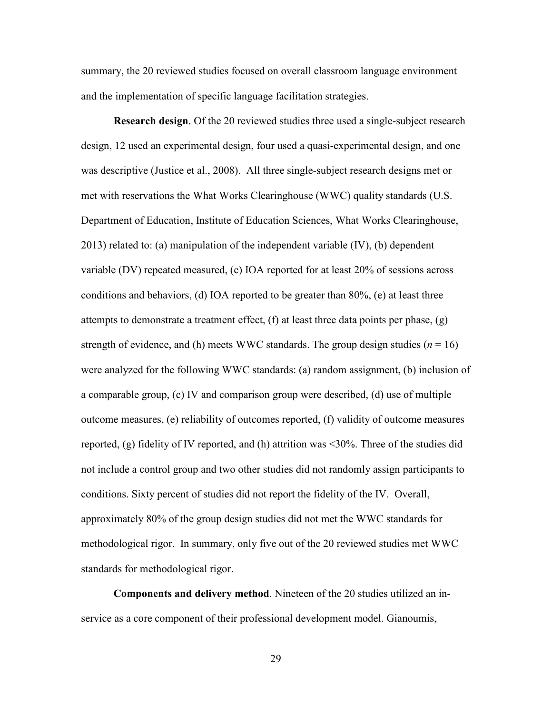summary, the 20 reviewed studies focused on overall classroom language environment and the implementation of specific language facilitation strategies.

**Research design**. Of the 20 reviewed studies three used a single-subject research design, 12 used an experimental design, four used a quasi-experimental design, and one was descriptive (Justice et al., 2008). All three single-subject research designs met or met with reservations the What Works Clearinghouse (WWC) quality standards (U.S. Department of Education, Institute of Education Sciences, What Works Clearinghouse, 2013) related to: (a) manipulation of the independent variable (IV), (b) dependent variable (DV) repeated measured, (c) IOA reported for at least 20% of sessions across conditions and behaviors, (d) IOA reported to be greater than 80%, (e) at least three attempts to demonstrate a treatment effect,  $(f)$  at least three data points per phase,  $(g)$ strength of evidence, and (h) meets WWC standards. The group design studies ( $n = 16$ ) were analyzed for the following WWC standards: (a) random assignment, (b) inclusion of a comparable group, (c) IV and comparison group were described, (d) use of multiple outcome measures, (e) reliability of outcomes reported, (f) validity of outcome measures reported, (g) fidelity of IV reported, and (h) attrition was <30%. Three of the studies did not include a control group and two other studies did not randomly assign participants to conditions. Sixty percent of studies did not report the fidelity of the IV. Overall, approximately 80% of the group design studies did not met the WWC standards for methodological rigor. In summary, only five out of the 20 reviewed studies met WWC standards for methodological rigor.

**Components and delivery method***.* Nineteen of the 20 studies utilized an inservice as a core component of their professional development model. Gianoumis,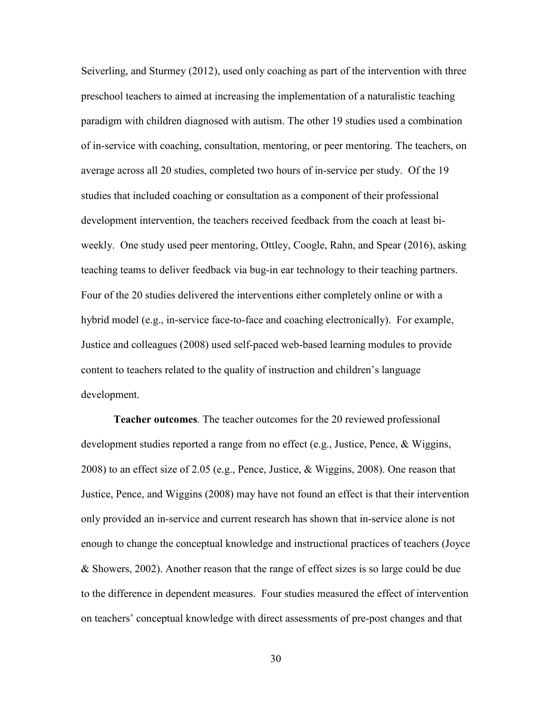Seiverling, and Sturmey (2012), used only coaching as part of the intervention with three preschool teachers to aimed at increasing the implementation of a naturalistic teaching paradigm with children diagnosed with autism. The other 19 studies used a combination of in-service with coaching, consultation, mentoring, or peer mentoring. The teachers, on average across all 20 studies, completed two hours of in-service per study. Of the 19 studies that included coaching or consultation as a component of their professional development intervention, the teachers received feedback from the coach at least biweekly. One study used peer mentoring, Ottley, Coogle, Rahn, and Spear (2016), asking teaching teams to deliver feedback via bug-in ear technology to their teaching partners. Four of the 20 studies delivered the interventions either completely online or with a hybrid model (e.g., in-service face-to-face and coaching electronically). For example, Justice and colleagues (2008) used self-paced web-based learning modules to provide content to teachers related to the quality of instruction and children's language development.

**Teacher outcomes***.* The teacher outcomes for the 20 reviewed professional development studies reported a range from no effect (e.g., Justice, Pence, & Wiggins, 2008) to an effect size of 2.05 (e.g., Pence, Justice, & Wiggins, 2008). One reason that Justice, Pence, and Wiggins (2008) may have not found an effect is that their intervention only provided an in-service and current research has shown that in-service alone is not enough to change the conceptual knowledge and instructional practices of teachers (Joyce & Showers, 2002). Another reason that the range of effect sizes is so large could be due to the difference in dependent measures. Four studies measured the effect of intervention on teachers' conceptual knowledge with direct assessments of pre-post changes and that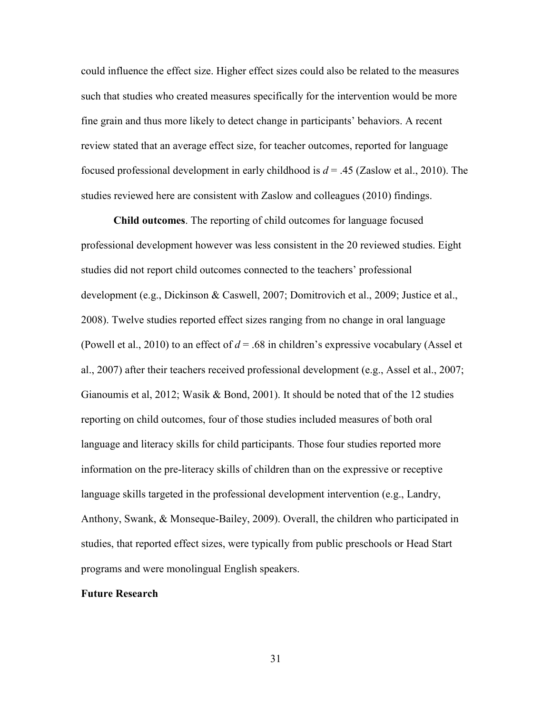could influence the effect size. Higher effect sizes could also be related to the measures such that studies who created measures specifically for the intervention would be more fine grain and thus more likely to detect change in participants' behaviors. A recent review stated that an average effect size, for teacher outcomes, reported for language focused professional development in early childhood is *d* = .45 (Zaslow et al., 2010). The studies reviewed here are consistent with Zaslow and colleagues (2010) findings.

**Child outcomes**. The reporting of child outcomes for language focused professional development however was less consistent in the 20 reviewed studies. Eight studies did not report child outcomes connected to the teachers' professional development (e.g., Dickinson & Caswell, 2007; Domitrovich et al., 2009; Justice et al., 2008). Twelve studies reported effect sizes ranging from no change in oral language (Powell et al., 2010) to an effect of  $d = .68$  in children's expressive vocabulary (Assel et al., 2007) after their teachers received professional development (e.g., Assel et al., 2007; Gianoumis et al, 2012; Wasik & Bond, 2001). It should be noted that of the 12 studies reporting on child outcomes, four of those studies included measures of both oral language and literacy skills for child participants. Those four studies reported more information on the pre-literacy skills of children than on the expressive or receptive language skills targeted in the professional development intervention (e.g., Landry, Anthony, Swank, & Monseque-Bailey, 2009). Overall, the children who participated in studies, that reported effect sizes, were typically from public preschools or Head Start programs and were monolingual English speakers.

## **Future Research**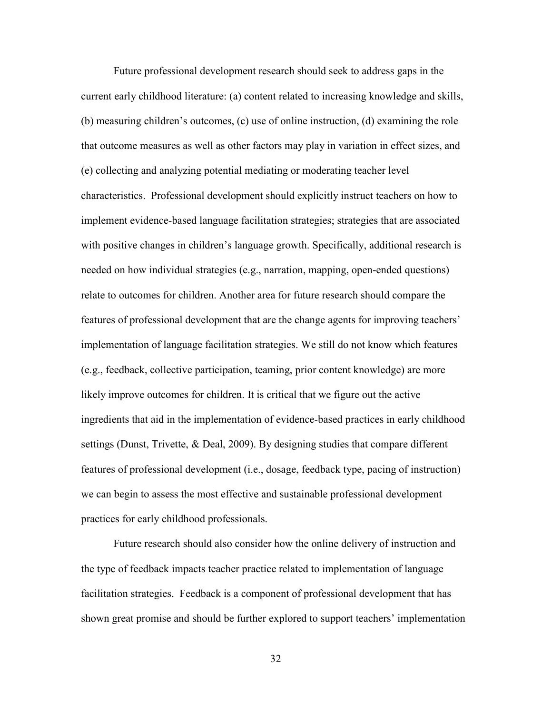Future professional development research should seek to address gaps in the current early childhood literature: (a) content related to increasing knowledge and skills, (b) measuring children's outcomes, (c) use of online instruction, (d) examining the role that outcome measures as well as other factors may play in variation in effect sizes, and (e) collecting and analyzing potential mediating or moderating teacher level characteristics. Professional development should explicitly instruct teachers on how to implement evidence-based language facilitation strategies; strategies that are associated with positive changes in children's language growth. Specifically, additional research is needed on how individual strategies (e.g., narration, mapping, open-ended questions) relate to outcomes for children. Another area for future research should compare the features of professional development that are the change agents for improving teachers' implementation of language facilitation strategies. We still do not know which features (e.g., feedback, collective participation, teaming, prior content knowledge) are more likely improve outcomes for children. It is critical that we figure out the active ingredients that aid in the implementation of evidence-based practices in early childhood settings (Dunst, Trivette, & Deal, 2009). By designing studies that compare different features of professional development (i.e., dosage, feedback type, pacing of instruction) we can begin to assess the most effective and sustainable professional development practices for early childhood professionals.

 Future research should also consider how the online delivery of instruction and the type of feedback impacts teacher practice related to implementation of language facilitation strategies. Feedback is a component of professional development that has shown great promise and should be further explored to support teachers' implementation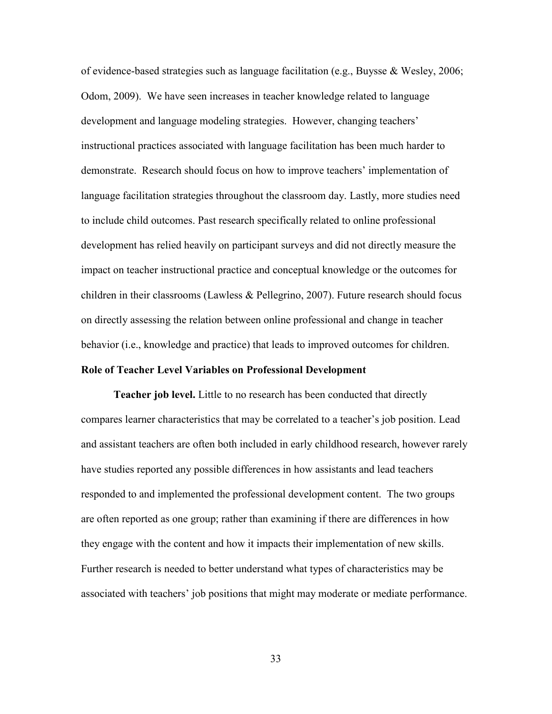of evidence-based strategies such as language facilitation (e.g., Buysse & Wesley, 2006; Odom, 2009). We have seen increases in teacher knowledge related to language development and language modeling strategies. However, changing teachers' instructional practices associated with language facilitation has been much harder to demonstrate. Research should focus on how to improve teachers' implementation of language facilitation strategies throughout the classroom day. Lastly, more studies need to include child outcomes. Past research specifically related to online professional development has relied heavily on participant surveys and did not directly measure the impact on teacher instructional practice and conceptual knowledge or the outcomes for children in their classrooms (Lawless & Pellegrino, 2007). Future research should focus on directly assessing the relation between online professional and change in teacher behavior (i.e., knowledge and practice) that leads to improved outcomes for children.

#### **Role of Teacher Level Variables on Professional Development**

 **Teacher job level.** Little to no research has been conducted that directly compares learner characteristics that may be correlated to a teacher's job position. Lead and assistant teachers are often both included in early childhood research, however rarely have studies reported any possible differences in how assistants and lead teachers responded to and implemented the professional development content. The two groups are often reported as one group; rather than examining if there are differences in how they engage with the content and how it impacts their implementation of new skills. Further research is needed to better understand what types of characteristics may be associated with teachers' job positions that might may moderate or mediate performance.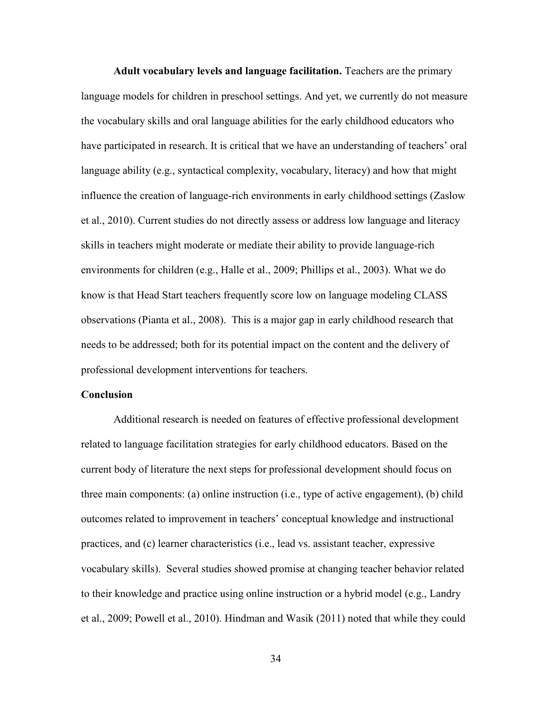**Adult vocabulary levels and language facilitation.** Teachers are the primary language models for children in preschool settings. And yet, we currently do not measure the vocabulary skills and oral language abilities for the early childhood educators who have participated in research. It is critical that we have an understanding of teachers' oral language ability (e.g., syntactical complexity, vocabulary, literacy) and how that might influence the creation of language-rich environments in early childhood settings (Zaslow et al., 2010). Current studies do not directly assess or address low language and literacy skills in teachers might moderate or mediate their ability to provide language-rich environments for children (e.g., Halle et al., 2009; Phillips et al., 2003). What we do know is that Head Start teachers frequently score low on language modeling CLASS observations (Pianta et al., 2008). This is a major gap in early childhood research that needs to be addressed; both for its potential impact on the content and the delivery of professional development interventions for teachers.

## **Conclusion**

 Additional research is needed on features of effective professional development related to language facilitation strategies for early childhood educators. Based on the current body of literature the next steps for professional development should focus on three main components: (a) online instruction (i.e., type of active engagement), (b) child outcomes related to improvement in teachers' conceptual knowledge and instructional practices, and (c) learner characteristics (i.e., lead vs. assistant teacher, expressive vocabulary skills). Several studies showed promise at changing teacher behavior related to their knowledge and practice using online instruction or a hybrid model (e.g., Landry et al., 2009; Powell et al., 2010). Hindman and Wasik (2011) noted that while they could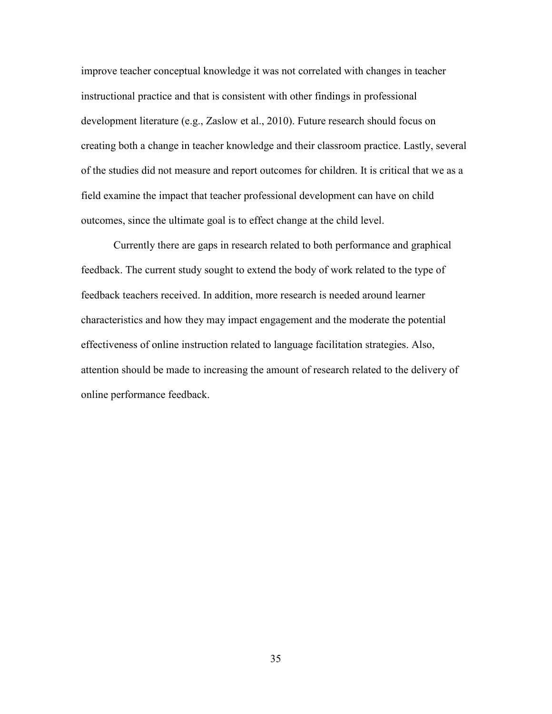improve teacher conceptual knowledge it was not correlated with changes in teacher instructional practice and that is consistent with other findings in professional development literature (e.g., Zaslow et al., 2010). Future research should focus on creating both a change in teacher knowledge and their classroom practice. Lastly, several of the studies did not measure and report outcomes for children. It is critical that we as a field examine the impact that teacher professional development can have on child outcomes, since the ultimate goal is to effect change at the child level.

 Currently there are gaps in research related to both performance and graphical feedback. The current study sought to extend the body of work related to the type of feedback teachers received. In addition, more research is needed around learner characteristics and how they may impact engagement and the moderate the potential effectiveness of online instruction related to language facilitation strategies. Also, attention should be made to increasing the amount of research related to the delivery of online performance feedback.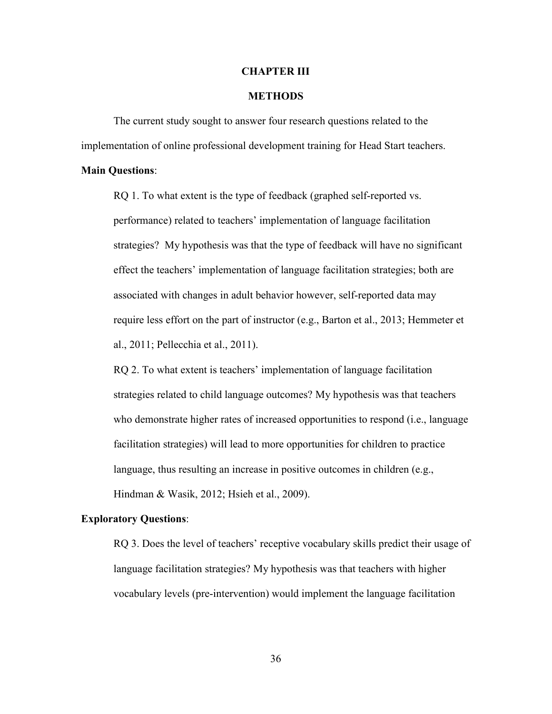#### **CHAPTER III**

# **METHODS**

The current study sought to answer four research questions related to the implementation of online professional development training for Head Start teachers.

#### **Main Questions**:

 RQ 1. To what extent is the type of feedback (graphed self-reported vs. performance) related to teachers' implementation of language facilitation strategies? My hypothesis was that the type of feedback will have no significant effect the teachers' implementation of language facilitation strategies; both are associated with changes in adult behavior however, self-reported data may require less effort on the part of instructor (e.g., Barton et al., 2013; Hemmeter et al., 2011; Pellecchia et al., 2011).

 RQ 2. To what extent is teachers' implementation of language facilitation strategies related to child language outcomes? My hypothesis was that teachers who demonstrate higher rates of increased opportunities to respond (i.e., language facilitation strategies) will lead to more opportunities for children to practice language, thus resulting an increase in positive outcomes in children (e.g., Hindman & Wasik, 2012; Hsieh et al., 2009).

#### **Exploratory Questions**:

 RQ 3. Does the level of teachers' receptive vocabulary skills predict their usage of language facilitation strategies? My hypothesis was that teachers with higher vocabulary levels (pre-intervention) would implement the language facilitation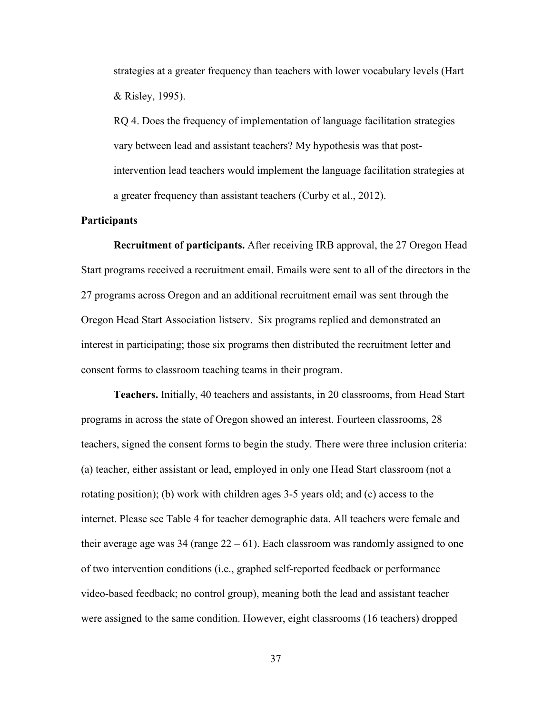strategies at a greater frequency than teachers with lower vocabulary levels (Hart & Risley, 1995).

 RQ 4. Does the frequency of implementation of language facilitation strategies vary between lead and assistant teachers? My hypothesis was that post intervention lead teachers would implement the language facilitation strategies at a greater frequency than assistant teachers (Curby et al., 2012).

## **Participants**

 **Recruitment of participants.** After receiving IRB approval, the 27 Oregon Head Start programs received a recruitment email. Emails were sent to all of the directors in the 27 programs across Oregon and an additional recruitment email was sent through the Oregon Head Start Association listserv. Six programs replied and demonstrated an interest in participating; those six programs then distributed the recruitment letter and consent forms to classroom teaching teams in their program.

 **Teachers.** Initially, 40 teachers and assistants, in 20 classrooms, from Head Start programs in across the state of Oregon showed an interest. Fourteen classrooms, 28 teachers, signed the consent forms to begin the study. There were three inclusion criteria: (a) teacher, either assistant or lead, employed in only one Head Start classroom (not a rotating position); (b) work with children ages 3-5 years old; and (c) access to the internet. Please see Table 4 for teacher demographic data. All teachers were female and their average age was 34 (range  $22 - 61$ ). Each classroom was randomly assigned to one of two intervention conditions (i.e., graphed self-reported feedback or performance video-based feedback; no control group), meaning both the lead and assistant teacher were assigned to the same condition. However, eight classrooms (16 teachers) dropped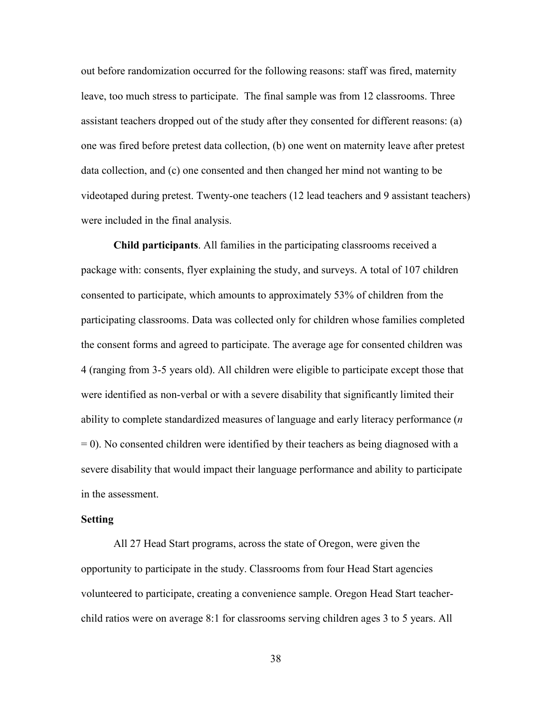out before randomization occurred for the following reasons: staff was fired, maternity leave, too much stress to participate. The final sample was from 12 classrooms. Three assistant teachers dropped out of the study after they consented for different reasons: (a) one was fired before pretest data collection, (b) one went on maternity leave after pretest data collection, and (c) one consented and then changed her mind not wanting to be videotaped during pretest. Twenty-one teachers (12 lead teachers and 9 assistant teachers) were included in the final analysis.

**Child participants**. All families in the participating classrooms received a package with: consents, flyer explaining the study, and surveys. A total of 107 children consented to participate, which amounts to approximately 53% of children from the participating classrooms. Data was collected only for children whose families completed the consent forms and agreed to participate. The average age for consented children was 4 (ranging from 3-5 years old). All children were eligible to participate except those that were identified as non-verbal or with a severe disability that significantly limited their ability to complete standardized measures of language and early literacy performance (*n*  $= 0$ ). No consented children were identified by their teachers as being diagnosed with a severe disability that would impact their language performance and ability to participate in the assessment.

#### **Setting**

All 27 Head Start programs, across the state of Oregon, were given the opportunity to participate in the study. Classrooms from four Head Start agencies volunteered to participate, creating a convenience sample. Oregon Head Start teacherchild ratios were on average 8:1 for classrooms serving children ages 3 to 5 years. All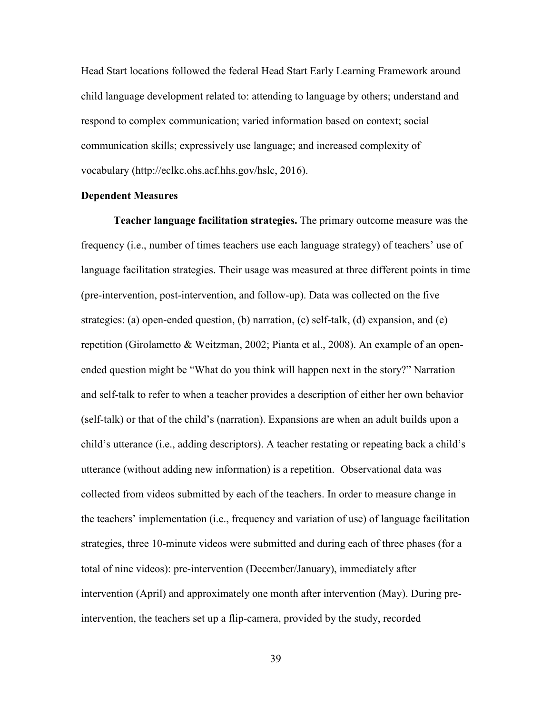Head Start locations followed the federal Head Start Early Learning Framework around child language development related to: attending to language by others; understand and respond to complex communication; varied information based on context; social communication skills; expressively use language; and increased complexity of vocabulary (http://eclkc.ohs.acf.hhs.gov/hslc, 2016).

## **Dependent Measures**

 **Teacher language facilitation strategies.** The primary outcome measure was the frequency (i.e., number of times teachers use each language strategy) of teachers' use of language facilitation strategies. Their usage was measured at three different points in time (pre-intervention, post-intervention, and follow-up). Data was collected on the five strategies: (a) open-ended question, (b) narration, (c) self-talk, (d) expansion, and (e) repetition (Girolametto & Weitzman, 2002; Pianta et al., 2008). An example of an openended question might be "What do you think will happen next in the story?" Narration and self-talk to refer to when a teacher provides a description of either her own behavior (self-talk) or that of the child's (narration). Expansions are when an adult builds upon a child's utterance (i.e., adding descriptors). A teacher restating or repeating back a child's utterance (without adding new information) is a repetition. Observational data was collected from videos submitted by each of the teachers. In order to measure change in the teachers' implementation (i.e., frequency and variation of use) of language facilitation strategies, three 10-minute videos were submitted and during each of three phases (for a total of nine videos): pre-intervention (December/January), immediately after intervention (April) and approximately one month after intervention (May). During preintervention, the teachers set up a flip-camera, provided by the study, recorded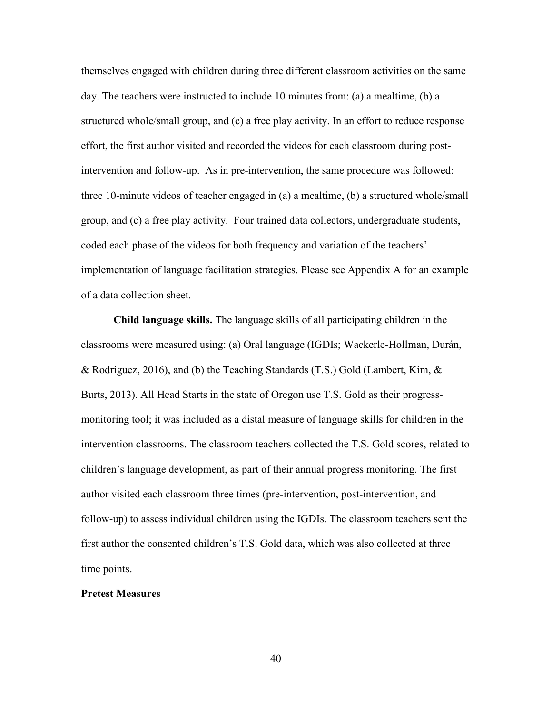themselves engaged with children during three different classroom activities on the same day. The teachers were instructed to include 10 minutes from: (a) a mealtime, (b) a structured whole/small group, and (c) a free play activity. In an effort to reduce response effort, the first author visited and recorded the videos for each classroom during postintervention and follow-up. As in pre-intervention, the same procedure was followed: three 10-minute videos of teacher engaged in (a) a mealtime, (b) a structured whole/small group, and (c) a free play activity. Four trained data collectors, undergraduate students, coded each phase of the videos for both frequency and variation of the teachers' implementation of language facilitation strategies. Please see Appendix A for an example of a data collection sheet.

**Child language skills.** The language skills of all participating children in the classrooms were measured using: (a) Oral language (IGDIs; Wackerle-Hollman, Durán, & Rodriguez, 2016), and (b) the Teaching Standards (T.S.) Gold (Lambert, Kim,  $\&$ Burts, 2013). All Head Starts in the state of Oregon use T.S. Gold as their progressmonitoring tool; it was included as a distal measure of language skills for children in the intervention classrooms. The classroom teachers collected the T.S. Gold scores, related to children's language development, as part of their annual progress monitoring. The first author visited each classroom three times (pre-intervention, post-intervention, and follow-up) to assess individual children using the IGDIs. The classroom teachers sent the first author the consented children's T.S. Gold data, which was also collected at three time points.

#### **Pretest Measures**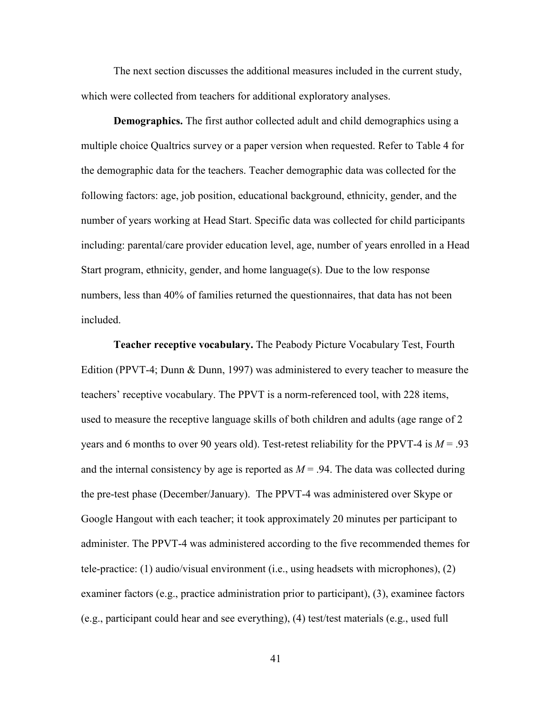The next section discusses the additional measures included in the current study, which were collected from teachers for additional exploratory analyses.

 **Demographics.** The first author collected adult and child demographics using a multiple choice Qualtrics survey or a paper version when requested. Refer to Table 4 for the demographic data for the teachers. Teacher demographic data was collected for the following factors: age, job position, educational background, ethnicity, gender, and the number of years working at Head Start. Specific data was collected for child participants including: parental/care provider education level, age, number of years enrolled in a Head Start program, ethnicity, gender, and home language(s). Due to the low response numbers, less than 40% of families returned the questionnaires, that data has not been included.

**Teacher receptive vocabulary.** The Peabody Picture Vocabulary Test, Fourth Edition (PPVT-4; Dunn & Dunn, 1997) was administered to every teacher to measure the teachers' receptive vocabulary. The PPVT is a norm-referenced tool, with 228 items, used to measure the receptive language skills of both children and adults (age range of 2 years and 6 months to over 90 years old). Test-retest reliability for the PPVT-4 is  $M = .93$ and the internal consistency by age is reported as  $M = .94$ . The data was collected during the pre-test phase (December/January). The PPVT-4 was administered over Skype or Google Hangout with each teacher; it took approximately 20 minutes per participant to administer. The PPVT-4 was administered according to the five recommended themes for tele-practice: (1) audio/visual environment (i.e., using headsets with microphones), (2) examiner factors (e.g., practice administration prior to participant), (3), examinee factors (e.g., participant could hear and see everything), (4) test/test materials (e.g., used full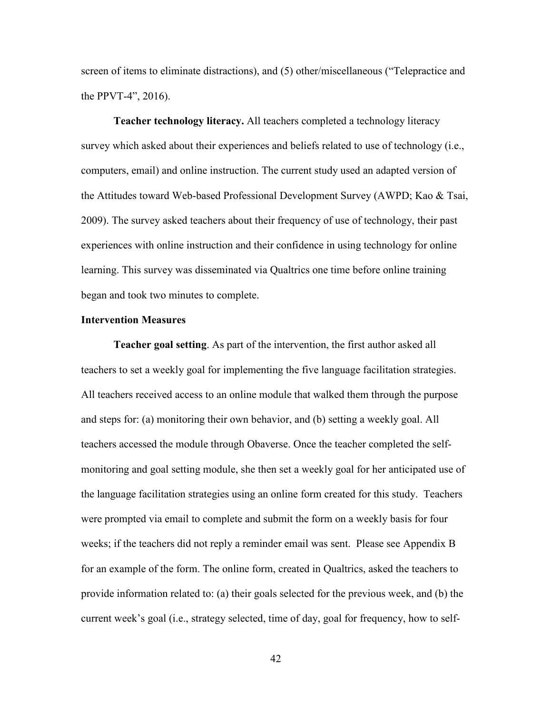screen of items to eliminate distractions), and (5) other/miscellaneous ("Telepractice and the PPVT-4", 2016).

**Teacher technology literacy.** All teachers completed a technology literacy survey which asked about their experiences and beliefs related to use of technology (i.e., computers, email) and online instruction. The current study used an adapted version of the Attitudes toward Web-based Professional Development Survey (AWPD; Kao & Tsai, 2009). The survey asked teachers about their frequency of use of technology, their past experiences with online instruction and their confidence in using technology for online learning. This survey was disseminated via Qualtrics one time before online training began and took two minutes to complete.

#### **Intervention Measures**

**Teacher goal setting**. As part of the intervention, the first author asked all teachers to set a weekly goal for implementing the five language facilitation strategies. All teachers received access to an online module that walked them through the purpose and steps for: (a) monitoring their own behavior, and (b) setting a weekly goal. All teachers accessed the module through Obaverse. Once the teacher completed the selfmonitoring and goal setting module, she then set a weekly goal for her anticipated use of the language facilitation strategies using an online form created for this study. Teachers were prompted via email to complete and submit the form on a weekly basis for four weeks; if the teachers did not reply a reminder email was sent. Please see Appendix B for an example of the form. The online form, created in Qualtrics, asked the teachers to provide information related to: (a) their goals selected for the previous week, and (b) the current week's goal (i.e., strategy selected, time of day, goal for frequency, how to self-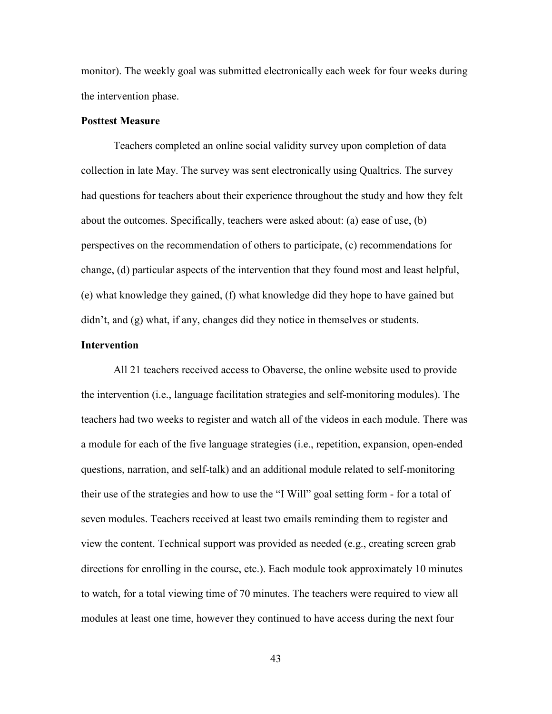monitor). The weekly goal was submitted electronically each week for four weeks during the intervention phase.

# **Posttest Measure**

 Teachers completed an online social validity survey upon completion of data collection in late May. The survey was sent electronically using Qualtrics. The survey had questions for teachers about their experience throughout the study and how they felt about the outcomes. Specifically, teachers were asked about: (a) ease of use, (b) perspectives on the recommendation of others to participate, (c) recommendations for change, (d) particular aspects of the intervention that they found most and least helpful, (e) what knowledge they gained, (f) what knowledge did they hope to have gained but didn't, and (g) what, if any, changes did they notice in themselves or students.

## **Intervention**

All 21 teachers received access to Obaverse, the online website used to provide the intervention (i.e., language facilitation strategies and self-monitoring modules). The teachers had two weeks to register and watch all of the videos in each module. There was a module for each of the five language strategies (i.e., repetition, expansion, open-ended questions, narration, and self-talk) and an additional module related to self-monitoring their use of the strategies and how to use the "I Will" goal setting form - for a total of seven modules. Teachers received at least two emails reminding them to register and view the content. Technical support was provided as needed (e.g., creating screen grab directions for enrolling in the course, etc.). Each module took approximately 10 minutes to watch, for a total viewing time of 70 minutes. The teachers were required to view all modules at least one time, however they continued to have access during the next four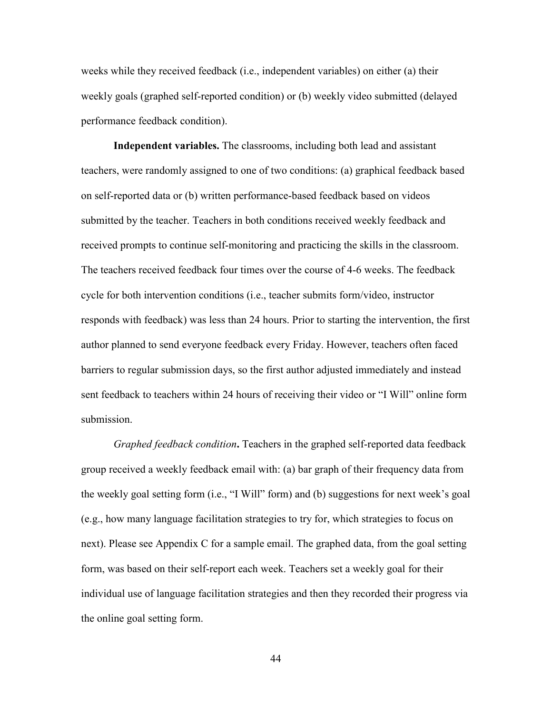weeks while they received feedback (i.e., independent variables) on either (a) their weekly goals (graphed self-reported condition) or (b) weekly video submitted (delayed performance feedback condition).

 **Independent variables.** The classrooms, including both lead and assistant teachers, were randomly assigned to one of two conditions: (a) graphical feedback based on self-reported data or (b) written performance-based feedback based on videos submitted by the teacher. Teachers in both conditions received weekly feedback and received prompts to continue self-monitoring and practicing the skills in the classroom. The teachers received feedback four times over the course of 4-6 weeks. The feedback cycle for both intervention conditions (i.e., teacher submits form/video, instructor responds with feedback) was less than 24 hours. Prior to starting the intervention, the first author planned to send everyone feedback every Friday. However, teachers often faced barriers to regular submission days, so the first author adjusted immediately and instead sent feedback to teachers within 24 hours of receiving their video or "I Will" online form submission.

*Graphed feedback condition***.** Teachers in the graphed self-reported data feedback group received a weekly feedback email with: (a) bar graph of their frequency data from the weekly goal setting form (i.e., "I Will" form) and (b) suggestions for next week's goal (e.g., how many language facilitation strategies to try for, which strategies to focus on next). Please see Appendix C for a sample email. The graphed data, from the goal setting form, was based on their self-report each week. Teachers set a weekly goal for their individual use of language facilitation strategies and then they recorded their progress via the online goal setting form.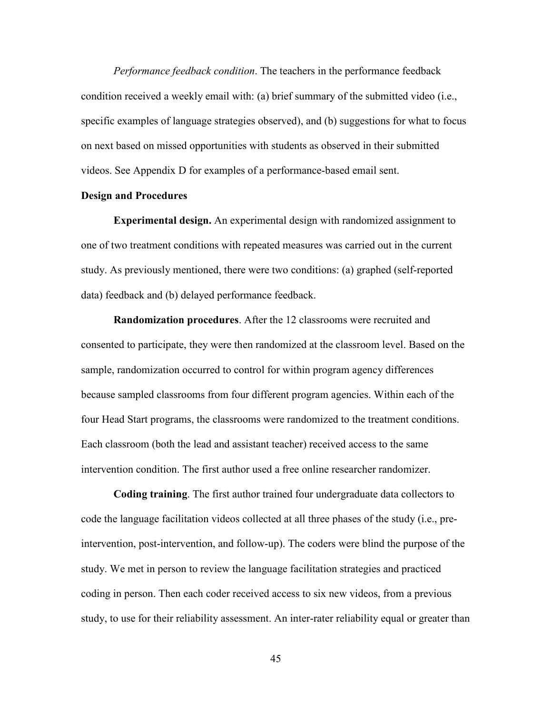*Performance feedback condition*. The teachers in the performance feedback condition received a weekly email with: (a) brief summary of the submitted video (i.e., specific examples of language strategies observed), and (b) suggestions for what to focus on next based on missed opportunities with students as observed in their submitted videos. See Appendix D for examples of a performance-based email sent.

## **Design and Procedures**

 **Experimental design.** An experimental design with randomized assignment to one of two treatment conditions with repeated measures was carried out in the current study. As previously mentioned, there were two conditions: (a) graphed (self-reported data) feedback and (b) delayed performance feedback.

**Randomization procedures**. After the 12 classrooms were recruited and consented to participate, they were then randomized at the classroom level. Based on the sample, randomization occurred to control for within program agency differences because sampled classrooms from four different program agencies. Within each of the four Head Start programs, the classrooms were randomized to the treatment conditions. Each classroom (both the lead and assistant teacher) received access to the same intervention condition. The first author used a free online researcher randomizer.

**Coding training**. The first author trained four undergraduate data collectors to code the language facilitation videos collected at all three phases of the study (i.e., preintervention, post-intervention, and follow-up). The coders were blind the purpose of the study. We met in person to review the language facilitation strategies and practiced coding in person. Then each coder received access to six new videos, from a previous study, to use for their reliability assessment. An inter-rater reliability equal or greater than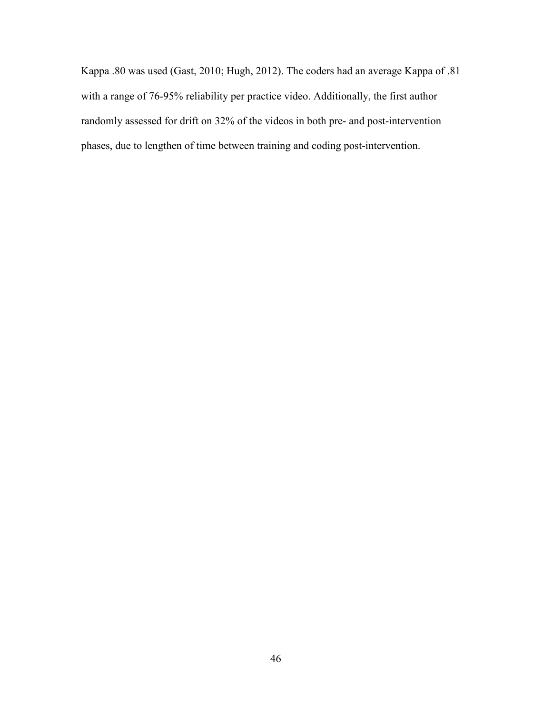Kappa .80 was used (Gast, 2010; Hugh, 2012). The coders had an average Kappa of .81 with a range of 76-95% reliability per practice video. Additionally, the first author randomly assessed for drift on 32% of the videos in both pre- and post-intervention phases, due to lengthen of time between training and coding post-intervention.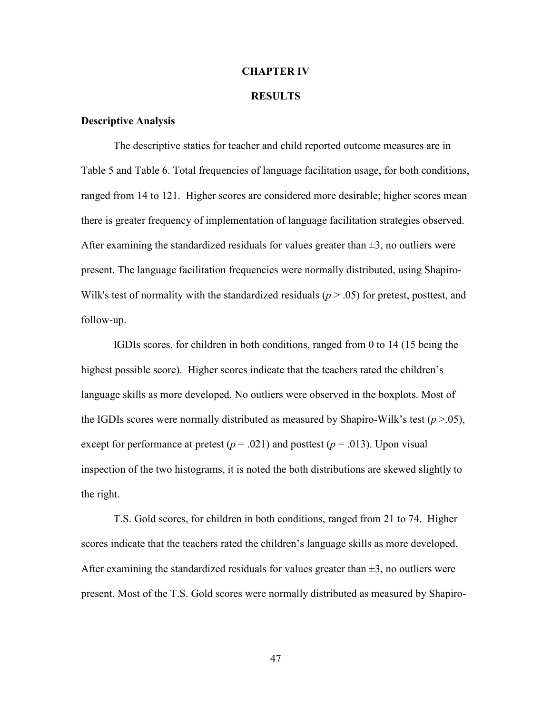#### **CHAPTER IV**

### **RESULTS**

## **Descriptive Analysis**

 The descriptive statics for teacher and child reported outcome measures are in Table 5 and Table 6. Total frequencies of language facilitation usage, for both conditions, ranged from 14 to 121. Higher scores are considered more desirable; higher scores mean there is greater frequency of implementation of language facilitation strategies observed. After examining the standardized residuals for values greater than  $\pm 3$ , no outliers were present. The language facilitation frequencies were normally distributed, using Shapiro-Wilk's test of normality with the standardized residuals  $(p > .05)$  for pretest, posttest, and follow-up.

 IGDIs scores, for children in both conditions, ranged from 0 to 14 (15 being the highest possible score). Higher scores indicate that the teachers rated the children's language skills as more developed. No outliers were observed in the boxplots. Most of the IGDIs scores were normally distributed as measured by Shapiro-Wilk's test  $(p > 0.05)$ , except for performance at pretest ( $p = .021$ ) and posttest ( $p = .013$ ). Upon visual inspection of the two histograms, it is noted the both distributions are skewed slightly to the right.

 T.S. Gold scores, for children in both conditions, ranged from 21 to 74. Higher scores indicate that the teachers rated the children's language skills as more developed. After examining the standardized residuals for values greater than  $\pm 3$ , no outliers were present. Most of the T.S. Gold scores were normally distributed as measured by Shapiro-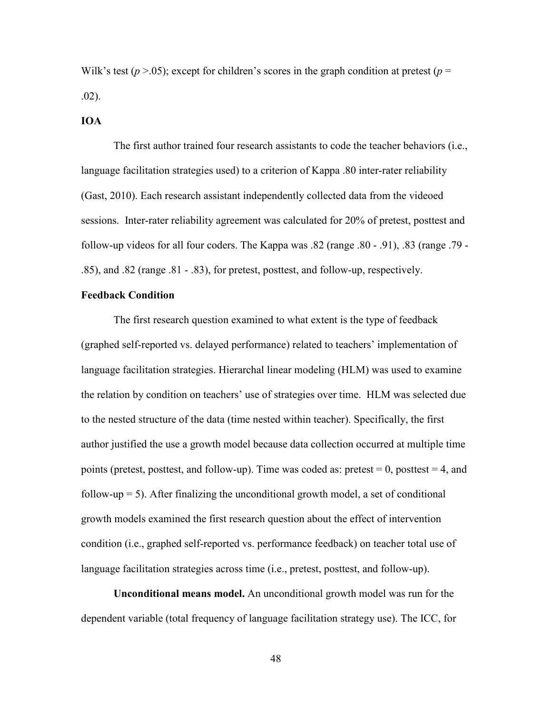Wilk's test ( $p > 0.05$ ); except for children's scores in the graph condition at pretest ( $p =$ .02).

## **IOA**

The first author trained four research assistants to code the teacher behaviors (i.e., language facilitation strategies used) to a criterion of Kappa .80 inter-rater reliability (Gast, 2010). Each research assistant independently collected data from the videoed sessions. Inter-rater reliability agreement was calculated for 20% of pretest, posttest and follow-up videos for all four coders. The Kappa was  $.82$  (range  $.80 - .91$ ),  $.83$  (range  $.79 -$ .85), and .82 (range .81 - .83), for pretest, posttest, and follow-up, respectively.

## **Feedback Condition**

 The first research question examined to what extent is the type of feedback (graphed self-reported vs. delayed performance) related to teachers' implementation of language facilitation strategies. Hierarchal linear modeling (HLM) was used to examine the relation by condition on teachers' use of strategies over time. HLM was selected due to the nested structure of the data (time nested within teacher). Specifically, the first author justified the use a growth model because data collection occurred at multiple time points (pretest, posttest, and follow-up). Time was coded as: pretest  $= 0$ , posttest  $= 4$ , and follow-up  $= 5$ ). After finalizing the unconditional growth model, a set of conditional growth models examined the first research question about the effect of intervention condition (i.e., graphed self-reported vs. performance feedback) on teacher total use of language facilitation strategies across time (i.e., pretest, posttest, and follow-up).

 **Unconditional means model.** An unconditional growth model was run for the dependent variable (total frequency of language facilitation strategy use). The ICC, for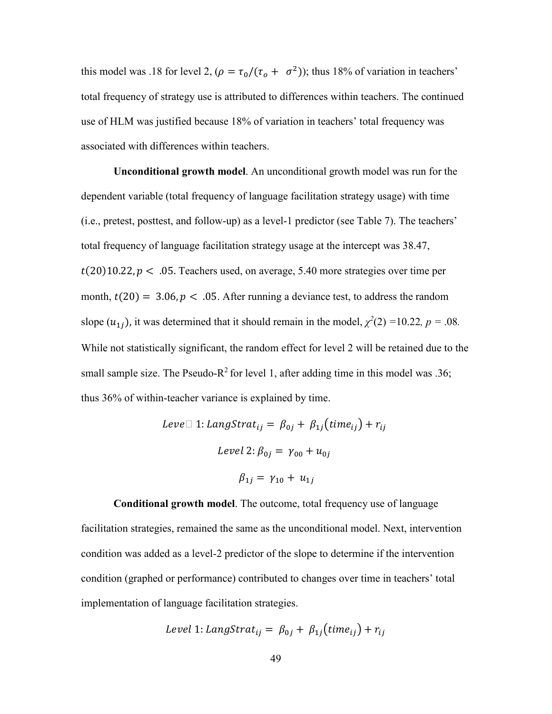this model was .18 for level 2,  $(\rho = \tau_0/(\tau_o + \sigma^2))$ ; thus 18% of variation in teachers' total frequency of strategy use is attributed to differences within teachers. The continued use of HLM was justified because 18% of variation in teachers' total frequency was associated with differences within teachers.

**Unconditional growth model**. An unconditional growth model was run for the dependent variable (total frequency of language facilitation strategy usage) with time (i.e., pretest, posttest, and follow-up) as a level-1 predictor (see Table 7). The teachers' total frequency of language facilitation strategy usage at the intercept was 38.47,  $t(20)10.22$ ,  $p < .05$ . Teachers used, on average, 5.40 more strategies over time per month,  $t(20) = 3.06$ ,  $p < .05$ . After running a deviance test, to address the random slope  $(u_{1j})$ , it was determined that it should remain in the model,  $\chi^2(2) = 10.22$ ,  $p = .08$ . While not statistically significant, the random effect for level 2 will be retained due to the small sample size. The Pseudo-R<sup>2</sup> for level 1, after adding time in this model was .36; thus 36% of within-teacher variance is explained by time.

$$
Level\ 1: LangStrat_{ij} = \beta_{0j} + \beta_{1j}(time_{ij}) + r_{ij}
$$

$$
Level\ 2: \beta_{0j} = \gamma_{00} + u_{0j}
$$

$$
\beta_{1j} = \gamma_{10} + u_{1j}
$$

 **Conditional growth model**. The outcome, total frequency use of language facilitation strategies, remained the same as the unconditional model. Next, intervention condition was added as a level-2 predictor of the slope to determine if the intervention condition (graphed or performance) contributed to changes over time in teachers' total implementation of language facilitation strategies.

Level 1: LangStrat<sub>ij</sub> = 
$$
\beta_{0j} + \beta_{1j}(time_{ij}) + r_{ij}
$$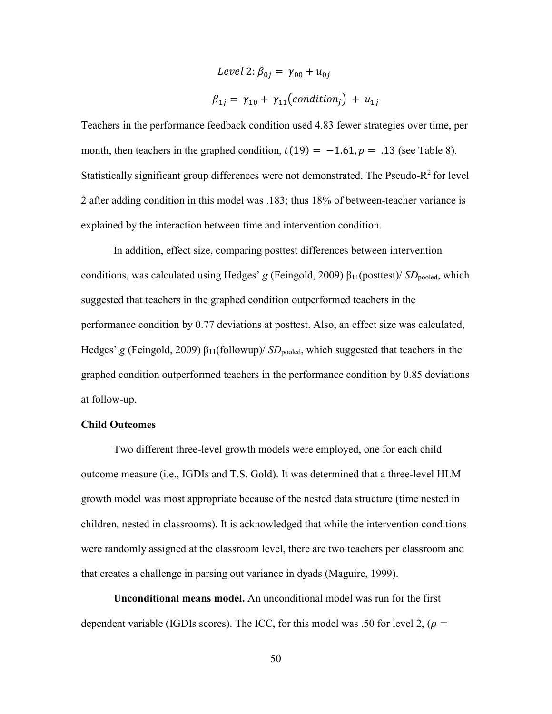Level 2: 
$$
\beta_{0j} = \gamma_{00} + u_{0j}
$$

\n $\beta_{1j} = \gamma_{10} + \gamma_{11}(\text{condition}_j) + u_{1j}$ 

Teachers in the performance feedback condition used 4.83 fewer strategies over time, per month, then teachers in the graphed condition,  $t(19) = -1.61$ ,  $p = .13$  (see Table 8). Statistically significant group differences were not demonstrated. The Pseudo- $R^2$  for level 2 after adding condition in this model was .183; thus 18% of between-teacher variance is explained by the interaction between time and intervention condition.

 In addition, effect size, comparing posttest differences between intervention conditions, was calculated using Hedges' *g* (Feingold, 2009) β<sub>11</sub>(posttest)/ *SD*<sub>pooled</sub>, which suggested that teachers in the graphed condition outperformed teachers in the performance condition by 0.77 deviations at posttest. Also, an effect size was calculated, Hedges' *g* (Feingold, 2009) β<sub>11</sub>(followup)/ *SD*<sub>pooled</sub>, which suggested that teachers in the graphed condition outperformed teachers in the performance condition by 0.85 deviations at follow-up.

## **Child Outcomes**

 Two different three-level growth models were employed, one for each child outcome measure (i.e., IGDIs and T.S. Gold). It was determined that a three-level HLM growth model was most appropriate because of the nested data structure (time nested in children, nested in classrooms). It is acknowledged that while the intervention conditions were randomly assigned at the classroom level, there are two teachers per classroom and that creates a challenge in parsing out variance in dyads (Maguire, 1999).

**Unconditional means model.** An unconditional model was run for the first dependent variable (IGDIs scores). The ICC, for this model was .50 for level 2, ( $\rho =$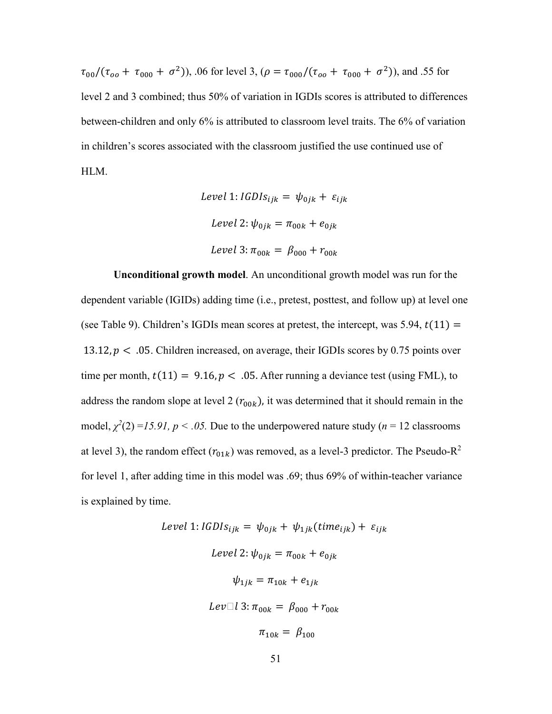$\tau_{00}/(\tau_{oo} + \tau_{000} + \sigma^2)$ , 06 for level 3, ( $\rho = \tau_{000}/(\tau_{oo} + \tau_{000} + \sigma^2)$ ), and .55 for level 2 and 3 combined; thus 50% of variation in IGDIs scores is attributed to differences between-children and only 6% is attributed to classroom level traits. The 6% of variation in children's scores associated with the classroom justified the use continued use of HLM.

Level 1: 
$$
IGDIS_{ijk} = \psi_{0jk} + \varepsilon_{ijk}
$$

\nLevel 2:  $\psi_{0jk} = \pi_{00k} + e_{0jk}$ 

\nLevel 3:  $\pi_{00k} = \beta_{000} + r_{00k}$ 

 **Unconditional growth model**. An unconditional growth model was run for the dependent variable (IGIDs) adding time (i.e., pretest, posttest, and follow up) at level one (see Table 9). Children's IGDIs mean scores at pretest, the intercept, was  $5.94$ ,  $t(11) =$ 13.12,  $p < .05$ . Children increased, on average, their IGDIs scores by 0.75 points over time per month,  $t(11) = 9.16$ ,  $p < .05$ . After running a deviance test (using FML), to address the random slope at level 2  $(r_{00k})$ , it was determined that it should remain in the model,  $\chi^2(2) = 15.91$ ,  $p < .05$ . Due to the underpowered nature study ( $n = 12$  classrooms at level 3), the random effect  $(r_{01k})$  was removed, as a level-3 predictor. The Pseudo-R<sup>2</sup> for level 1, after adding time in this model was .69; thus 69% of within-teacher variance is explained by time.

Level 1: 
$$
IGDIS_{ijk} = \psi_{0jk} + \psi_{1jk}(time_{ijk}) + \varepsilon_{ijk}
$$

\nLevel 2:  $\psi_{0jk} = \pi_{00k} + e_{0jk}$ 

\n $\psi_{1jk} = \pi_{10k} + e_{1jk}$ 

\nLevel 3:  $\pi_{00k} = \beta_{000} + r_{00k}$ 

\n $\pi_{10k} = \beta_{100}$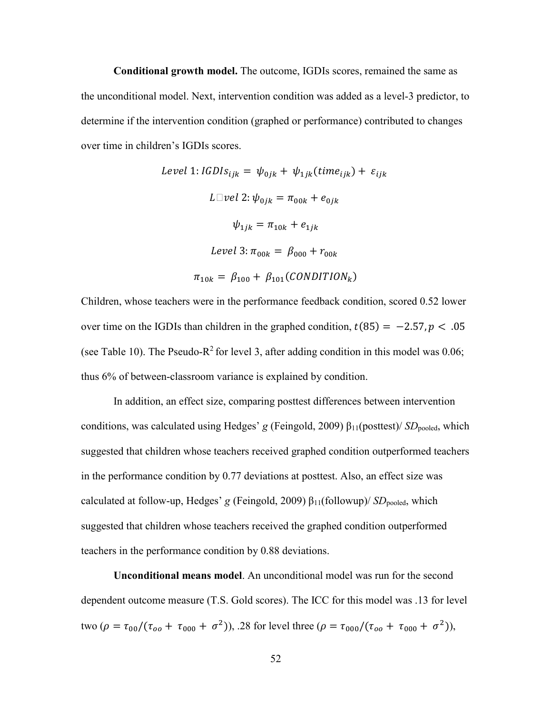**Conditional growth model.** The outcome, IGDIs scores, remained the same as the unconditional model. Next, intervention condition was added as a level-3 predictor, to determine if the intervention condition (graphed or performance) contributed to changes over time in children's IGDIs scores.

Level 1: 
$$
IGDIs_{ijk} = \psi_{0jk} + \psi_{1jk}(time_{ijk}) + \varepsilon_{ijk}
$$

\n
$$
L \Box vel \ 2: \psi_{0jk} = \pi_{00k} + e_{0jk}
$$
\n
$$
\psi_{1jk} = \pi_{10k} + e_{1jk}
$$
\nLevel 3:  $\pi_{00k} = \beta_{000} + r_{00k}$ 

\n
$$
\pi_{10k} = \beta_{100} + \beta_{101}(CONDITION_k)
$$

Children, whose teachers were in the performance feedback condition, scored 0.52 lower over time on the IGDIs than children in the graphed condition,  $t(85) = -2.57, p < .05$ (see Table 10). The Pseudo-R<sup>2</sup> for level 3, after adding condition in this model was 0.06; thus 6% of between-classroom variance is explained by condition.

 In addition, an effect size, comparing posttest differences between intervention conditions, was calculated using Hedges' *g* (Feingold, 2009) β<sub>11</sub>(posttest)/ *SD*<sub>pooled</sub>, which suggested that children whose teachers received graphed condition outperformed teachers in the performance condition by 0.77 deviations at posttest. Also, an effect size was calculated at follow-up, Hedges' *g* (Feingold, 2009)  $\beta_{11}$ (followup)/ *SD*<sub>pooled</sub>, which suggested that children whose teachers received the graphed condition outperformed teachers in the performance condition by 0.88 deviations.

 **Unconditional means model**. An unconditional model was run for the second dependent outcome measure (T.S. Gold scores). The ICC for this model was .13 for level two ( $\rho = \tau_{00}/(\tau_{oo} + \tau_{000} + \sigma^2)$ ), .28 for level three ( $\rho = \tau_{000}/(\tau_{oo} + \tau_{000} + \sigma^2)$ ),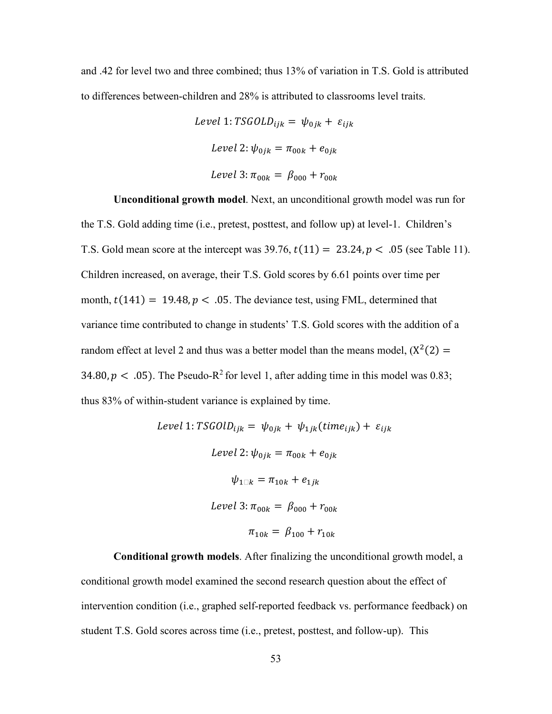and .42 for level two and three combined; thus 13% of variation in T.S. Gold is attributed to differences between-children and 28% is attributed to classrooms level traits.

> Level 1:  $TSGOLD_{ijk} = \psi_{0jk} + \varepsilon_{ijk}$ Level 2:  $\psi_{0ik} = \pi_{00k} + e_{0ik}$ Level 3:  $\pi_{00k} = \beta_{000} + r_{00k}$

 **Unconditional growth model**. Next, an unconditional growth model was run for the T.S. Gold adding time (i.e., pretest, posttest, and follow up) at level-1. Children's T.S. Gold mean score at the intercept was  $39.76$ ,  $t(11) = 23.24$ ,  $p < .05$  (see Table 11). Children increased, on average, their T.S. Gold scores by 6.61 points over time per month,  $t(141) = 19.48$ ,  $p < .05$ . The deviance test, using FML, determined that variance time contributed to change in students' T.S. Gold scores with the addition of a random effect at level 2 and thus was a better model than the means model,  $(X^2(2) =$ 34.80,  $p < .05$ ). The Pseudo-R<sup>2</sup> for level 1, after adding time in this model was 0.83; thus 83% of within-student variance is explained by time.

Level 1: 
$$
TSGOLD_{ijk} = \psi_{0jk} + \psi_{1jk}(time_{ijk}) + \varepsilon_{ijk}
$$

\nLevel 2: 
$$
\psi_{0jk} = \pi_{00k} + e_{0jk}
$$

\n
$$
\psi_{1 \square k} = \pi_{10k} + e_{1jk}
$$

\nLevel 3: 
$$
\pi_{00k} = \beta_{000} + r_{00k}
$$

\n
$$
\pi_{10k} = \beta_{100} + r_{10k}
$$

 **Conditional growth models**. After finalizing the unconditional growth model, a conditional growth model examined the second research question about the effect of intervention condition (i.e., graphed self-reported feedback vs. performance feedback) on student T.S. Gold scores across time (i.e., pretest, posttest, and follow-up). This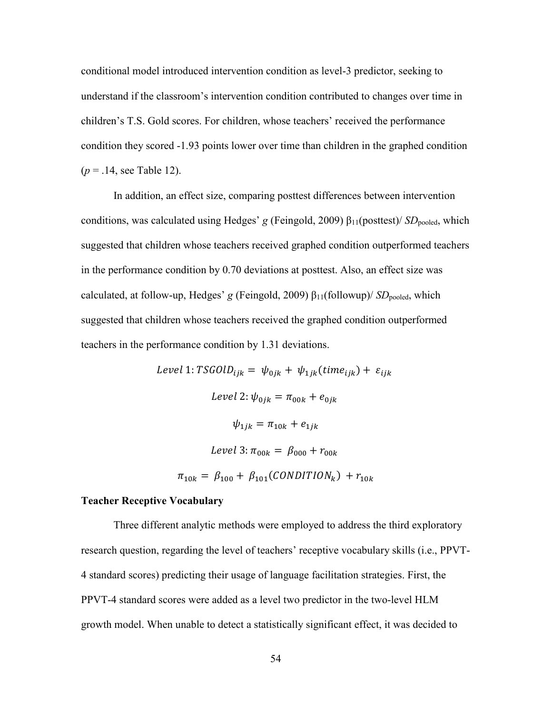conditional model introduced intervention condition as level-3 predictor, seeking to understand if the classroom's intervention condition contributed to changes over time in children's T.S. Gold scores. For children, whose teachers' received the performance condition they scored -1.93 points lower over time than children in the graphed condition (*p* = .14, see Table 12).

 In addition, an effect size, comparing posttest differences between intervention conditions, was calculated using Hedges' *g* (Feingold, 2009) β<sub>11</sub>(posttest)/ *SD*<sub>pooled</sub>, which suggested that children whose teachers received graphed condition outperformed teachers in the performance condition by 0.70 deviations at posttest. Also, an effect size was calculated, at follow-up, Hedges' *g* (Feingold, 2009)  $\beta_{11}$ (followup)/ *SD*<sub>pooled</sub>, which suggested that children whose teachers received the graphed condition outperformed teachers in the performance condition by 1.31 deviations.

> Level 1:  $TSGOLD_{ijk} = \psi_{0jk} + \psi_{1jk}(time_{ijk}) + \varepsilon_{ijk}$ Level 2:  $\psi_{0ik} = \pi_{00k} + e_{0ik}$  $\psi_{1ik} = \pi_{10k} + e_{1ik}$ Level 3:  $\pi_{00k} = \beta_{000} + r_{00k}$  $\pi_{10k} = \beta_{100} + \beta_{101}(CONDITION_k) + r_{10k}$

# **Teacher Receptive Vocabulary**

Three different analytic methods were employed to address the third exploratory research question, regarding the level of teachers' receptive vocabulary skills (i.e., PPVT-4 standard scores) predicting their usage of language facilitation strategies. First, the PPVT-4 standard scores were added as a level two predictor in the two-level HLM growth model. When unable to detect a statistically significant effect, it was decided to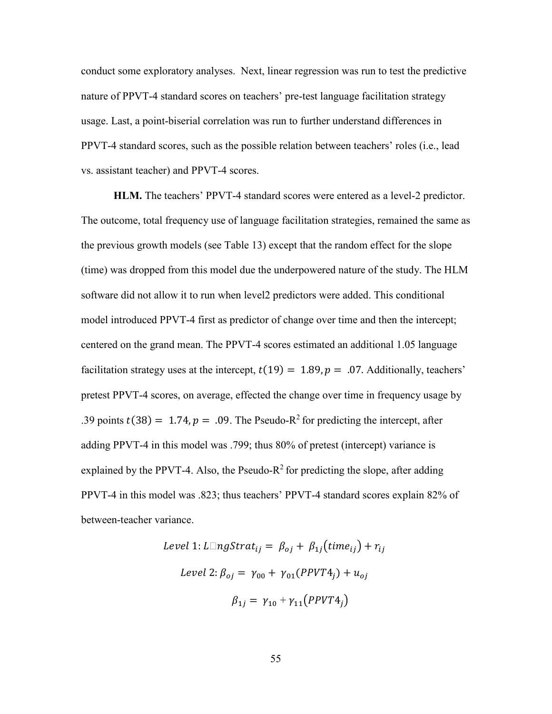conduct some exploratory analyses. Next, linear regression was run to test the predictive nature of PPVT-4 standard scores on teachers' pre-test language facilitation strategy usage. Last, a point-biserial correlation was run to further understand differences in PPVT-4 standard scores, such as the possible relation between teachers' roles (i.e., lead vs. assistant teacher) and PPVT-4 scores.

**HLM.** The teachers' PPVT-4 standard scores were entered as a level-2 predictor. The outcome, total frequency use of language facilitation strategies, remained the same as the previous growth models (see Table 13) except that the random effect for the slope (time) was dropped from this model due the underpowered nature of the study. The HLM software did not allow it to run when level2 predictors were added. This conditional model introduced PPVT-4 first as predictor of change over time and then the intercept; centered on the grand mean. The PPVT-4 scores estimated an additional 1.05 language facilitation strategy uses at the intercept,  $t(19) = 1.89$ ,  $p = .07$ . Additionally, teachers' pretest PPVT-4 scores, on average, effected the change over time in frequency usage by .39 points  $t(38) = 1.74$ ,  $p = .09$ . The Pseudo-R<sup>2</sup> for predicting the intercept, after adding PPVT-4 in this model was .799; thus 80% of pretest (intercept) variance is explained by the PPVT-4. Also, the Pseudo- $R^2$  for predicting the slope, after adding PPVT-4 in this model was .823; thus teachers' PPVT-4 standard scores explain 82% of between-teacher variance.

Level 1: 
$$
L \square ngStrat_{ij} = \beta_{oj} + \beta_{1j}(time_{ij}) + r_{ij}
$$
  
\nLevel 2:  $\beta_{oj} = \gamma_{00} + \gamma_{01}(PPVT4_j) + u_{oj}$   
\n
$$
\beta_{1j} = \gamma_{10} + \gamma_{11}(PPVT4_j)
$$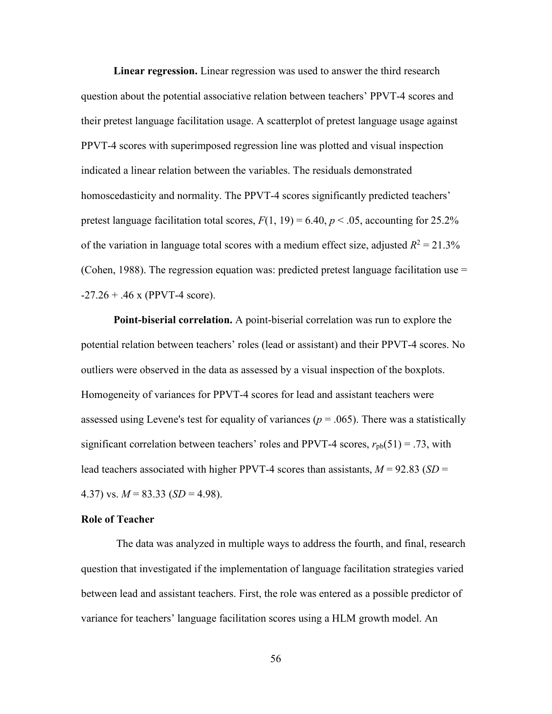**Linear regression.** Linear regression was used to answer the third research question about the potential associative relation between teachers' PPVT-4 scores and their pretest language facilitation usage. A scatterplot of pretest language usage against PPVT-4 scores with superimposed regression line was plotted and visual inspection indicated a linear relation between the variables. The residuals demonstrated homoscedasticity and normality. The PPVT-4 scores significantly predicted teachers' pretest language facilitation total scores,  $F(1, 19) = 6.40$ ,  $p < .05$ , accounting for 25.2% of the variation in language total scores with a medium effect size, adjusted  $R^2 = 21.3\%$ (Cohen, 1988). The regression equation was: predicted pretest language facilitation use  $=$  $-27.26 + .46$  x (PPVT-4 score).

 **Point-biserial correlation.** A point-biserial correlation was run to explore the potential relation between teachers' roles (lead or assistant) and their PPVT-4 scores. No outliers were observed in the data as assessed by a visual inspection of the boxplots. Homogeneity of variances for PPVT-4 scores for lead and assistant teachers were assessed using Levene's test for equality of variances ( $p = .065$ ). There was a statistically significant correlation between teachers' roles and PPVT-4 scores,  $r_{pb}(51) = .73$ , with lead teachers associated with higher PPVT-4 scores than assistants,  $M = 92.83$  (*SD* = 4.37) vs.  $M = 83.33$  (*SD* = 4.98).

#### **Role of Teacher**

The data was analyzed in multiple ways to address the fourth, and final, research question that investigated if the implementation of language facilitation strategies varied between lead and assistant teachers. First, the role was entered as a possible predictor of variance for teachers' language facilitation scores using a HLM growth model. An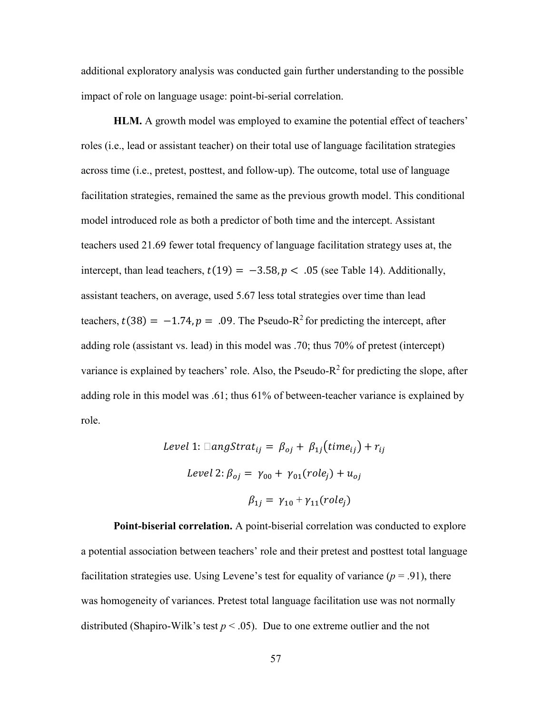additional exploratory analysis was conducted gain further understanding to the possible impact of role on language usage: point-bi-serial correlation.

**HLM.** A growth model was employed to examine the potential effect of teachers' roles (i.e., lead or assistant teacher) on their total use of language facilitation strategies across time (i.e., pretest, posttest, and follow-up). The outcome, total use of language facilitation strategies, remained the same as the previous growth model. This conditional model introduced role as both a predictor of both time and the intercept. Assistant teachers used 21.69 fewer total frequency of language facilitation strategy uses at, the intercept, than lead teachers,  $t(19) = -3.58, p < .05$  (see Table 14). Additionally, assistant teachers, on average, used 5.67 less total strategies over time than lead teachers,  $t(38) = -1.74$ ,  $p = .09$ . The Pseudo-R<sup>2</sup> for predicting the intercept, after adding role (assistant vs. lead) in this model was .70; thus 70% of pretest (intercept) variance is explained by teachers' role. Also, the Pseudo- $R^2$  for predicting the slope, after adding role in this model was .61; thus 61% of between-teacher variance is explained by role.

Level 1: 
$$
\Box
$$
angStrat<sub>ij</sub> =  $\beta_{oj} + \beta_{1j}(time_{ij}) + r_i$   
Level 2:  $\beta_{oj} = \gamma_{00} + \gamma_{01}(role_j) + u_{oj}$   

$$
\beta_{1j} = \gamma_{10} + \gamma_{11}(role_j)
$$

 **Point-biserial correlation.** A point-biserial correlation was conducted to explore a potential association between teachers' role and their pretest and posttest total language facilitation strategies use. Using Levene's test for equality of variance  $(p = .91)$ , there was homogeneity of variances. Pretest total language facilitation use was not normally distributed (Shapiro-Wilk's test  $p < .05$ ). Due to one extreme outlier and the not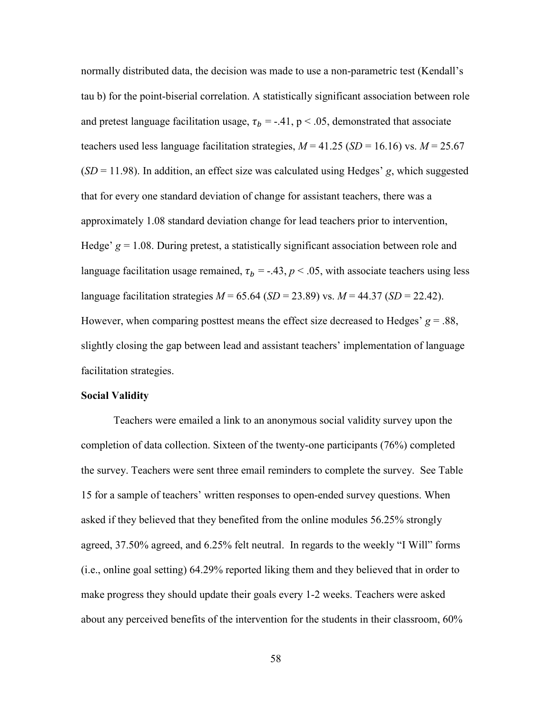normally distributed data, the decision was made to use a non-parametric test (Kendall's tau b) for the point-biserial correlation. A statistically significant association between role and pretest language facilitation usage,  $\tau_b$  = -.41, p < .05, demonstrated that associate teachers used less language facilitation strategies,  $M = 41.25$  ( $SD = 16.16$ ) vs.  $M = 25.67$ (*SD* = 11.98). In addition, an effect size was calculated using Hedges' *g*, which suggested that for every one standard deviation of change for assistant teachers, there was a approximately 1.08 standard deviation change for lead teachers prior to intervention, Hedge'  $g = 1.08$ . During pretest, a statistically significant association between role and language facilitation usage remained,  $\tau_b = -.43$ ,  $p < .05$ , with associate teachers using less language facilitation strategies  $M = 65.64$  (*SD* = 23.89) vs.  $M = 44.37$  (*SD* = 22.42). However, when comparing posttest means the effect size decreased to Hedges'  $g = .88$ , slightly closing the gap between lead and assistant teachers' implementation of language facilitation strategies.

### **Social Validity**

Teachers were emailed a link to an anonymous social validity survey upon the completion of data collection. Sixteen of the twenty-one participants (76%) completed the survey. Teachers were sent three email reminders to complete the survey. See Table 15 for a sample of teachers' written responses to open-ended survey questions. When asked if they believed that they benefited from the online modules 56.25% strongly agreed, 37.50% agreed, and 6.25% felt neutral. In regards to the weekly "I Will" forms (i.e., online goal setting) 64.29% reported liking them and they believed that in order to make progress they should update their goals every 1-2 weeks. Teachers were asked about any perceived benefits of the intervention for the students in their classroom, 60%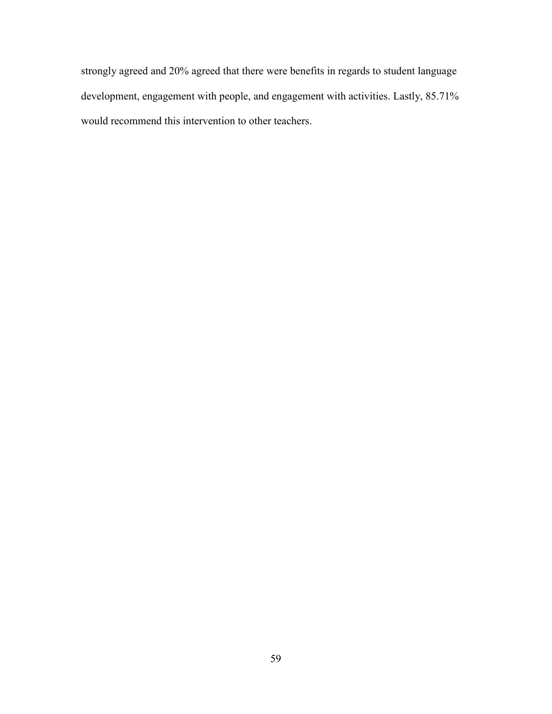strongly agreed and 20% agreed that there were benefits in regards to student language development, engagement with people, and engagement with activities. Lastly, 85.71% would recommend this intervention to other teachers.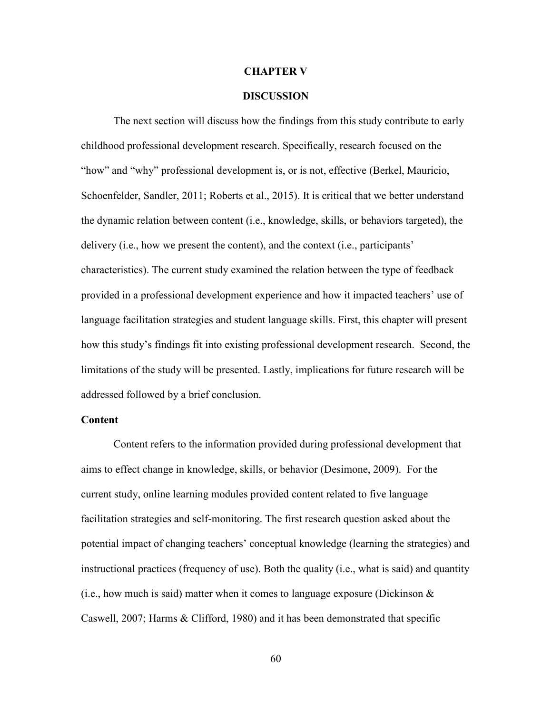#### **CHAPTER V**

# **DISCUSSION**

 The next section will discuss how the findings from this study contribute to early childhood professional development research. Specifically, research focused on the "how" and "why" professional development is, or is not, effective (Berkel, Mauricio, Schoenfelder, Sandler, 2011; Roberts et al., 2015). It is critical that we better understand the dynamic relation between content (i.e., knowledge, skills, or behaviors targeted), the delivery (i.e., how we present the content), and the context (i.e., participants' characteristics). The current study examined the relation between the type of feedback provided in a professional development experience and how it impacted teachers' use of language facilitation strategies and student language skills. First, this chapter will present how this study's findings fit into existing professional development research. Second, the limitations of the study will be presented. Lastly, implications for future research will be addressed followed by a brief conclusion.

### **Content**

 Content refers to the information provided during professional development that aims to effect change in knowledge, skills, or behavior (Desimone, 2009). For the current study, online learning modules provided content related to five language facilitation strategies and self-monitoring. The first research question asked about the potential impact of changing teachers' conceptual knowledge (learning the strategies) and instructional practices (frequency of use). Both the quality (i.e., what is said) and quantity (i.e., how much is said) matter when it comes to language exposure (Dickinson  $\&$ Caswell, 2007; Harms & Clifford, 1980) and it has been demonstrated that specific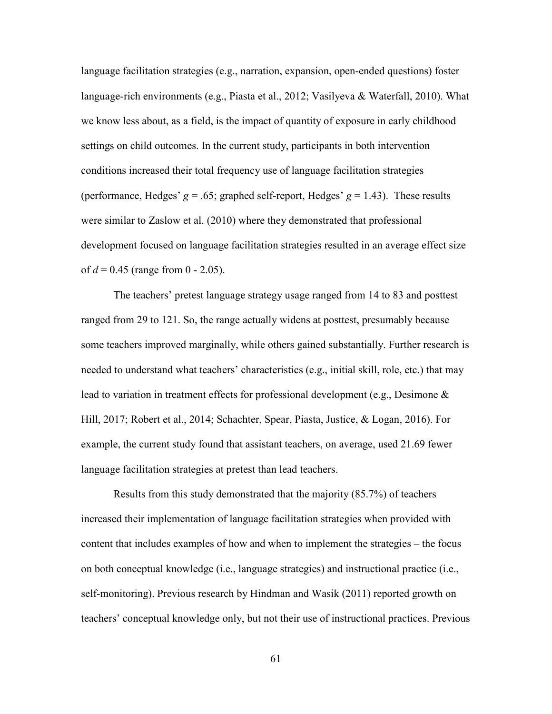language facilitation strategies (e.g., narration, expansion, open-ended questions) foster language-rich environments (e.g., Piasta et al., 2012; Vasilyeva & Waterfall, 2010). What we know less about, as a field, is the impact of quantity of exposure in early childhood settings on child outcomes. In the current study, participants in both intervention conditions increased their total frequency use of language facilitation strategies (performance, Hedges'  $g = .65$ ; graphed self-report, Hedges'  $g = 1.43$ ). These results were similar to Zaslow et al. (2010) where they demonstrated that professional development focused on language facilitation strategies resulted in an average effect size of  $d = 0.45$  (range from 0 - 2.05).

 The teachers' pretest language strategy usage ranged from 14 to 83 and posttest ranged from 29 to 121. So, the range actually widens at posttest, presumably because some teachers improved marginally, while others gained substantially. Further research is needed to understand what teachers' characteristics (e.g., initial skill, role, etc.) that may lead to variation in treatment effects for professional development (e.g., Desimone & Hill, 2017; Robert et al., 2014; Schachter, Spear, Piasta, Justice, & Logan, 2016). For example, the current study found that assistant teachers, on average, used 21.69 fewer language facilitation strategies at pretest than lead teachers.

 Results from this study demonstrated that the majority (85.7%) of teachers increased their implementation of language facilitation strategies when provided with content that includes examples of how and when to implement the strategies – the focus on both conceptual knowledge (i.e., language strategies) and instructional practice (i.e., self-monitoring). Previous research by Hindman and Wasik (2011) reported growth on teachers' conceptual knowledge only, but not their use of instructional practices. Previous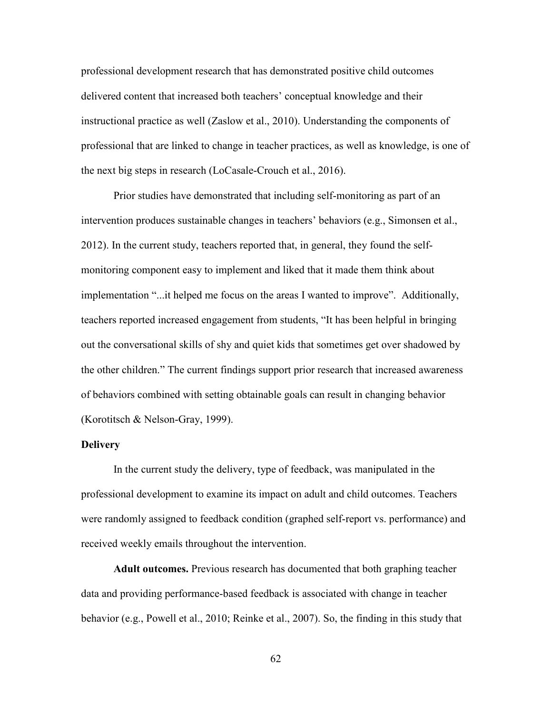professional development research that has demonstrated positive child outcomes delivered content that increased both teachers' conceptual knowledge and their instructional practice as well (Zaslow et al., 2010). Understanding the components of professional that are linked to change in teacher practices, as well as knowledge, is one of the next big steps in research (LoCasale-Crouch et al., 2016).

 Prior studies have demonstrated that including self-monitoring as part of an intervention produces sustainable changes in teachers' behaviors (e.g., Simonsen et al., 2012). In the current study, teachers reported that, in general, they found the selfmonitoring component easy to implement and liked that it made them think about implementation "...it helped me focus on the areas I wanted to improve". Additionally, teachers reported increased engagement from students, "It has been helpful in bringing out the conversational skills of shy and quiet kids that sometimes get over shadowed by the other children." The current findings support prior research that increased awareness of behaviors combined with setting obtainable goals can result in changing behavior (Korotitsch & Nelson-Gray, 1999).

### **Delivery**

In the current study the delivery, type of feedback, was manipulated in the professional development to examine its impact on adult and child outcomes. Teachers were randomly assigned to feedback condition (graphed self-report vs. performance) and received weekly emails throughout the intervention.

 **Adult outcomes.** Previous research has documented that both graphing teacher data and providing performance-based feedback is associated with change in teacher behavior (e.g., Powell et al., 2010; Reinke et al., 2007). So, the finding in this study that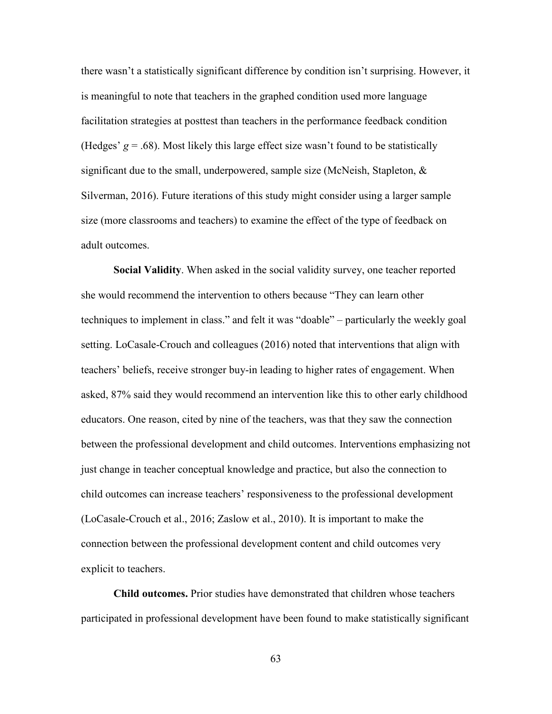there wasn't a statistically significant difference by condition isn't surprising. However, it is meaningful to note that teachers in the graphed condition used more language facilitation strategies at posttest than teachers in the performance feedback condition (Hedges'  $g = .68$ ). Most likely this large effect size wasn't found to be statistically significant due to the small, underpowered, sample size (McNeish, Stapleton,  $\&$ Silverman, 2016). Future iterations of this study might consider using a larger sample size (more classrooms and teachers) to examine the effect of the type of feedback on adult outcomes.

**Social Validity**. When asked in the social validity survey, one teacher reported she would recommend the intervention to others because "They can learn other techniques to implement in class." and felt it was "doable" – particularly the weekly goal setting. LoCasale-Crouch and colleagues (2016) noted that interventions that align with teachers' beliefs, receive stronger buy-in leading to higher rates of engagement. When asked, 87% said they would recommend an intervention like this to other early childhood educators. One reason, cited by nine of the teachers, was that they saw the connection between the professional development and child outcomes. Interventions emphasizing not just change in teacher conceptual knowledge and practice, but also the connection to child outcomes can increase teachers' responsiveness to the professional development (LoCasale-Crouch et al., 2016; Zaslow et al., 2010). It is important to make the connection between the professional development content and child outcomes very explicit to teachers.

 **Child outcomes.** Prior studies have demonstrated that children whose teachers participated in professional development have been found to make statistically significant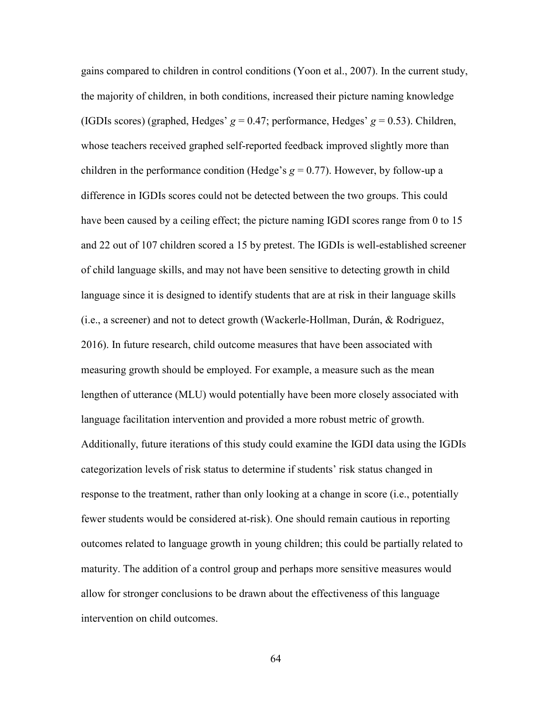gains compared to children in control conditions (Yoon et al., 2007). In the current study, the majority of children, in both conditions, increased their picture naming knowledge (IGDIs scores) (graphed, Hedges'  $g = 0.47$ ; performance, Hedges'  $g = 0.53$ ). Children, whose teachers received graphed self-reported feedback improved slightly more than children in the performance condition (Hedge's  $g = 0.77$ ). However, by follow-up a difference in IGDIs scores could not be detected between the two groups. This could have been caused by a ceiling effect; the picture naming IGDI scores range from 0 to 15 and 22 out of 107 children scored a 15 by pretest. The IGDIs is well-established screener of child language skills, and may not have been sensitive to detecting growth in child language since it is designed to identify students that are at risk in their language skills (i.e., a screener) and not to detect growth (Wackerle-Hollman, Durán, & Rodriguez, 2016). In future research, child outcome measures that have been associated with measuring growth should be employed. For example, a measure such as the mean lengthen of utterance (MLU) would potentially have been more closely associated with language facilitation intervention and provided a more robust metric of growth. Additionally, future iterations of this study could examine the IGDI data using the IGDIs categorization levels of risk status to determine if students' risk status changed in response to the treatment, rather than only looking at a change in score (i.e., potentially fewer students would be considered at-risk). One should remain cautious in reporting outcomes related to language growth in young children; this could be partially related to maturity. The addition of a control group and perhaps more sensitive measures would allow for stronger conclusions to be drawn about the effectiveness of this language intervention on child outcomes.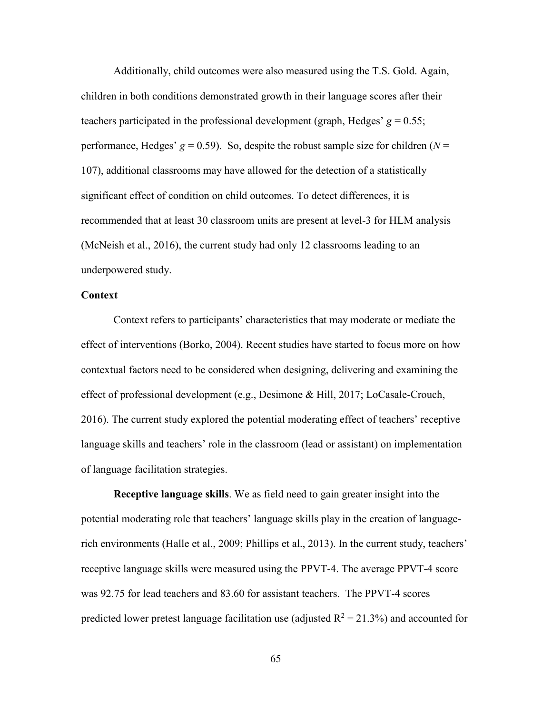Additionally, child outcomes were also measured using the T.S. Gold. Again, children in both conditions demonstrated growth in their language scores after their teachers participated in the professional development (graph, Hedges'  $g = 0.55$ ; performance, Hedges'  $g = 0.59$ ). So, despite the robust sample size for children ( $N =$ 107), additional classrooms may have allowed for the detection of a statistically significant effect of condition on child outcomes. To detect differences, it is recommended that at least 30 classroom units are present at level-3 for HLM analysis (McNeish et al., 2016), the current study had only 12 classrooms leading to an underpowered study.

### **Context**

Context refers to participants' characteristics that may moderate or mediate the effect of interventions (Borko, 2004). Recent studies have started to focus more on how contextual factors need to be considered when designing, delivering and examining the effect of professional development (e.g., Desimone & Hill, 2017; LoCasale-Crouch, 2016). The current study explored the potential moderating effect of teachers' receptive language skills and teachers' role in the classroom (lead or assistant) on implementation of language facilitation strategies.

**Receptive language skills**. We as field need to gain greater insight into the potential moderating role that teachers' language skills play in the creation of languagerich environments (Halle et al., 2009; Phillips et al., 2013). In the current study, teachers' receptive language skills were measured using the PPVT-4. The average PPVT-4 score was 92.75 for lead teachers and 83.60 for assistant teachers. The PPVT-4 scores predicted lower pretest language facilitation use (adjusted  $R^2 = 21.3\%$ ) and accounted for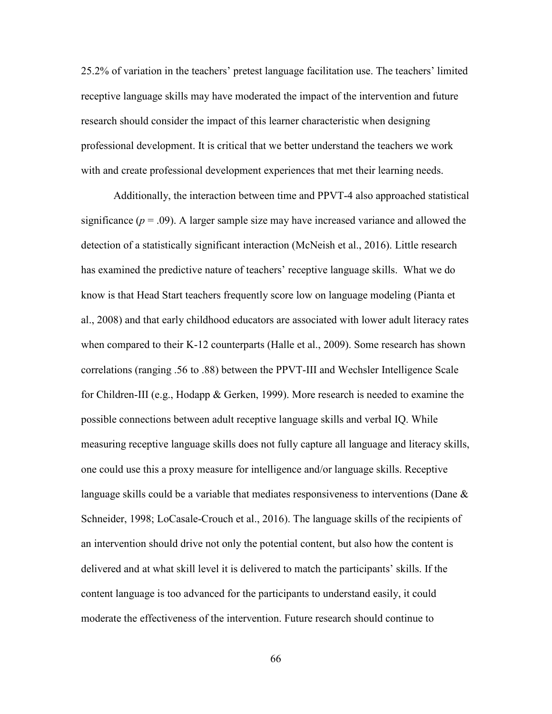25.2% of variation in the teachers' pretest language facilitation use. The teachers' limited receptive language skills may have moderated the impact of the intervention and future research should consider the impact of this learner characteristic when designing professional development. It is critical that we better understand the teachers we work with and create professional development experiences that met their learning needs.

 Additionally, the interaction between time and PPVT-4 also approached statistical significance  $(p = .09)$ . A larger sample size may have increased variance and allowed the detection of a statistically significant interaction (McNeish et al., 2016). Little research has examined the predictive nature of teachers' receptive language skills. What we do know is that Head Start teachers frequently score low on language modeling (Pianta et al., 2008) and that early childhood educators are associated with lower adult literacy rates when compared to their K-12 counterparts (Halle et al., 2009). Some research has shown correlations (ranging .56 to .88) between the PPVT-III and Wechsler Intelligence Scale for Children-III (e.g., Hodapp & Gerken, 1999). More research is needed to examine the possible connections between adult receptive language skills and verbal IQ. While measuring receptive language skills does not fully capture all language and literacy skills, one could use this a proxy measure for intelligence and/or language skills. Receptive language skills could be a variable that mediates responsiveness to interventions (Dane  $\&$ Schneider, 1998; LoCasale-Crouch et al., 2016). The language skills of the recipients of an intervention should drive not only the potential content, but also how the content is delivered and at what skill level it is delivered to match the participants' skills. If the content language is too advanced for the participants to understand easily, it could moderate the effectiveness of the intervention. Future research should continue to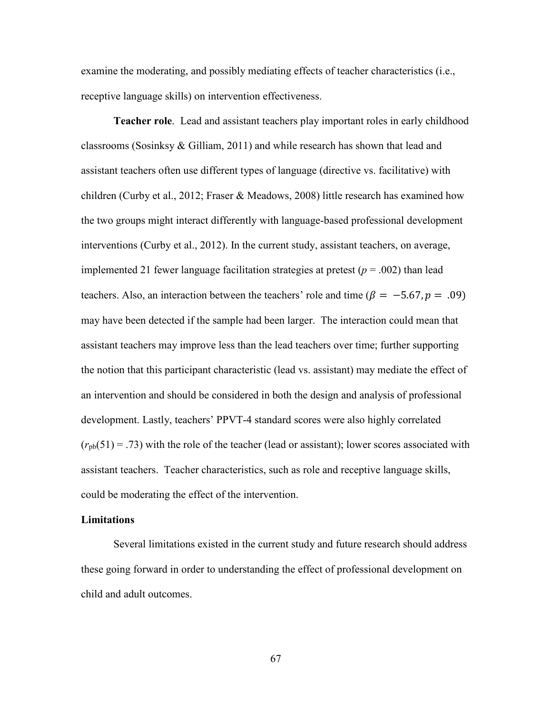examine the moderating, and possibly mediating effects of teacher characteristics (i.e., receptive language skills) on intervention effectiveness.

**Teacher role**. Lead and assistant teachers play important roles in early childhood classrooms (Sosinksy  $\&$  Gilliam, 2011) and while research has shown that lead and assistant teachers often use different types of language (directive vs. facilitative) with children (Curby et al., 2012; Fraser & Meadows, 2008) little research has examined how the two groups might interact differently with language-based professional development interventions (Curby et al., 2012). In the current study, assistant teachers, on average, implemented 21 fewer language facilitation strategies at pretest  $(p = .002)$  than lead teachers. Also, an interaction between the teachers' role and time ( $\beta = -5.67, p = .09$ ) may have been detected if the sample had been larger. The interaction could mean that assistant teachers may improve less than the lead teachers over time; further supporting the notion that this participant characteristic (lead vs. assistant) may mediate the effect of an intervention and should be considered in both the design and analysis of professional development. Lastly, teachers' PPVT-4 standard scores were also highly correlated  $(r_{pb}(51) = .73)$  with the role of the teacher (lead or assistant); lower scores associated with assistant teachers. Teacher characteristics, such as role and receptive language skills, could be moderating the effect of the intervention.

#### **Limitations**

Several limitations existed in the current study and future research should address these going forward in order to understanding the effect of professional development on child and adult outcomes.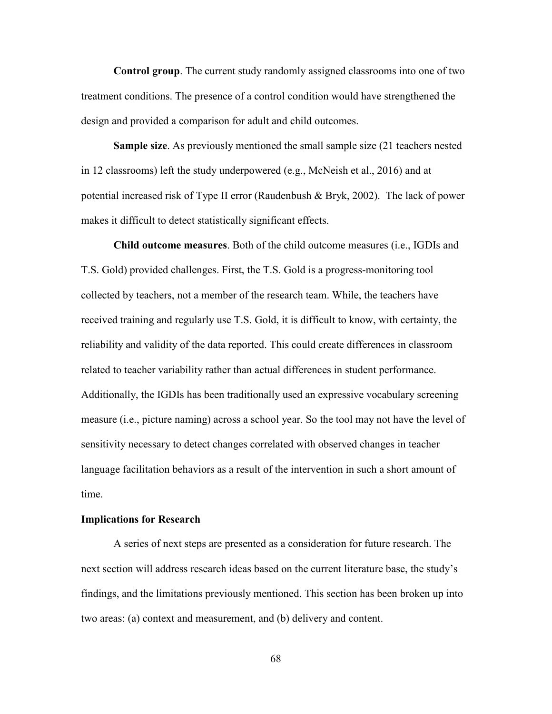**Control group**. The current study randomly assigned classrooms into one of two treatment conditions. The presence of a control condition would have strengthened the design and provided a comparison for adult and child outcomes.

**Sample size**. As previously mentioned the small sample size (21 teachers nested in 12 classrooms) left the study underpowered (e.g., McNeish et al., 2016) and at potential increased risk of Type II error (Raudenbush & Bryk, 2002). The lack of power makes it difficult to detect statistically significant effects.

**Child outcome measures**. Both of the child outcome measures (i.e., IGDIs and T.S. Gold) provided challenges. First, the T.S. Gold is a progress-monitoring tool collected by teachers, not a member of the research team. While, the teachers have received training and regularly use T.S. Gold, it is difficult to know, with certainty, the reliability and validity of the data reported. This could create differences in classroom related to teacher variability rather than actual differences in student performance. Additionally, the IGDIs has been traditionally used an expressive vocabulary screening measure (i.e., picture naming) across a school year. So the tool may not have the level of sensitivity necessary to detect changes correlated with observed changes in teacher language facilitation behaviors as a result of the intervention in such a short amount of time.

### **Implications for Research**

A series of next steps are presented as a consideration for future research. The next section will address research ideas based on the current literature base, the study's findings, and the limitations previously mentioned. This section has been broken up into two areas: (a) context and measurement, and (b) delivery and content.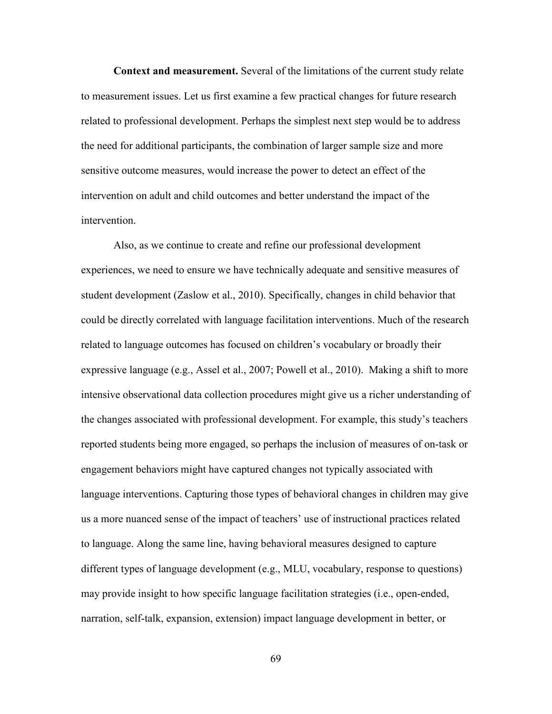**Context and measurement.** Several of the limitations of the current study relate to measurement issues. Let us first examine a few practical changes for future research related to professional development. Perhaps the simplest next step would be to address the need for additional participants, the combination of larger sample size and more sensitive outcome measures, would increase the power to detect an effect of the intervention on adult and child outcomes and better understand the impact of the intervention.

 Also, as we continue to create and refine our professional development experiences, we need to ensure we have technically adequate and sensitive measures of student development (Zaslow et al., 2010). Specifically, changes in child behavior that could be directly correlated with language facilitation interventions. Much of the research related to language outcomes has focused on children's vocabulary or broadly their expressive language (e.g., Assel et al., 2007; Powell et al., 2010). Making a shift to more intensive observational data collection procedures might give us a richer understanding of the changes associated with professional development. For example, this study's teachers reported students being more engaged, so perhaps the inclusion of measures of on-task or engagement behaviors might have captured changes not typically associated with language interventions. Capturing those types of behavioral changes in children may give us a more nuanced sense of the impact of teachers' use of instructional practices related to language. Along the same line, having behavioral measures designed to capture different types of language development (e.g., MLU, vocabulary, response to questions) may provide insight to how specific language facilitation strategies (i.e., open-ended, narration, self-talk, expansion, extension) impact language development in better, or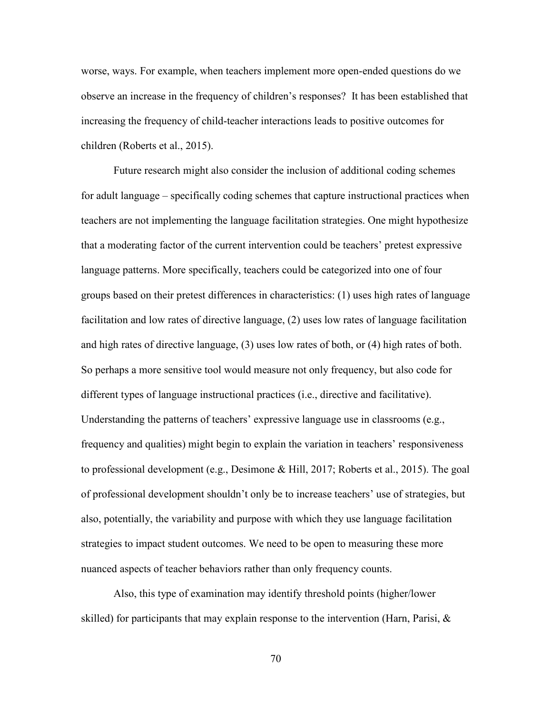worse, ways. For example, when teachers implement more open-ended questions do we observe an increase in the frequency of children's responses? It has been established that increasing the frequency of child-teacher interactions leads to positive outcomes for children (Roberts et al., 2015).

 Future research might also consider the inclusion of additional coding schemes for adult language – specifically coding schemes that capture instructional practices when teachers are not implementing the language facilitation strategies. One might hypothesize that a moderating factor of the current intervention could be teachers' pretest expressive language patterns. More specifically, teachers could be categorized into one of four groups based on their pretest differences in characteristics: (1) uses high rates of language facilitation and low rates of directive language, (2) uses low rates of language facilitation and high rates of directive language, (3) uses low rates of both, or (4) high rates of both. So perhaps a more sensitive tool would measure not only frequency, but also code for different types of language instructional practices (i.e., directive and facilitative). Understanding the patterns of teachers' expressive language use in classrooms (e.g., frequency and qualities) might begin to explain the variation in teachers' responsiveness to professional development (e.g., Desimone & Hill, 2017; Roberts et al., 2015). The goal of professional development shouldn't only be to increase teachers' use of strategies, but also, potentially, the variability and purpose with which they use language facilitation strategies to impact student outcomes. We need to be open to measuring these more nuanced aspects of teacher behaviors rather than only frequency counts.

 Also, this type of examination may identify threshold points (higher/lower skilled) for participants that may explain response to the intervention (Harn, Parisi,  $\&$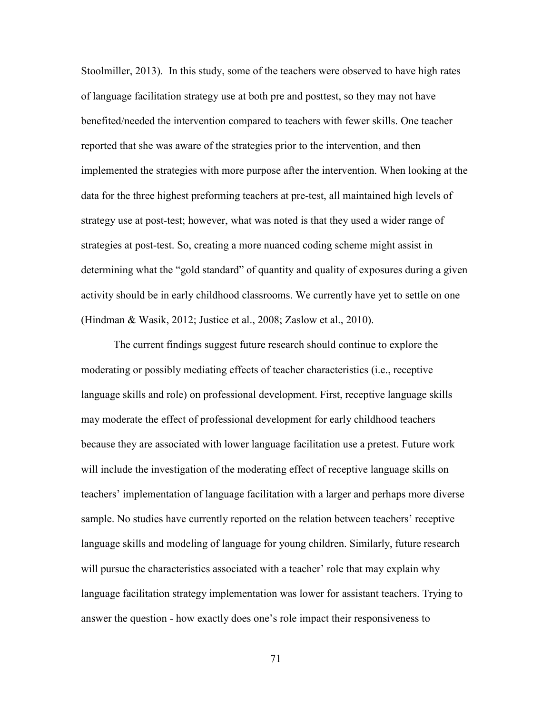Stoolmiller, 2013). In this study, some of the teachers were observed to have high rates of language facilitation strategy use at both pre and posttest, so they may not have benefited/needed the intervention compared to teachers with fewer skills. One teacher reported that she was aware of the strategies prior to the intervention, and then implemented the strategies with more purpose after the intervention. When looking at the data for the three highest preforming teachers at pre-test, all maintained high levels of strategy use at post-test; however, what was noted is that they used a wider range of strategies at post-test. So, creating a more nuanced coding scheme might assist in determining what the "gold standard" of quantity and quality of exposures during a given activity should be in early childhood classrooms. We currently have yet to settle on one (Hindman & Wasik, 2012; Justice et al., 2008; Zaslow et al., 2010).

 The current findings suggest future research should continue to explore the moderating or possibly mediating effects of teacher characteristics (i.e., receptive language skills and role) on professional development. First, receptive language skills may moderate the effect of professional development for early childhood teachers because they are associated with lower language facilitation use a pretest. Future work will include the investigation of the moderating effect of receptive language skills on teachers' implementation of language facilitation with a larger and perhaps more diverse sample. No studies have currently reported on the relation between teachers' receptive language skills and modeling of language for young children. Similarly, future research will pursue the characteristics associated with a teacher' role that may explain why language facilitation strategy implementation was lower for assistant teachers. Trying to answer the question - how exactly does one's role impact their responsiveness to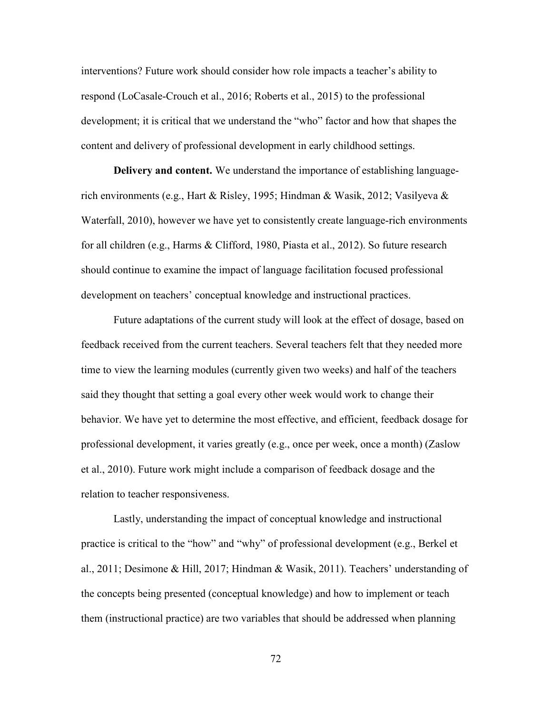interventions? Future work should consider how role impacts a teacher's ability to respond (LoCasale-Crouch et al., 2016; Roberts et al., 2015) to the professional development; it is critical that we understand the "who" factor and how that shapes the content and delivery of professional development in early childhood settings.

 **Delivery and content.** We understand the importance of establishing languagerich environments (e.g., Hart & Risley, 1995; Hindman & Wasik, 2012; Vasilyeva & Waterfall, 2010), however we have yet to consistently create language-rich environments for all children (e.g., Harms & Clifford, 1980, Piasta et al., 2012). So future research should continue to examine the impact of language facilitation focused professional development on teachers' conceptual knowledge and instructional practices.

 Future adaptations of the current study will look at the effect of dosage, based on feedback received from the current teachers. Several teachers felt that they needed more time to view the learning modules (currently given two weeks) and half of the teachers said they thought that setting a goal every other week would work to change their behavior. We have yet to determine the most effective, and efficient, feedback dosage for professional development, it varies greatly (e.g., once per week, once a month) (Zaslow et al., 2010). Future work might include a comparison of feedback dosage and the relation to teacher responsiveness.

 Lastly, understanding the impact of conceptual knowledge and instructional practice is critical to the "how" and "why" of professional development (e.g., Berkel et al., 2011; Desimone & Hill, 2017; Hindman & Wasik, 2011). Teachers' understanding of the concepts being presented (conceptual knowledge) and how to implement or teach them (instructional practice) are two variables that should be addressed when planning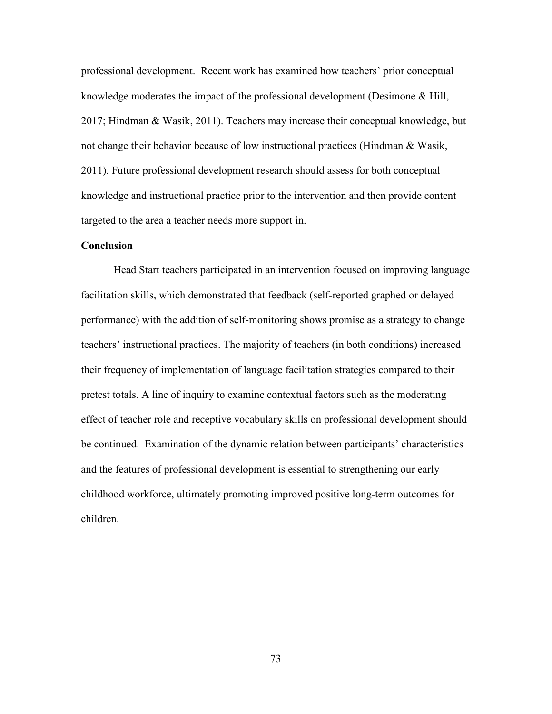professional development. Recent work has examined how teachers' prior conceptual knowledge moderates the impact of the professional development (Desimone & Hill, 2017; Hindman & Wasik, 2011). Teachers may increase their conceptual knowledge, but not change their behavior because of low instructional practices (Hindman & Wasik, 2011). Future professional development research should assess for both conceptual knowledge and instructional practice prior to the intervention and then provide content targeted to the area a teacher needs more support in.

### **Conclusion**

 Head Start teachers participated in an intervention focused on improving language facilitation skills, which demonstrated that feedback (self-reported graphed or delayed performance) with the addition of self-monitoring shows promise as a strategy to change teachers' instructional practices. The majority of teachers (in both conditions) increased their frequency of implementation of language facilitation strategies compared to their pretest totals. A line of inquiry to examine contextual factors such as the moderating effect of teacher role and receptive vocabulary skills on professional development should be continued. Examination of the dynamic relation between participants' characteristics and the features of professional development is essential to strengthening our early childhood workforce, ultimately promoting improved positive long-term outcomes for children.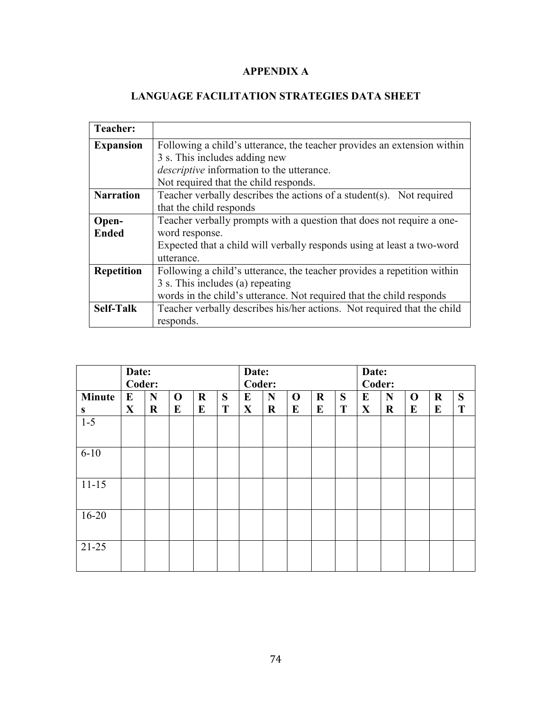# **APPENDIX A**

# **LANGUAGE FACILITATION STRATEGIES DATA SHEET**

r.

| <b>Teacher:</b>   |                                                                         |
|-------------------|-------------------------------------------------------------------------|
| <b>Expansion</b>  | Following a child's utterance, the teacher provides an extension within |
|                   | 3 s. This includes adding new                                           |
|                   | <i>descriptive</i> information to the utterance.                        |
|                   | Not required that the child responds.                                   |
| <b>Narration</b>  | Teacher verbally describes the actions of a student(s). Not required    |
|                   | that the child responds                                                 |
| Open-             | Teacher verbally prompts with a question that does not require a one-   |
| <b>Ended</b>      | word response.                                                          |
|                   | Expected that a child will verbally responds using at least a two-word  |
|                   | utterance.                                                              |
| <b>Repetition</b> | Following a child's utterance, the teacher provides a repetition within |
|                   | 3 s. This includes (a) repeating                                        |
|                   | words in the child's utterance. Not required that the child responds    |
| <b>Self-Talk</b>  | Teacher verbally describes his/her actions. Not required that the child |
|                   | responds.                                                               |

|               | Date:        |         |             | Date:   |   |              |         | Date:       |         |        |              |         |             |             |   |
|---------------|--------------|---------|-------------|---------|---|--------------|---------|-------------|---------|--------|--------------|---------|-------------|-------------|---|
|               | Coder:       |         |             |         |   | Coder:       |         |             |         | Coder: |              |         |             |             |   |
| <b>Minute</b> | E            | N       | $\mathbf 0$ | $\bf R$ | S | E            | N       | $\mathbf 0$ | $\bf R$ | S      | E            | N       | $\mathbf 0$ | $\mathbf R$ | S |
| S             | $\mathbf{X}$ | $\bf R$ | E           | E       | T | $\mathbf{X}$ | $\bf R$ | E           | E       | T      | $\mathbf{X}$ | $\bf R$ | E           | E           | T |
| $1-5$         |              |         |             |         |   |              |         |             |         |        |              |         |             |             |   |
|               |              |         |             |         |   |              |         |             |         |        |              |         |             |             |   |
| $6 - 10$      |              |         |             |         |   |              |         |             |         |        |              |         |             |             |   |
|               |              |         |             |         |   |              |         |             |         |        |              |         |             |             |   |
| $11 - 15$     |              |         |             |         |   |              |         |             |         |        |              |         |             |             |   |
|               |              |         |             |         |   |              |         |             |         |        |              |         |             |             |   |
| $16 - 20$     |              |         |             |         |   |              |         |             |         |        |              |         |             |             |   |
|               |              |         |             |         |   |              |         |             |         |        |              |         |             |             |   |
| $21 - 25$     |              |         |             |         |   |              |         |             |         |        |              |         |             |             |   |
|               |              |         |             |         |   |              |         |             |         |        |              |         |             |             |   |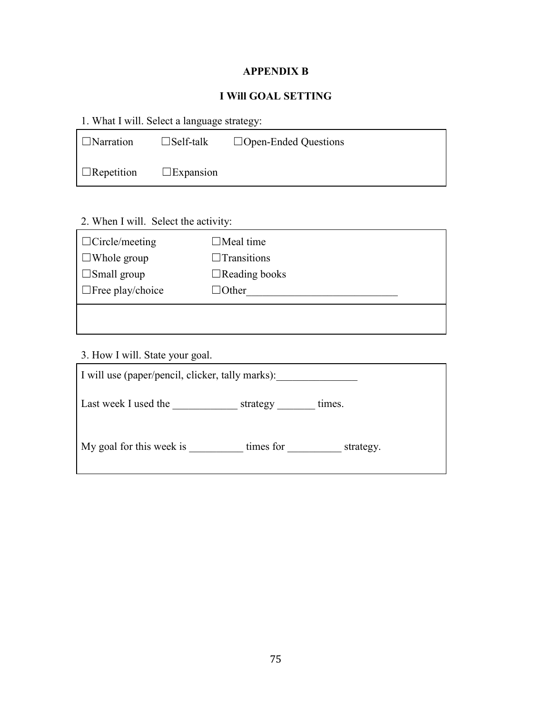# **APPENDIX B**

# **I Will GOAL SETTING**

| 1. What I will. Select a language strategy: |  |
|---------------------------------------------|--|
|---------------------------------------------|--|

| ■ □Narration      | $\square$ Self-talk | $\Box$ Open-Ended Questions |
|-------------------|---------------------|-----------------------------|
| $\Box$ Repetition | $\square$ Expansion |                             |

# 2. When I will. Select the activity:

| $\Box$ Circle/meeting   | $\square$ Meal time  |
|-------------------------|----------------------|
| $\Box$ Whole group      | $\Box$ Transitions   |
| $\Box$ Small group      | $\Box$ Reading books |
| $\Box$ Free play/choice | □Other               |
|                         |                      |
|                         |                      |

3. How I will. State your goal.

| I will use (paper/pencil, clicker, tally marks): |                        |  |  |  |  |  |  |
|--------------------------------------------------|------------------------|--|--|--|--|--|--|
| Last week I used the                             | strategy<br>times.     |  |  |  |  |  |  |
| My goal for this week is                         | times for<br>strategy. |  |  |  |  |  |  |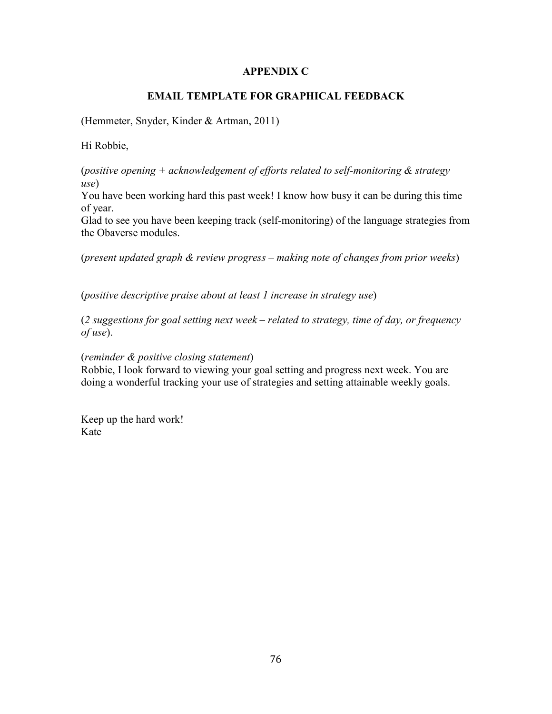## **APPENDIX C**

## **EMAIL TEMPLATE FOR GRAPHICAL FEEDBACK**

(Hemmeter, Snyder, Kinder & Artman, 2011)

Hi Robbie,

(*positive opening + acknowledgement of efforts related to self-monitoring & strategy use*)

You have been working hard this past week! I know how busy it can be during this time of year.

Glad to see you have been keeping track (self-monitoring) of the language strategies from the Obaverse modules.

(*present updated graph & review progress – making note of changes from prior weeks*)

(*positive descriptive praise about at least 1 increase in strategy use*)

(*2 suggestions for goal setting next week – related to strategy, time of day, or frequency of use*).

(*reminder & positive closing statement*)

Robbie, I look forward to viewing your goal setting and progress next week. You are doing a wonderful tracking your use of strategies and setting attainable weekly goals.

Keep up the hard work! Kate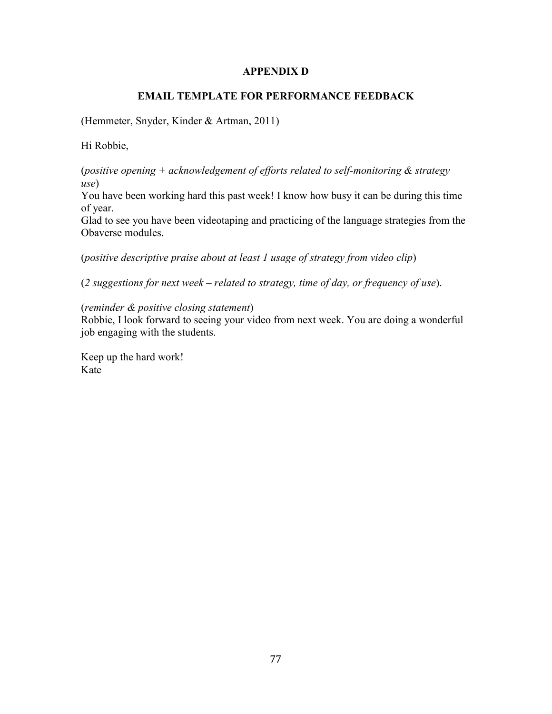### **APPENDIX D**

### **EMAIL TEMPLATE FOR PERFORMANCE FEEDBACK**

(Hemmeter, Snyder, Kinder & Artman, 2011)

Hi Robbie,

(*positive opening + acknowledgement of efforts related to self-monitoring & strategy use*)

You have been working hard this past week! I know how busy it can be during this time of year.

Glad to see you have been videotaping and practicing of the language strategies from the Obaverse modules.

(*positive descriptive praise about at least 1 usage of strategy from video clip*)

(*2 suggestions for next week – related to strategy, time of day, or frequency of use*).

(*reminder & positive closing statement*)

Robbie, I look forward to seeing your video from next week. You are doing a wonderful job engaging with the students.

Keep up the hard work! Kate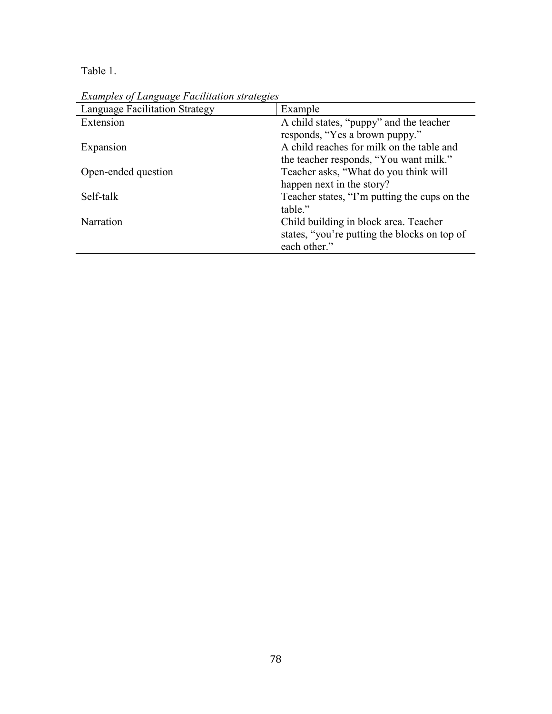Table 1.

| Brandres of Bangaage I actitution strategies |                                              |
|----------------------------------------------|----------------------------------------------|
| <b>Language Facilitation Strategy</b>        | Example                                      |
| Extension                                    | A child states, "puppy" and the teacher      |
|                                              | responds, "Yes a brown puppy."               |
| Expansion                                    | A child reaches for milk on the table and    |
|                                              | the teacher responds, "You want milk."       |
| Open-ended question                          | Teacher asks, "What do you think will        |
|                                              | happen next in the story?                    |
| Self-talk                                    | Teacher states, "I'm putting the cups on the |
|                                              | table."                                      |
| Narration                                    | Child building in block area. Teacher        |
|                                              | states, "you're putting the blocks on top of |
|                                              | each other."                                 |

*Examples of Language Facilitation strategies*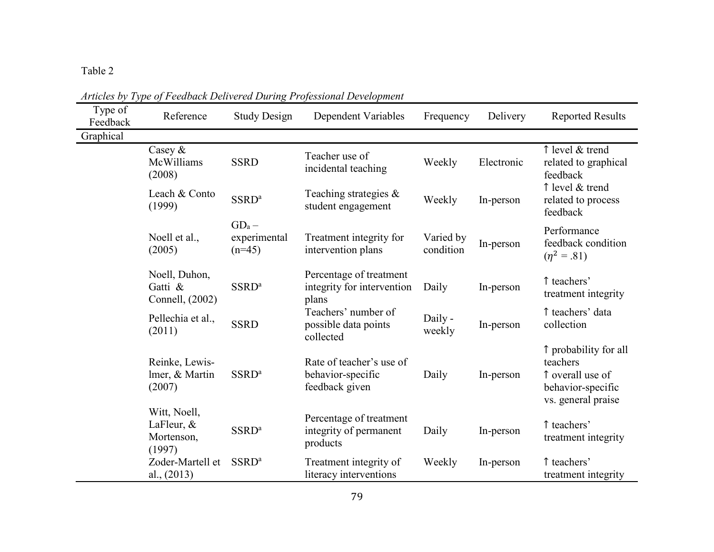| Type of<br>Feedback | Reference                                             | <b>Study Design</b>                  | Dependent Variables                                             | Frequency              | Delivery   | <b>Reported Results</b>                                                                          |
|---------------------|-------------------------------------------------------|--------------------------------------|-----------------------------------------------------------------|------------------------|------------|--------------------------------------------------------------------------------------------------|
| Graphical           |                                                       |                                      |                                                                 |                        |            |                                                                                                  |
|                     | Casey $\&$<br>McWilliams<br>(2008)                    | <b>SSRD</b>                          | Teacher use of<br>incidental teaching                           | Weekly                 | Electronic | ↑ level & trend<br>related to graphical<br>feedback                                              |
|                     | Leach & Conto<br>(1999)                               | SSRD <sup>a</sup>                    | Teaching strategies $\&$<br>student engagement                  | Weekly                 | In-person  | ↑ level & trend<br>related to process<br>feedback                                                |
|                     | Noell et al.,<br>(2005)                               | $GD_a -$<br>experimental<br>$(n=45)$ | Treatment integrity for<br>intervention plans                   | Varied by<br>condition | In-person  | Performance<br>feedback condition<br>$(\eta^2 = .81)$                                            |
|                     | Noell, Duhon,<br>Gatti &<br>Connell, (2002)           | SSRD <sup>a</sup>                    | Percentage of treatment<br>integrity for intervention<br>plans  | Daily                  | In-person  | ↑ teachers'<br>treatment integrity                                                               |
|                     | Pellechia et al.,<br>(2011)                           | <b>SSRD</b>                          | Teachers' number of<br>possible data points<br>collected        | Daily -<br>weekly      | In-person  | ↑ teachers' data<br>collection                                                                   |
|                     | Reinke, Lewis-<br>lmer, & Martin<br>(2007)            | SSRD <sup>a</sup>                    | Rate of teacher's use of<br>behavior-specific<br>feedback given | Daily                  | In-person  | ↑ probability for all<br>teachers<br>↑ overall use of<br>behavior-specific<br>vs. general praise |
|                     | Witt, Noell,<br>LaFleur, $\&$<br>Mortenson,<br>(1997) | SSRD <sup>a</sup>                    | Percentage of treatment<br>integrity of permanent<br>products   | Daily                  | In-person  | ↑ teachers'<br>treatment integrity                                                               |
|                     | Zoder-Martell et<br>al., $(2013)$                     | SSRD <sup>a</sup>                    | Treatment integrity of<br>literacy interventions                | Weekly                 | In-person  | ↑ teachers'<br>treatment integrity                                                               |

*Articles by Type of Feedback Delivered During Professional Development*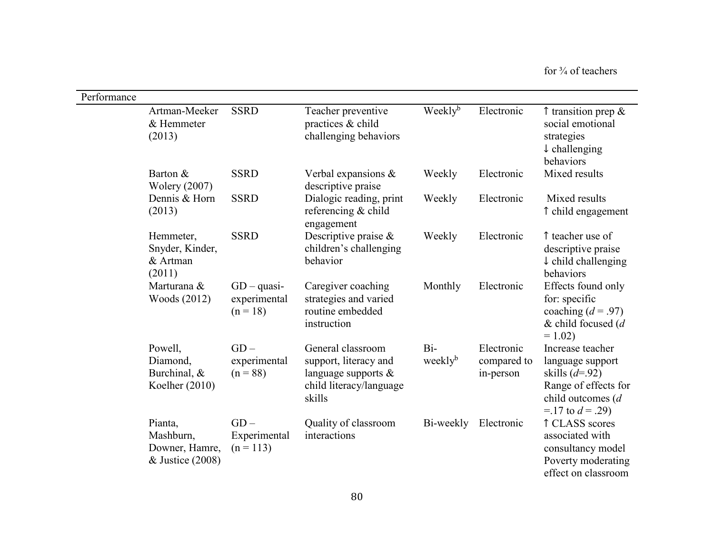| Performance |                                                              |                                             |                                                                                                           |                              |                                        |                                                                                                                               |
|-------------|--------------------------------------------------------------|---------------------------------------------|-----------------------------------------------------------------------------------------------------------|------------------------------|----------------------------------------|-------------------------------------------------------------------------------------------------------------------------------|
|             | Artman-Meeker<br>& Hemmeter<br>(2013)                        | <b>SSRD</b>                                 | Teacher preventive<br>practices & child<br>challenging behaviors                                          | Weekly <sup>b</sup>          | Electronic                             | $\uparrow$ transition prep &<br>social emotional<br>strategies<br>$\downarrow$ challenging<br>behaviors                       |
|             | Barton &<br><b>Wolery (2007)</b>                             | <b>SSRD</b>                                 | Verbal expansions $\&$<br>descriptive praise                                                              | Weekly                       | Electronic                             | Mixed results                                                                                                                 |
|             | Dennis & Horn<br>(2013)                                      | <b>SSRD</b>                                 | Dialogic reading, print<br>referencing & child<br>engagement                                              | Weekly                       | Electronic                             | Mixed results<br>î child engagement                                                                                           |
|             | Hemmeter,<br>Snyder, Kinder,<br>& Artman<br>(2011)           | <b>SSRD</b>                                 | Descriptive praise $\&$<br>children's challenging<br>behavior                                             | Weekly                       | Electronic                             | ↑ teacher use of<br>descriptive praise<br>$\downarrow$ child challenging<br>behaviors                                         |
|             | Marturana &<br>Woods (2012)                                  | $GD - quasi-$<br>experimental<br>$(n = 18)$ | Caregiver coaching<br>strategies and varied<br>routine embedded<br>instruction                            | Monthly                      | Electronic                             | Effects found only<br>for: specific<br>coaching $(d = .97)$<br>& child focused $(d)$<br>$= 1.02$                              |
|             | Powell,<br>Diamond,<br>Burchinal, &<br>Koelher $(2010)$      | $GD -$<br>experimental<br>$(n = 88)$        | General classroom<br>support, literacy and<br>language supports $\&$<br>child literacy/language<br>skills | $Bi-$<br>weekly <sup>b</sup> | Electronic<br>compared to<br>in-person | Increase teacher<br>language support<br>skills $(d=92)$<br>Range of effects for<br>child outcomes (d<br>$=$ 17 to $d = .29$ ) |
|             | Pianta,<br>Mashburn,<br>Downer, Hamre,<br>$&$ Justice (2008) | $GD -$<br>Experimental<br>$(n = 113)$       | Quality of classroom<br>interactions                                                                      | Bi-weekly                    | Electronic                             | ↑ CLASS scores<br>associated with<br>consultancy model<br>Poverty moderating<br>effect on classroom                           |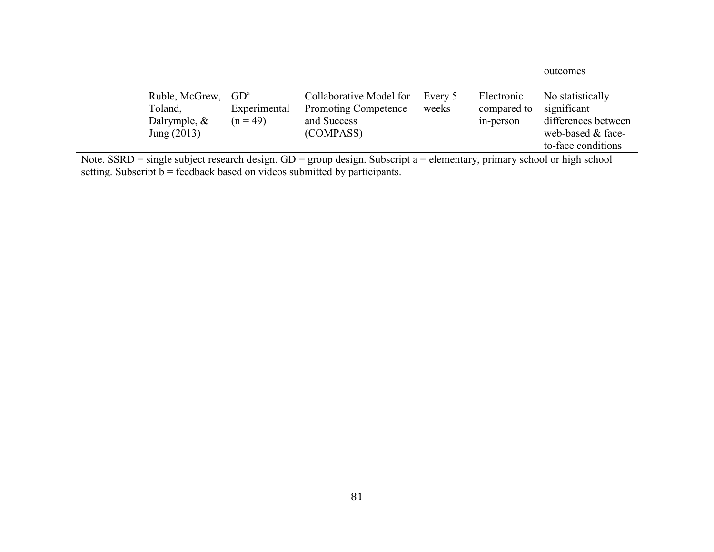### outcomes

| Ruble, McGrew, $GD^a$ –                                                                                                                    |              | Collaborative Model for     | Every 5 | Electronic  | No statistically    |
|--------------------------------------------------------------------------------------------------------------------------------------------|--------------|-----------------------------|---------|-------------|---------------------|
| Toland,                                                                                                                                    | Experimental | <b>Promoting Competence</b> | weeks   | compared to | significant         |
| Dalrymple, $\&$                                                                                                                            | $(n = 49)$   | and Success                 |         | in-person   | differences between |
| Jung $(2013)$                                                                                                                              |              | (COMPASS)                   |         |             | web-based & face-   |
|                                                                                                                                            |              |                             |         |             | to-face conditions  |
| Note $SCDD = \sin 2\pi$ subject received degree $CD = \cos 2\pi$ function $S2$ function $\sin 2\pi$ subjects as subjected as high coherent |              |                             |         |             |                     |

Note. SSRD = single subject research design. GD = group design. Subscript a = elementary, primary school or high school<br>setting. Subscript b = feedback based on videos submitted by participants.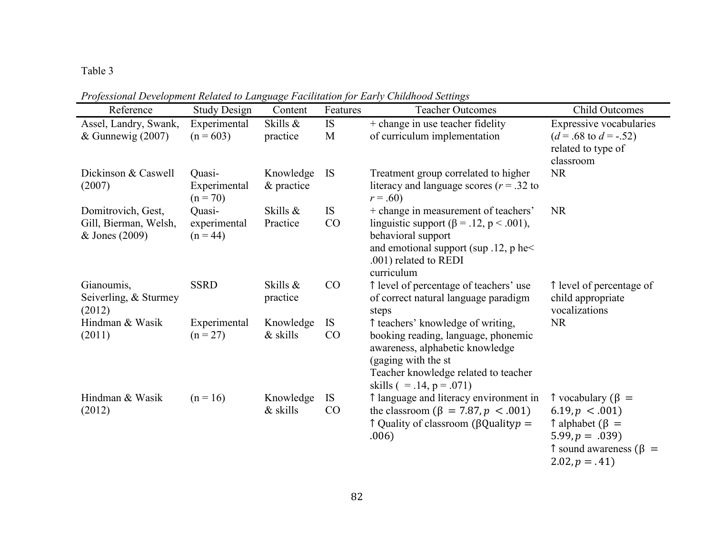*Professional Development Related to Language Facilitation for Early Childhood Settings* 

| Reference                               | <b>Study Design</b>        | ⊖∸<br>Content | Features    | <b>Teacher Outcomes</b>                                                        | <b>Child Outcomes</b>                         |
|-----------------------------------------|----------------------------|---------------|-------------|--------------------------------------------------------------------------------|-----------------------------------------------|
| Assel, Landry, Swank,                   | Experimental               | Skills &      | IS          | + change in use teacher fidelity                                               | Expressive vocabularies                       |
| & Gunnewig $(2007)$                     | $(n = 603)$                | practice      | $\mathbf M$ | of curriculum implementation                                                   | $(d = .68 \text{ to } d = -.52)$              |
|                                         |                            |               |             |                                                                                | related to type of                            |
|                                         |                            |               |             |                                                                                | classroom                                     |
| Dickinson & Caswell                     | Quasi-                     | Knowledge     | <b>IS</b>   | Treatment group correlated to higher                                           | <b>NR</b>                                     |
| (2007)                                  | Experimental<br>$(n = 70)$ | & practice    |             | literacy and language scores ( $r = .32$ to<br>$r = .60$                       |                                               |
| Domitrovich, Gest,                      | Quasi-                     | Skills &      | <b>IS</b>   | + change in measurement of teachers'                                           | <b>NR</b>                                     |
| Gill, Bierman, Welsh,<br>& Jones (2009) | experimental<br>$(n = 44)$ | Practice      | CO          | linguistic support ( $\beta$ = .12, p < .001),<br>behavioral support           |                                               |
|                                         |                            |               |             | and emotional support (sup $.12$ , p he<                                       |                                               |
|                                         |                            |               |             | .001) related to REDI                                                          |                                               |
|                                         |                            | Skills &      |             | curriculum                                                                     |                                               |
| Gianoumis,<br>Seiverling, & Sturmey     | <b>SSRD</b>                | practice      | CO          | ↑ level of percentage of teachers' use<br>of correct natural language paradigm | ↑ level of percentage of<br>child appropriate |
| (2012)                                  |                            |               |             | steps                                                                          | vocalizations                                 |
| Hindman & Wasik                         | Experimental               | Knowledge     | <b>IS</b>   | ↑ teachers' knowledge of writing,                                              | <b>NR</b>                                     |
| (2011)                                  | $(n = 27)$                 | & skills      | CO          | booking reading, language, phonemic                                            |                                               |
|                                         |                            |               |             | awareness, alphabetic knowledge                                                |                                               |
|                                         |                            |               |             | (gaging with the st                                                            |                                               |
|                                         |                            |               |             | Teacher knowledge related to teacher<br>skills $( = .14, p = .071)$            |                                               |
| Hindman & Wasik                         | $(n = 16)$                 | Knowledge     | <b>IS</b>   | 1 language and literacy environment in                                         | $\uparrow$ vocabulary ( $\upbeta$ =           |
| (2012)                                  |                            | & skills      | CO          | the classroom ( $\beta = 7.87, p < .001$ )                                     | $6.19, p \lt .001$                            |
|                                         |                            |               |             | $\uparrow$ Quality of classroom ( $\upbeta$ Quality $p =$                      | $\hat{}$ alphabet ( $\hat{}$ ) =              |
|                                         |                            |               |             | .006)                                                                          | $5.99, p = .039$                              |
|                                         |                            |               |             |                                                                                | $\uparrow$ sound awareness ( $\upbeta$ =      |
|                                         |                            |               |             |                                                                                | $2.02, p = .41$                               |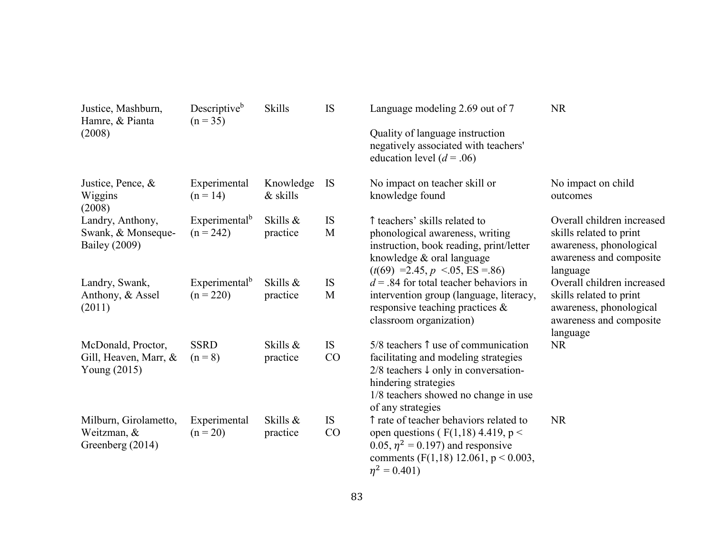| Justice, Mashburn,<br>Hamre, & Pianta<br>(2008)                | Descriptive <sup>b</sup><br>$(n = 35)$   | <b>Skills</b>            | IS              | Language modeling 2.69 out of 7<br>Quality of language instruction<br>negatively associated with teachers'<br>education level $(d = .06)$                                                                                        | <b>NR</b>                                                                                                               |
|----------------------------------------------------------------|------------------------------------------|--------------------------|-----------------|----------------------------------------------------------------------------------------------------------------------------------------------------------------------------------------------------------------------------------|-------------------------------------------------------------------------------------------------------------------------|
| Justice, Pence, &<br>Wiggins<br>(2008)                         | Experimental<br>$(n = 14)$               | Knowledge<br>$\&$ skills | <b>IS</b>       | No impact on teacher skill or<br>knowledge found                                                                                                                                                                                 | No impact on child<br>outcomes                                                                                          |
| Landry, Anthony,<br>Swank, & Monseque-<br><b>Bailey</b> (2009) | Experimental <sup>b</sup><br>$(n = 242)$ | Skills &<br>practice     | IS<br>M         | ↑ teachers' skills related to<br>phonological awareness, writing<br>instruction, book reading, print/letter<br>knowledge & oral language<br>$(t(69) = 2.45, p \le 0.05, ES = 0.86)$                                              | Overall children increased<br>skills related to print<br>awareness, phonological<br>awareness and composite<br>language |
| Landry, Swank,<br>Anthony, & Assel<br>(2011)                   | Experimental <sup>b</sup><br>$(n = 220)$ | Skills &<br>practice     | IS<br>M         | $d = 0.84$ for total teacher behaviors in<br>intervention group (language, literacy,<br>responsive teaching practices $\&$<br>classroom organization)                                                                            | Overall children increased<br>skills related to print<br>awareness, phonological<br>awareness and composite<br>language |
| McDonald, Proctor,<br>Gill, Heaven, Marr, &<br>Young $(2015)$  | <b>SSRD</b><br>$(n = 8)$                 | Skills &<br>practice     | <b>IS</b><br>CO | $5/8$ teachers $\uparrow$ use of communication<br>facilitating and modeling strategies<br>$2/8$ teachers $\downarrow$ only in conversation-<br>hindering strategies<br>1/8 teachers showed no change in use<br>of any strategies | <b>NR</b>                                                                                                               |
| Milburn, Girolametto,<br>Weitzman, &<br>Greenberg (2014)       | Experimental<br>$(n = 20)$               | Skills &<br>practice     | <b>IS</b><br>CO | ↑ rate of teacher behaviors related to<br>open questions ( $F(1,18)$ 4.419, p <<br>0.05, $\eta^2$ = 0.197) and responsive<br>comments (F(1,18) 12.061, $p < 0.003$ ,<br>$\eta^2 = 0.401$                                         | <b>NR</b>                                                                                                               |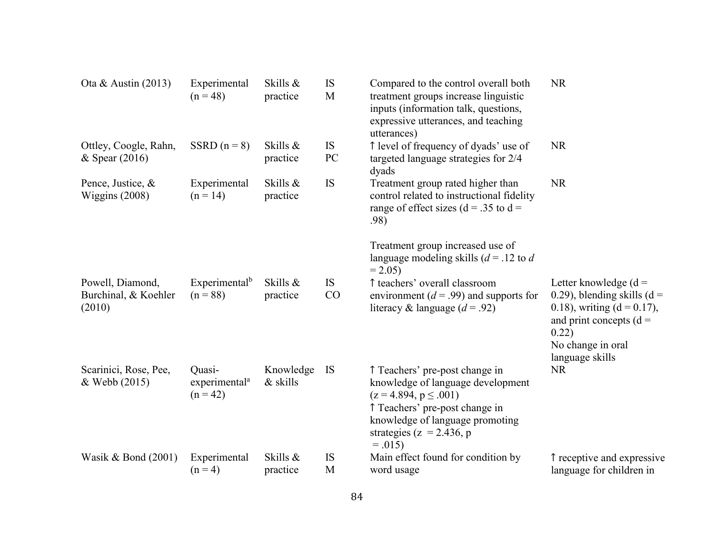| Ota & Austin $(2013)$                              | Experimental<br>$(n = 48)$                        | Skills &<br>practice     | IS<br>M         | Compared to the control overall both<br>treatment groups increase linguistic<br>inputs (information talk, questions,<br>expressive utterances, and teaching<br>utterances)                                        | <b>NR</b>                                                                                                                                                                |
|----------------------------------------------------|---------------------------------------------------|--------------------------|-----------------|-------------------------------------------------------------------------------------------------------------------------------------------------------------------------------------------------------------------|--------------------------------------------------------------------------------------------------------------------------------------------------------------------------|
| Ottley, Coogle, Rahn,<br>$&$ Spear (2016)          | SSRD $(n = 8)$                                    | Skills &<br>practice     | <b>IS</b><br>PC | ↑ level of frequency of dyads' use of<br>targeted language strategies for 2/4<br>dyads                                                                                                                            | <b>NR</b>                                                                                                                                                                |
| Pence, Justice, &<br>Wiggins $(2008)$              | Experimental<br>$(n = 14)$                        | Skills &<br>practice     | IS              | Treatment group rated higher than<br>control related to instructional fidelity<br>range of effect sizes ( $d = .35$ to $d =$<br>.98)                                                                              | <b>NR</b>                                                                                                                                                                |
|                                                    |                                                   |                          |                 | Treatment group increased use of<br>language modeling skills ( $d = 0.12$ to d<br>$= 2.05$                                                                                                                        |                                                                                                                                                                          |
| Powell, Diamond,<br>Burchinal, & Koehler<br>(2010) | Experimental <sup>b</sup><br>$(n = 88)$           | Skills &<br>practice     | <b>IS</b><br>CO | ↑ teachers' overall classroom<br>environment ( $d = .99$ ) and supports for<br>literacy & language $(d = .92)$                                                                                                    | Letter knowledge $(d =$<br>0.29), blending skills ( $d =$<br>0.18), writing $(d = 0.17)$ ,<br>and print concepts $(d =$<br>0.22)<br>No change in oral<br>language skills |
| Scarinici, Rose, Pee,<br>& Webb (2015)             | Quasi-<br>experimental <sup>a</sup><br>$(n = 42)$ | Knowledge<br>$\&$ skills | <b>IS</b>       | ↑ Teachers' pre-post change in<br>knowledge of language development<br>$(z = 4.894, p \le .001)$<br>↑ Teachers' pre-post change in<br>knowledge of language promoting<br>strategies ( $z = 2.436$ , p<br>$=.015)$ | <b>NR</b>                                                                                                                                                                |
| Wasik & Bond $(2001)$                              | Experimental<br>$(n = 4)$                         | Skills &<br>practice     | <b>IS</b><br>M  | Main effect found for condition by<br>word usage                                                                                                                                                                  | î receptive and expressive<br>language for children in                                                                                                                   |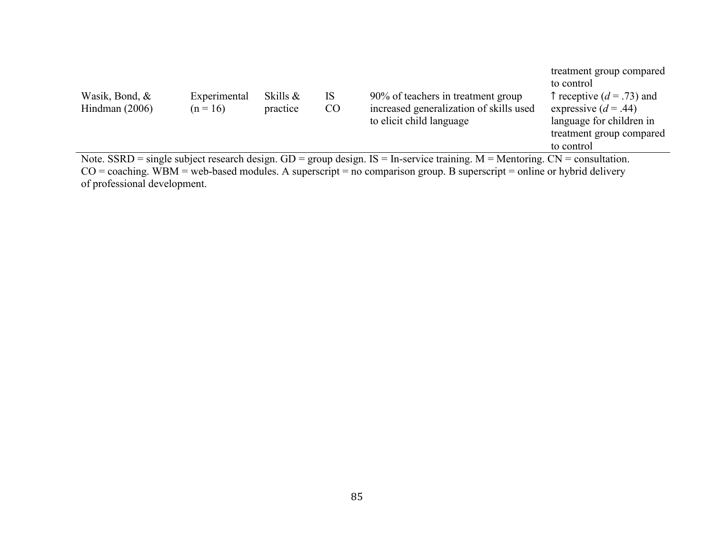| Wasik, Bond, &<br>Hindman $(2006)$ | Experimental<br>$(n = 16)$ | Skills $\&$<br>practice | IS-<br>CO | 90% of teachers in treatment group<br>increased generalization of skills used<br>to elicit child language                            | treatment group compared<br>to control<br>$\uparrow$ receptive (d = .73) and<br>expressive $(d = .44)$<br>language for children in<br>treatment group compared<br>to control |
|------------------------------------|----------------------------|-------------------------|-----------|--------------------------------------------------------------------------------------------------------------------------------------|------------------------------------------------------------------------------------------------------------------------------------------------------------------------------|
|                                    |                            |                         |           | Note. SSRD = single subject research design. $GD =$ group design. $IS = In$ -service training. $M =$ Mentoring. $CN =$ consultation. |                                                                                                                                                                              |

Note. SSRD = single subject research design.  $GD$  = group design. IS = In-service training. M = Mentoring.  $CN$  = consultation.<br>CO = coaching. WBM = web-based modules. A superscript = no comparison group. B superscript = on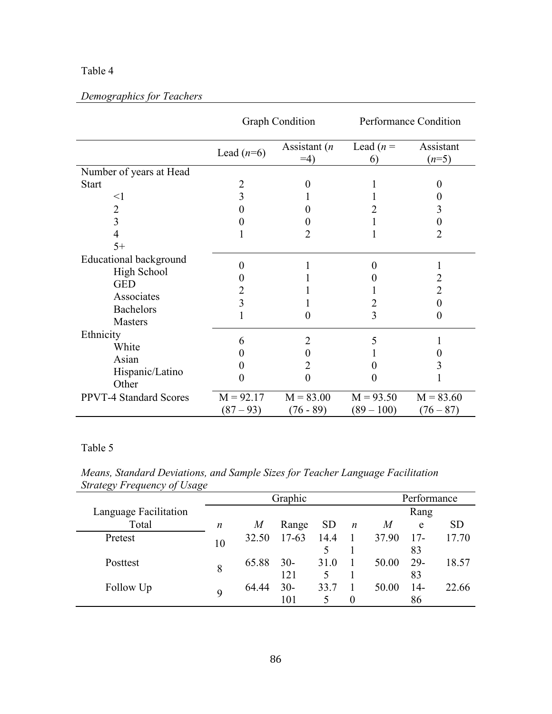# *Demographics for Teachers*

|                                    |                   | <b>Graph Condition</b>  |                   | Performance Condition |
|------------------------------------|-------------------|-------------------------|-------------------|-----------------------|
|                                    | Lead $(n=6)$      | Assistant $(n)$<br>$=4$ | Lead $(n =$<br>6) | Assistant<br>$(n=5)$  |
| Number of years at Head            |                   |                         |                   |                       |
| <b>Start</b>                       |                   |                         |                   | $\mathbf{0}$          |
| $\leq$ 1                           | 3                 |                         |                   |                       |
| $\overline{2}$                     | $\theta$          |                         |                   | 3                     |
| 3                                  |                   |                         |                   |                       |
| 4                                  |                   | 2                       |                   | 2                     |
| $5+$                               |                   |                         |                   |                       |
| <b>Educational background</b>      | $\theta$          |                         | 0                 |                       |
| <b>High School</b>                 |                   |                         |                   | 2                     |
| <b>GED</b>                         |                   |                         |                   | $\overline{2}$        |
| Associates                         | 3                 |                         |                   | $\theta$              |
| <b>Bachelors</b><br><b>Masters</b> |                   | 0                       | 3                 | $\theta$              |
| Ethnicity                          | 6                 | $\overline{2}$          |                   |                       |
| White                              | 0                 | 0                       |                   |                       |
| Asian                              |                   | 2                       |                   |                       |
| Hispanic/Latino<br>Other           | $\mathbf{\Omega}$ | 0                       |                   |                       |
| <b>PPVT-4 Standard Scores</b>      | $M = 92.17$       | $M = 83.00$             | $M = 93.50$       | $M = 83.60$           |
|                                    | $(87 - 93)$       | $(76 - 89)$             | $(89 - 100)$      | $(76 - 87)$           |

*Means, Standard Deviations, and Sample Sizes for Teacher Language Facilitation Strategy Frequency of Usage* 

|                       |    |       | Graphic   |             | Performance      |       |       |           |
|-----------------------|----|-------|-----------|-------------|------------------|-------|-------|-----------|
| Language Facilitation |    |       |           |             | Rang             |       |       |           |
| Total                 | n  | M     | Range     | <b>SD</b>   | $\boldsymbol{n}$ | M     | e     | <b>SD</b> |
| Pretest               | 10 | 32.50 | $17 - 63$ | 14.4        |                  | 37.90 | $17-$ | 17.70     |
|                       |    |       |           |             |                  |       | 83    |           |
| Posttest              | 8  | 65.88 | $30-$     | 31.0        |                  | 50.00 | 29-   | 18.57     |
|                       |    |       | 121       | $\varsigma$ |                  |       | 83    |           |
| Follow Up             | 9  | 64.44 | $30-$     | 33.7        |                  | 50.00 | $14-$ | 22.66     |
|                       |    |       | 101       |             | 0                |       | 86    |           |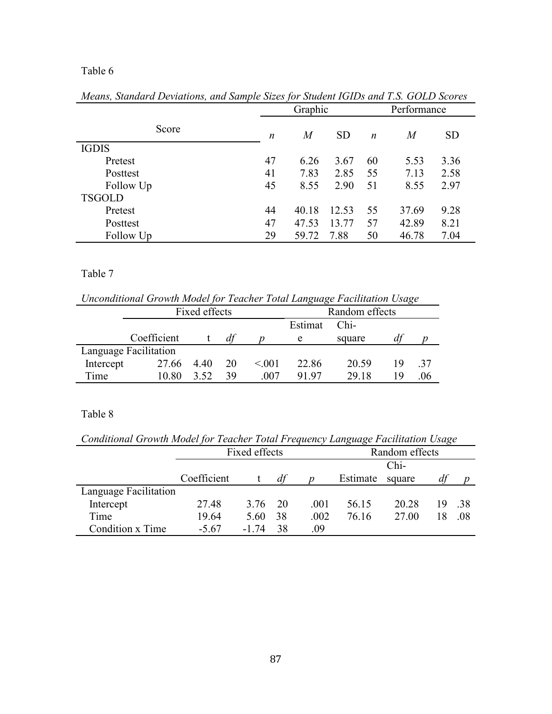|               |                  | Graphic          |           | Performance      |       |           |
|---------------|------------------|------------------|-----------|------------------|-------|-----------|
| Score         | $\boldsymbol{n}$ | $\boldsymbol{M}$ | <b>SD</b> | $\boldsymbol{n}$ | M     | <b>SD</b> |
| <b>IGDIS</b>  |                  |                  |           |                  |       |           |
| Pretest       | 47               | 6.26             | 3.67      | 60               | 5.53  | 3.36      |
| Posttest      | 41               | 7.83             | 2.85      | 55               | 7.13  | 2.58      |
| Follow Up     | 45               | 8.55             | 2.90      | 51               | 8.55  | 2.97      |
| <b>TSGOLD</b> |                  |                  |           |                  |       |           |
| Pretest       | 44               | 40.18            | 12.53     | 55               | 37.69 | 9.28      |
| Posttest      | 47               | 47.53            | 13.77     | 57               | 42.89 | 8.21      |
| Follow Up     | 29               | 59.72            | 7.88      | 50               | 46.78 | 7.04      |

*Means, Standard Deviations, and Sample Sizes for Student IGIDs and T.S. GOLD Scores* 

# Table 7

*Unconditional Growth Model for Teacher Total Language Facilitation Usage* 

|           | Fixed effects         | Random effects |    |        |         |        |    |      |
|-----------|-----------------------|----------------|----|--------|---------|--------|----|------|
|           |                       |                |    |        | Estimat | $Chi-$ |    |      |
|           | Coefficient           |                |    |        | e       | square |    |      |
|           | Language Facilitation |                |    |        |         |        |    |      |
| Intercept | 27.66                 | 440            | 20 | < 0.01 | 22.86   | 20.59  | 19 | - 37 |
| Time      | 10.80                 | 3.52           | 39 | 007    | 91.97   | 29.18  | 19 | .06  |

*Conditional Growth Model for Teacher Total Frequency Language Facilitation Usage* 

|                       | $\cdot$     |               |    |      |                |        | $\cdot$ |      |
|-----------------------|-------------|---------------|----|------|----------------|--------|---------|------|
|                       |             | Fixed effects |    |      | Random effects |        |         |      |
|                       |             |               |    |      |                | Chi-   |         |      |
|                       | Coefficient |               | df | n    | Estimate       | square |         |      |
| Language Facilitation |             |               |    |      |                |        |         |      |
| Intercept             | 27.48       | 3.76          | 20 | .001 | 56.15          | 20 28  | 19      | - 38 |
| Time                  | 19.64       | 5.60          | 38 | .002 | 76.16          | 27.00  | 18      | -08  |
| Condition x Time      | $-5.67$     | -1 74         | 38 | 09   |                |        |         |      |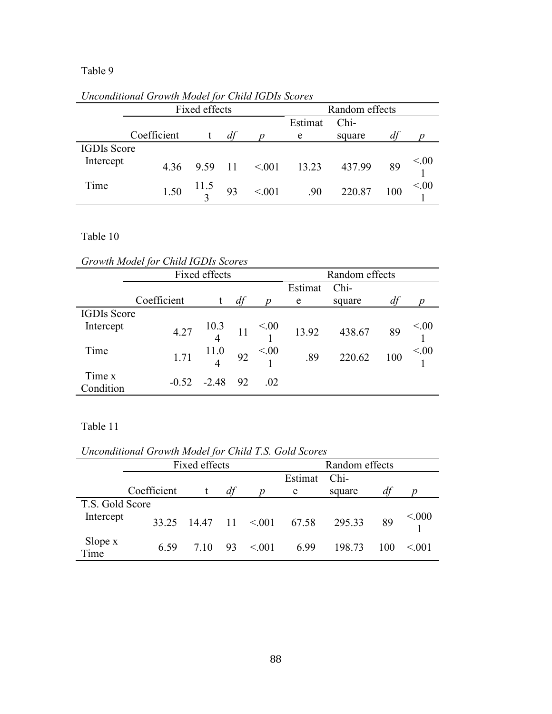|                    |             | $\cdot$<br>Fixed effects |    |                     | Random effects  |            |     |      |
|--------------------|-------------|--------------------------|----|---------------------|-----------------|------------|-----|------|
|                    |             |                          |    |                     | Estimat<br>Chi- |            |     |      |
|                    | Coefficient |                          | df |                     | e               | square     | df  |      |
| <b>IGDIs Score</b> |             |                          |    |                     |                 |            |     |      |
| Intercept          | 4.36        |                          |    | 9.59 11 $\leq 0.01$ | 13.23 437.99    |            | 89  | < 00 |
| Time               | 1.50        | $J \frac{11.5}{3}$ 93    |    | < 0.01              |                 | .90 220.87 | 100 | < 00 |

*Unconditional Growth Model for Child IGDIs Scores* 

### Table 10

*Growth Model for Child IGDIs Scores* 

|                     | Growin mouer for China rooms been co |                                          |                |                  |   |                                                                                          |     |                    |
|---------------------|--------------------------------------|------------------------------------------|----------------|------------------|---|------------------------------------------------------------------------------------------|-----|--------------------|
|                     | Fixed effects                        |                                          | Random effects |                  |   |                                                                                          |     |                    |
|                     |                                      | Estimat                                  | Chi-           |                  |   |                                                                                          |     |                    |
|                     | Coefficient                          |                                          | df             | $\boldsymbol{p}$ | e | square                                                                                   | df  | $\boldsymbol{n}$   |
| <b>IGDIs Score</b>  |                                      |                                          |                |                  |   |                                                                                          |     |                    |
| Intercept           |                                      |                                          |                |                  |   | 4.27 $\begin{array}{cccc} 10.3 & 11 & \le 0.0 \\ 4 & 11 & 1 \end{array}$ 13.92 438.67 89 |     | $\frac{<.00}{1}$   |
| Time                | 1.71                                 | $\begin{array}{c} 11.0 \\ 4 \end{array}$ |                | 92 $\leq 0.00$   |   | $.89$ 220.62                                                                             | 100 | $\frac{1}{1}$ <.00 |
| Time x<br>Condition |                                      | $-0.52$ $-2.48$ 92                       |                | 0.02             |   |                                                                                          |     |                    |

*Unconditional Growth Model for Child T.S. Gold Scores* 

|                 |             | Fixed effects    |    |                | Random effects |        |     |       |  |
|-----------------|-------------|------------------|----|----------------|----------------|--------|-----|-------|--|
|                 |             |                  |    | Estimat        | $Chi-$         |        |     |       |  |
|                 | Coefficient |                  | df |                | e              | square | df  | n     |  |
| T.S. Gold Score |             |                  |    |                |                |        |     |       |  |
| Intercept       | 33.25       | $14.47$ 11 < 001 |    |                | 67.58 295.33   |        | 89  | < 000 |  |
| Slope x<br>Time | 6.59        | 7 10             |    | $93 \le 0.001$ | 6.99           | 198.73 | 100 | < 001 |  |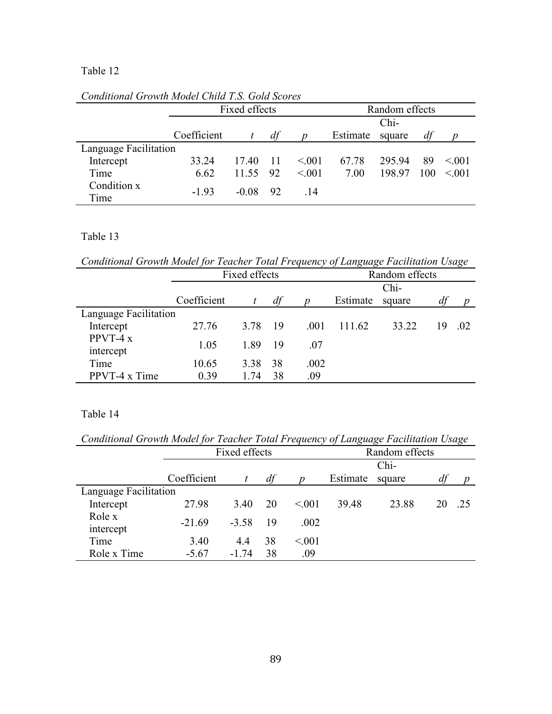|                       |             | Fixed effects |    | Random effects   |          |        |     |        |
|-----------------------|-------------|---------------|----|------------------|----------|--------|-----|--------|
|                       |             |               |    |                  |          | Chi-   |     |        |
|                       | Coefficient | t             | df | $\boldsymbol{D}$ | Estimate | square | df  |        |
| Language Facilitation |             |               |    |                  |          |        |     |        |
| Intercept             | 33 24       | 17.40 11      |    | < 0.01           | 67.78    | 295.94 | 89  | < 001  |
| Time                  | 6.62        | 11.55 92      |    | < 0.01           | 7.00     | 198.97 | 100 | < 0.01 |
| Condition x<br>Time   | $-193$      | $-0.08$ 92    |    | -14              |          |        |     |        |

*Conditional Growth Model Child T.S. Gold Scores* 

### Table 13

*Conditional Growth Model for Teacher Total Frequency of Language Facilitation Usage* 

|                       |             | Fixed effects | Random effects |      |          |        |    |      |
|-----------------------|-------------|---------------|----------------|------|----------|--------|----|------|
|                       |             |               |                |      |          | Chi-   |    |      |
|                       | Coefficient |               | df             |      | Estimate | square | df | n    |
| Language Facilitation |             |               |                |      |          |        |    |      |
| Intercept             | 27.76       | 3.78          | -19            | .001 | 111.62   | 33.22  | 19 | - 02 |
| PPVT-4 $x$            | 1.05        | 1.89          | -19            | .07  |          |        |    |      |
| intercept             |             |               |                |      |          |        |    |      |
| Time                  | 10.65       | 3.38          | 38             | .002 |          |        |    |      |
| PPVT-4 x Time         | 0.39        | 1 74          | 38             | .09  |          |        |    |      |

*Conditional Growth Model for Teacher Total Frequency of Language Facilitation Usage* 

|                       | Fixed effects |         |    |        | Random effects |        |    |      |
|-----------------------|---------------|---------|----|--------|----------------|--------|----|------|
|                       |               |         |    |        |                | Chi-   |    |      |
|                       | Coefficient   |         | df | n      | Estimate       | square | df |      |
| Language Facilitation |               |         |    |        |                |        |    |      |
| Intercept             | 27.98         | 3.40    | 20 | < 0.01 | 39.48          | 23.88  |    | - 25 |
| Role x                | $-21.69$      | $-3.58$ | 19 | .002   |                |        |    |      |
| intercept             |               |         |    |        |                |        |    |      |
| Time                  | 3.40          | 4.4     | 38 | < 0.01 |                |        |    |      |
| Role x Time           | $-5.67$       | $-174$  | 38 | .09    |                |        |    |      |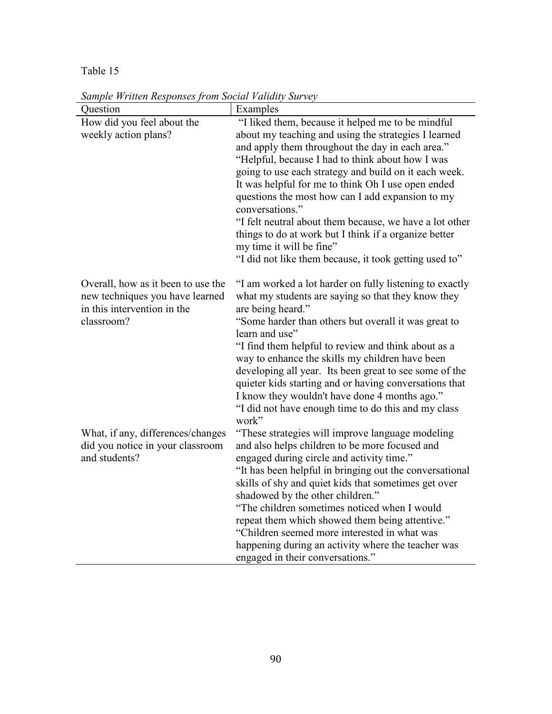| Question                                                                                             | Examples                                                                                                                                                                                                                          |  |  |  |  |
|------------------------------------------------------------------------------------------------------|-----------------------------------------------------------------------------------------------------------------------------------------------------------------------------------------------------------------------------------|--|--|--|--|
| How did you feel about the                                                                           | "I liked them, because it helped me to be mindful                                                                                                                                                                                 |  |  |  |  |
| weekly action plans?                                                                                 | about my teaching and using the strategies I learned                                                                                                                                                                              |  |  |  |  |
|                                                                                                      | and apply them throughout the day in each area."                                                                                                                                                                                  |  |  |  |  |
|                                                                                                      | "Helpful, because I had to think about how I was                                                                                                                                                                                  |  |  |  |  |
|                                                                                                      | going to use each strategy and build on it each week.                                                                                                                                                                             |  |  |  |  |
|                                                                                                      | It was helpful for me to think Oh I use open ended                                                                                                                                                                                |  |  |  |  |
|                                                                                                      | questions the most how can I add expansion to my<br>conversations."                                                                                                                                                               |  |  |  |  |
|                                                                                                      | "I felt neutral about them because, we have a lot other                                                                                                                                                                           |  |  |  |  |
|                                                                                                      | things to do at work but I think if a organize better                                                                                                                                                                             |  |  |  |  |
|                                                                                                      | my time it will be fine"                                                                                                                                                                                                          |  |  |  |  |
|                                                                                                      | "I did not like them because, it took getting used to"                                                                                                                                                                            |  |  |  |  |
| Overall, how as it been to use the<br>new techniques you have learned<br>in this intervention in the | "I am worked a lot harder on fully listening to exactly<br>what my students are saying so that they know they<br>are being heard."                                                                                                |  |  |  |  |
| classroom?                                                                                           | "Some harder than others but overall it was great to<br>learn and use"                                                                                                                                                            |  |  |  |  |
|                                                                                                      | "I find them helpful to review and think about as a<br>way to enhance the skills my children have been                                                                                                                            |  |  |  |  |
|                                                                                                      | developing all year. Its been great to see some of the<br>quieter kids starting and or having conversations that<br>I know they wouldn't have done 4 months ago."<br>"I did not have enough time to do this and my class<br>work" |  |  |  |  |
| What, if any, differences/changes                                                                    | "These strategies will improve language modeling                                                                                                                                                                                  |  |  |  |  |
| did you notice in your classroom                                                                     | and also helps children to be more focused and                                                                                                                                                                                    |  |  |  |  |
| and students?                                                                                        | engaged during circle and activity time."                                                                                                                                                                                         |  |  |  |  |
|                                                                                                      | "It has been helpful in bringing out the conversational                                                                                                                                                                           |  |  |  |  |
|                                                                                                      | skills of shy and quiet kids that sometimes get over                                                                                                                                                                              |  |  |  |  |
|                                                                                                      | shadowed by the other children."                                                                                                                                                                                                  |  |  |  |  |
|                                                                                                      | "The children sometimes noticed when I would                                                                                                                                                                                      |  |  |  |  |
|                                                                                                      | repeat them which showed them being attentive."                                                                                                                                                                                   |  |  |  |  |
|                                                                                                      | "Children seemed more interested in what was                                                                                                                                                                                      |  |  |  |  |
|                                                                                                      | happening during an activity where the teacher was                                                                                                                                                                                |  |  |  |  |
|                                                                                                      | engaged in their conversations."                                                                                                                                                                                                  |  |  |  |  |

*Sample Written Responses from Social Validity Survey*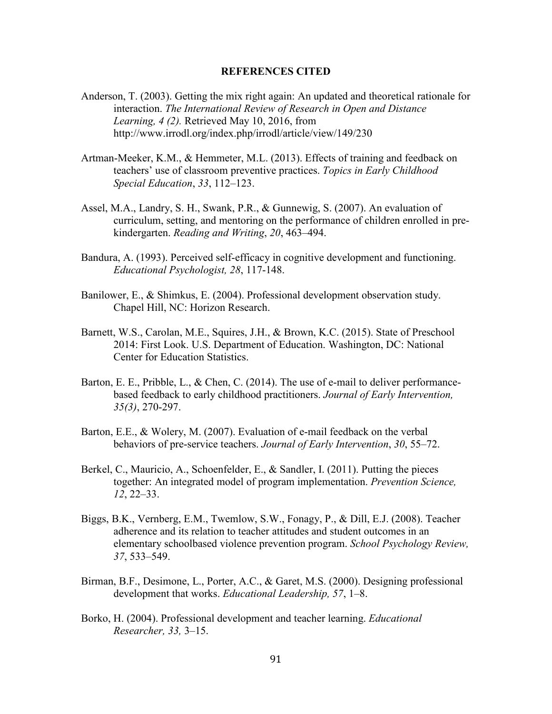#### **REFERENCES CITED**

- Anderson, T. (2003). Getting the mix right again: An updated and theoretical rationale for interaction. *The International Review of Research in Open and Distance Learning, 4 (2).* Retrieved May 10, 2016, from http://www.irrodl.org/index.php/irrodl/article/view/149/230
- Artman-Meeker, K.M., & Hemmeter, M.L. (2013). Effects of training and feedback on teachers' use of classroom preventive practices. *Topics in Early Childhood Special Education*, *33*, 112–123.
- Assel, M.A., Landry, S. H., Swank, P.R., & Gunnewig, S. (2007). An evaluation of curriculum, setting, and mentoring on the performance of children enrolled in prekindergarten. *Reading and Writing*, *20*, 463–494.
- Bandura, A. (1993). Perceived self-efficacy in cognitive development and functioning. *Educational Psychologist, 28*, 117-148.
- Banilower, E., & Shimkus, E. (2004). Professional development observation study. Chapel Hill, NC: Horizon Research.
- Barnett, W.S., Carolan, M.E., Squires, J.H., & Brown, K.C. (2015). State of Preschool 2014: First Look. U.S. Department of Education. Washington, DC: National Center for Education Statistics.
- Barton, E. E., Pribble, L., & Chen, C. (2014). The use of e-mail to deliver performancebased feedback to early childhood practitioners. *Journal of Early Intervention, 35(3)*, 270-297.
- Barton, E.E., & Wolery, M. (2007). Evaluation of e-mail feedback on the verbal behaviors of pre-service teachers. *Journal of Early Intervention*, *30*, 55–72.
- Berkel, C., Mauricio, A., Schoenfelder, E., & Sandler, I. (2011). Putting the pieces together: An integrated model of program implementation. *Prevention Science, 12*, 22–33.
- Biggs, B.K., Vernberg, E.M., Twemlow, S.W., Fonagy, P., & Dill, E.J. (2008). Teacher adherence and its relation to teacher attitudes and student outcomes in an elementary schoolbased violence prevention program. *School Psychology Review, 37*, 533–549.
- Birman, B.F., Desimone, L., Porter, A.C., & Garet, M.S. (2000). Designing professional development that works. *Educational Leadership, 57*, 1–8.
- Borko, H. (2004). Professional development and teacher learning. *Educational Researcher, 33,* 3–15.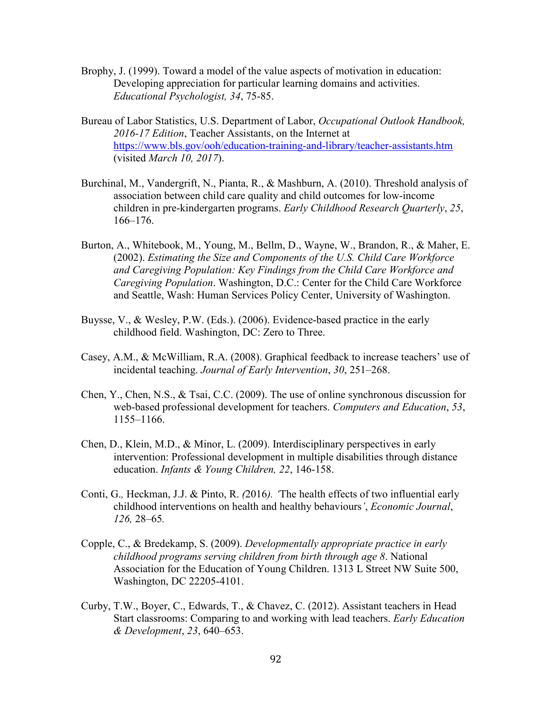- Brophy, J. (1999). Toward a model of the value aspects of motivation in education: Developing appreciation for particular learning domains and activities. *Educational Psychologist, 34*, 75-85.
- Bureau of Labor Statistics, U.S. Department of Labor, *Occupational Outlook Handbook, 2016-17 Edition*, Teacher Assistants, on the Internet at https://www.bls.gov/ooh/education-training-and-library/teacher-assistants.htm (visited *March 10, 2017*).
- Burchinal, M., Vandergrift, N., Pianta, R., & Mashburn, A. (2010). Threshold analysis of association between child care quality and child outcomes for low-income children in pre-kindergarten programs. *Early Childhood Research Quarterly*, *25*, 166–176.
- Burton, A., Whitebook, M., Young, M., Bellm, D., Wayne, W., Brandon, R., & Maher, E. (2002). *Estimating the Size and Components of the U.S. Child Care Workforce and Caregiving Population: Key Findings from the Child Care Workforce and Caregiving Population*. Washington, D.C.: Center for the Child Care Workforce and Seattle, Wash: Human Services Policy Center, University of Washington.
- Buysse, V., & Wesley, P.W. (Eds.). (2006). Evidence-based practice in the early childhood field. Washington, DC: Zero to Three.
- Casey, A.M., & McWilliam, R.A. (2008). Graphical feedback to increase teachers' use of incidental teaching. *Journal of Early Intervention*, *30*, 251–268.
- Chen, Y., Chen, N.S., & Tsai, C.C. (2009). The use of online synchronous discussion for web-based professional development for teachers. *Computers and Education*, *53*, 1155–1166.
- Chen, D., Klein, M.D., & Minor, L. (2009). Interdisciplinary perspectives in early intervention: Professional development in multiple disabilities through distance education. *Infants & Young Children, 22*, 146-158.
- Conti, G.*,* Heckman, J.J. & Pinto, R. *(*2016*). '*The health effects of two influential early childhood interventions on health and healthy behaviours*'*, *Economic Journal*, *126,* 28*–*65*.*
- Copple, C., & Bredekamp, S. (2009). *Developmentally appropriate practice in early childhood programs serving children from birth through age 8*. National Association for the Education of Young Children. 1313 L Street NW Suite 500, Washington, DC 22205-4101.
- Curby, T.W., Boyer, C., Edwards, T., & Chavez, C. (2012). Assistant teachers in Head Start classrooms: Comparing to and working with lead teachers. *Early Education & Development*, *23*, 640–653.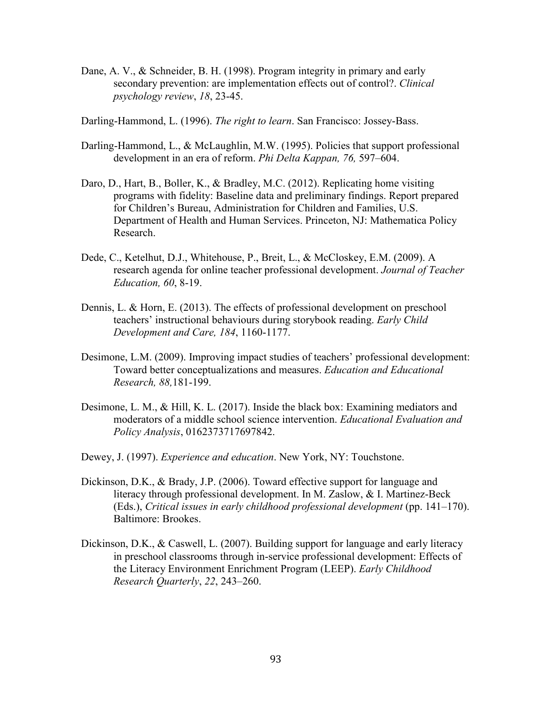Dane, A. V., & Schneider, B. H. (1998). Program integrity in primary and early secondary prevention: are implementation effects out of control?. *Clinical psychology review*, *18*, 23-45.

Darling-Hammond, L. (1996). *The right to learn*. San Francisco: Jossey-Bass.

- Darling-Hammond, L., & McLaughlin, M.W. (1995). Policies that support professional development in an era of reform. *Phi Delta Kappan, 76,* 597–604.
- Daro, D., Hart, B., Boller, K., & Bradley, M.C. (2012). Replicating home visiting programs with fidelity: Baseline data and preliminary findings. Report prepared for Children's Bureau, Administration for Children and Families, U.S. Department of Health and Human Services. Princeton, NJ: Mathematica Policy Research.
- Dede, C., Ketelhut, D.J., Whitehouse, P., Breit, L., & McCloskey, E.M. (2009). A research agenda for online teacher professional development. *Journal of Teacher Education, 60*, 8-19.
- Dennis, L. & Horn, E. (2013). The effects of professional development on preschool teachers' instructional behaviours during storybook reading. *Early Child Development and Care, 184*, 1160-1177.
- Desimone, L.M. (2009). Improving impact studies of teachers' professional development: Toward better conceptualizations and measures. *Education and Educational Research, 88,*181-199.
- Desimone, L. M., & Hill, K. L. (2017). Inside the black box: Examining mediators and moderators of a middle school science intervention. *Educational Evaluation and Policy Analysis*, 0162373717697842.
- Dewey, J. (1997). *Experience and education*. New York, NY: Touchstone.
- Dickinson, D.K., & Brady, J.P. (2006). Toward effective support for language and literacy through professional development. In M. Zaslow, & I. Martinez-Beck (Eds.), *Critical issues in early childhood professional development* (pp. 141–170). Baltimore: Brookes.
- Dickinson, D.K., & Caswell, L. (2007). Building support for language and early literacy in preschool classrooms through in-service professional development: Effects of the Literacy Environment Enrichment Program (LEEP). *Early Childhood Research Quarterly*, *22*, 243–260.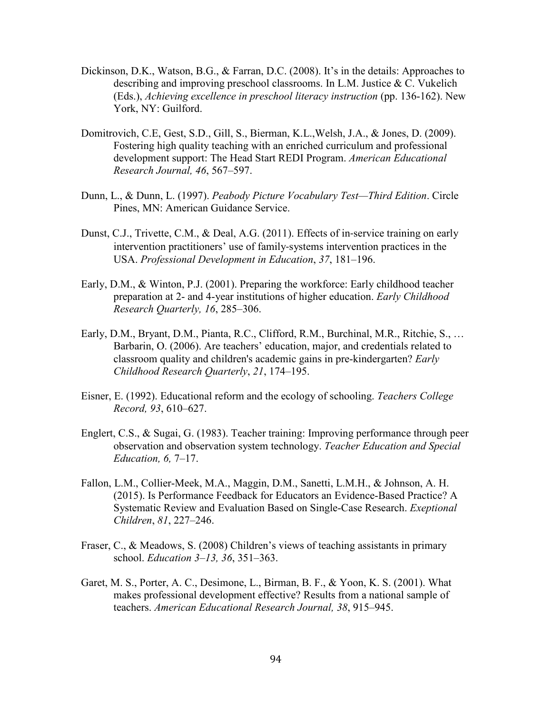- Dickinson, D.K., Watson, B.G., & Farran, D.C. (2008). It's in the details: Approaches to describing and improving preschool classrooms. In L.M. Justice & C. Vukelich (Eds.), *Achieving excellence in preschool literacy instruction* (pp. 136-162). New York, NY: Guilford.
- Domitrovich, C.E, Gest, S.D., Gill, S., Bierman, K.L.,Welsh, J.A., & Jones, D. (2009). Fostering high quality teaching with an enriched curriculum and professional development support: The Head Start REDI Program. *American Educational Research Journal, 46*, 567–597.
- Dunn, L., & Dunn, L. (1997). *Peabody Picture Vocabulary Test—Third Edition*. Circle Pines, MN: American Guidance Service.
- Dunst, C.J., Trivette, C.M., & Deal, A.G. (2011). Effects of in-service training on early intervention practitioners' use of family‐systems intervention practices in the USA. *Professional Development in Education*, *37*, 181–196.
- Early, D.M., & Winton, P.J. (2001). Preparing the workforce: Early childhood teacher preparation at 2- and 4-year institutions of higher education. *Early Childhood Research Quarterly, 16*, 285–306.
- Early, D.M., Bryant, D.M., Pianta, R.C., Clifford, R.M., Burchinal, M.R., Ritchie, S., … Barbarin, O. (2006). Are teachers' education, major, and credentials related to classroom quality and children's academic gains in pre-kindergarten? *Early Childhood Research Quarterly*, *21*, 174–195.
- Eisner, E. (1992). Educational reform and the ecology of schooling. *Teachers College Record, 93*, 610–627.
- Englert, C.S., & Sugai, G. (1983). Teacher training: Improving performance through peer observation and observation system technology. *Teacher Education and Special Education, 6,* 7–17.
- Fallon, L.M., Collier-Meek, M.A., Maggin, D.M., Sanetti, L.M.H., & Johnson, A. H. (2015). Is Performance Feedback for Educators an Evidence-Based Practice? A Systematic Review and Evaluation Based on Single-Case Research. *Exeptional Children*, *81*, 227–246.
- Fraser, C., & Meadows, S. (2008) Children's views of teaching assistants in primary school. *Education 3–13, 36*, 351–363.
- Garet, M. S., Porter, A. C., Desimone, L., Birman, B. F., & Yoon, K. S. (2001). What makes professional development effective? Results from a national sample of teachers. *American Educational Research Journal, 38*, 915–945.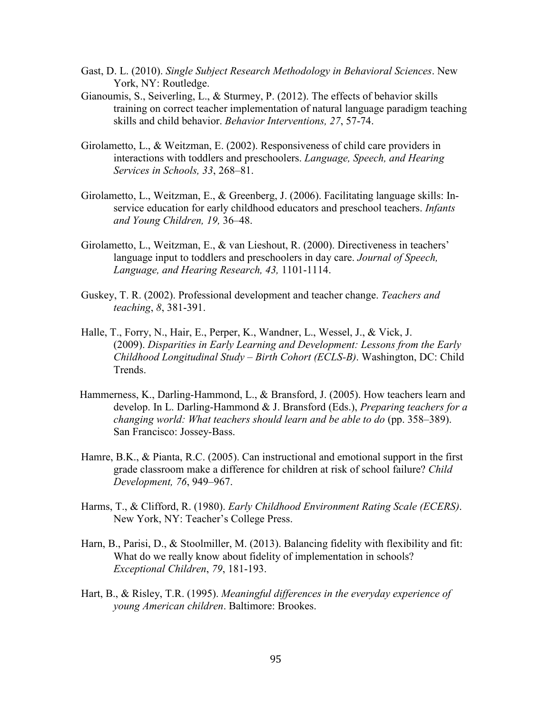- Gast, D. L. (2010). *Single Subject Research Methodology in Behavioral Sciences*. New York, NY: Routledge.
- Gianoumis, S., Seiverling, L., & Sturmey, P. (2012). The effects of behavior skills training on correct teacher implementation of natural language paradigm teaching skills and child behavior. *Behavior Interventions, 27*, 57-74.
- Girolametto, L., & Weitzman, E. (2002). Responsiveness of child care providers in interactions with toddlers and preschoolers. *Language, Speech, and Hearing Services in Schools, 33*, 268–81.
- Girolametto, L., Weitzman, E., & Greenberg, J. (2006). Facilitating language skills: In service education for early childhood educators and preschool teachers. *Infants and Young Children, 19,* 36–48.
- Girolametto, L., Weitzman, E., & van Lieshout, R. (2000). Directiveness in teachers' language input to toddlers and preschoolers in day care. *Journal of Speech, Language, and Hearing Research, 43,* 1101-1114.
- Guskey, T. R. (2002). Professional development and teacher change. *Teachers and teaching*, *8*, 381-391.
- Halle, T., Forry, N., Hair, E., Perper, K., Wandner, L., Wessel, J., & Vick, J. (2009). *Disparities in Early Learning and Development: Lessons from the Early Childhood Longitudinal Study – Birth Cohort (ECLS-B)*. Washington, DC: Child Trends.
- Hammerness, K., Darling-Hammond, L., & Bransford, J. (2005). How teachers learn and develop. In L. Darling-Hammond & J. Bransford (Eds.), *Preparing teachers for a changing world: What teachers should learn and be able to do (pp. 358–389).* San Francisco: Jossey-Bass.
- Hamre, B.K., & Pianta, R.C. (2005). Can instructional and emotional support in the first grade classroom make a difference for children at risk of school failure? *Child Development, 76*, 949–967.
- Harms, T., & Clifford, R. (1980). *Early Childhood Environment Rating Scale (ECERS)*. New York, NY: Teacher's College Press.
- Harn, B., Parisi, D., & Stoolmiller, M. (2013). Balancing fidelity with flexibility and fit: What do we really know about fidelity of implementation in schools? *Exceptional Children*, *79*, 181-193.
- Hart, B., & Risley, T.R. (1995). *Meaningful differences in the everyday experience of young American children*. Baltimore: Brookes.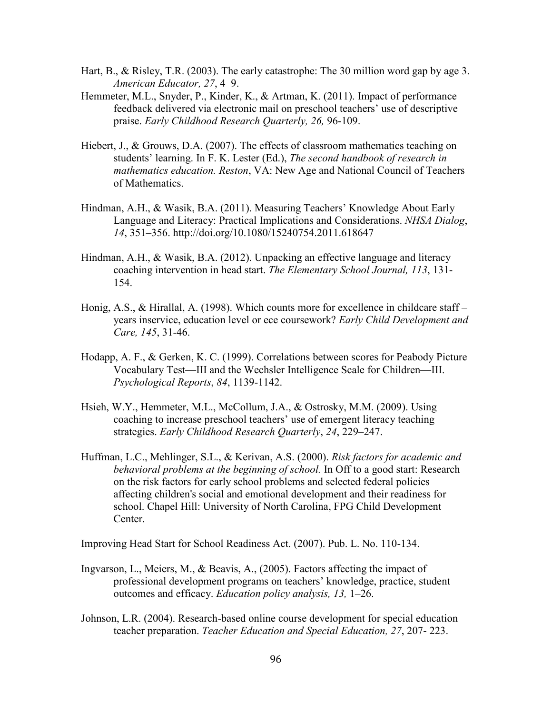- Hart, B., & Risley, T.R. (2003). The early catastrophe: The 30 million word gap by age 3. *American Educator, 27*, 4–9.
- Hemmeter, M.L., Snyder, P., Kinder, K., & Artman, K. (2011). Impact of performance feedback delivered via electronic mail on preschool teachers' use of descriptive praise. *Early Childhood Research Quarterly, 26,* 96-109.
- Hiebert, J., & Grouws, D.A. (2007). The effects of classroom mathematics teaching on students' learning. In F. K. Lester (Ed.), *The second handbook of research in mathematics education. Reston*, VA: New Age and National Council of Teachers of Mathematics.
- Hindman, A.H., & Wasik, B.A. (2011). Measuring Teachers' Knowledge About Early Language and Literacy: Practical Implications and Considerations. *NHSA Dialog*, *14*, 351–356. http://doi.org/10.1080/15240754.2011.618647
- Hindman, A.H., & Wasik, B.A. (2012). Unpacking an effective language and literacy coaching intervention in head start. *The Elementary School Journal, 113*, 131- 154.
- Honig, A.S., & Hirallal, A. (1998). Which counts more for excellence in childcare staff years inservice, education level or ece coursework? *Early Child Development and Care, 145*, 31-46.
- Hodapp, A. F., & Gerken, K. C. (1999). Correlations between scores for Peabody Picture Vocabulary Test—III and the Wechsler Intelligence Scale for Children—III. *Psychological Reports*, *84*, 1139-1142.
- Hsieh, W.Y., Hemmeter, M.L., McCollum, J.A., & Ostrosky, M.M. (2009). Using coaching to increase preschool teachers' use of emergent literacy teaching strategies. *Early Childhood Research Quarterly*, *24*, 229–247.
- Huffman, L.C., Mehlinger, S.L., & Kerivan, A.S. (2000). *Risk factors for academic and behavioral problems at the beginning of school.* In Off to a good start: Research on the risk factors for early school problems and selected federal policies affecting children's social and emotional development and their readiness for school. Chapel Hill: University of North Carolina, FPG Child Development Center.

Improving Head Start for School Readiness Act. (2007). Pub. L. No. 110-134.

- Ingvarson, L., Meiers, M., & Beavis, A., (2005). Factors affecting the impact of professional development programs on teachers' knowledge, practice, student outcomes and efficacy. *Education policy analysis, 13,* 1–26.
- Johnson, L.R. (2004). Research-based online course development for special education teacher preparation. *Teacher Education and Special Education, 27*, 207- 223.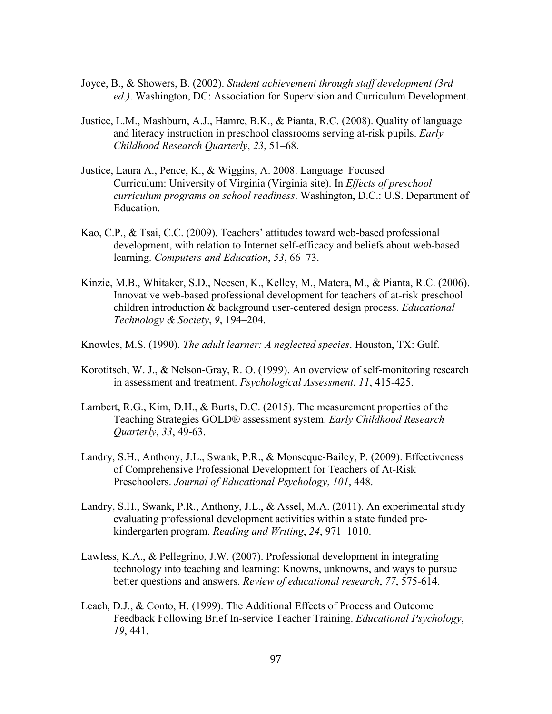- Joyce, B., & Showers, B. (2002). *Student achievement through staff development (3rd ed.)*. Washington, DC: Association for Supervision and Curriculum Development.
- Justice, L.M., Mashburn, A.J., Hamre, B.K., & Pianta, R.C. (2008). Quality of language and literacy instruction in preschool classrooms serving at-risk pupils. *Early Childhood Research Quarterly*, *23*, 51–68.
- Justice, Laura A., Pence, K., & Wiggins, A. 2008. Language–Focused Curriculum: University of Virginia (Virginia site). In *Effects of preschool curriculum programs on school readiness*. Washington, D.C.: U.S. Department of Education.
- Kao, C.P., & Tsai, C.C. (2009). Teachers' attitudes toward web-based professional development, with relation to Internet self-efficacy and beliefs about web-based learning. *Computers and Education*, *53*, 66–73.
- Kinzie, M.B., Whitaker, S.D., Neesen, K., Kelley, M., Matera, M., & Pianta, R.C. (2006). Innovative web-based professional development for teachers of at-risk preschool children introduction & background user-centered design process. *Educational Technology & Society*, *9*, 194–204.
- Knowles, M.S. (1990). *The adult learner: A neglected species*. Houston, TX: Gulf.
- Korotitsch, W. J., & Nelson-Gray, R. O. (1999). An overview of self-monitoring research in assessment and treatment. *Psychological Assessment*, *11*, 415-425.
- Lambert, R.G., Kim, D.H., & Burts, D.C. (2015). The measurement properties of the Teaching Strategies GOLD® assessment system. *Early Childhood Research Quarterly*, *33*, 49-63.
- Landry, S.H., Anthony, J.L., Swank, P.R., & Monseque-Bailey, P. (2009). Effectiveness of Comprehensive Professional Development for Teachers of At-Risk Preschoolers. *Journal of Educational Psychology*, *101*, 448.
- Landry, S.H., Swank, P.R., Anthony, J.L., & Assel, M.A. (2011). An experimental study evaluating professional development activities within a state funded prekindergarten program. *Reading and Writing*, *24*, 971–1010.
- Lawless, K.A., & Pellegrino, J.W. (2007). Professional development in integrating technology into teaching and learning: Knowns, unknowns, and ways to pursue better questions and answers. *Review of educational research*, *77*, 575-614.
- Leach, D.J., & Conto, H. (1999). The Additional Effects of Process and Outcome Feedback Following Brief In-service Teacher Training. *Educational Psychology*, *19*, 441.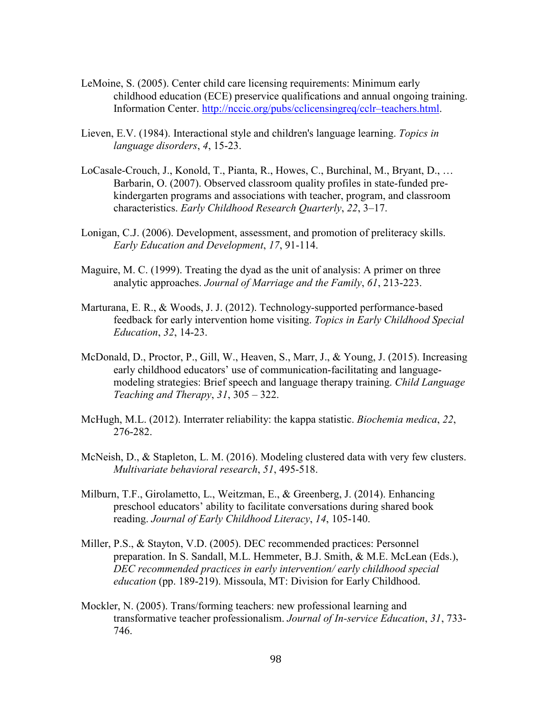- LeMoine, S. (2005). Center child care licensing requirements: Minimum early childhood education (ECE) preservice qualifications and annual ongoing training. Information Center. http://nccic.org/pubs/cclicensingreq/cclr–teachers.html.
- Lieven, E.V. (1984). Interactional style and children's language learning. *Topics in language disorders*, *4*, 15-23.
- LoCasale-Crouch, J., Konold, T., Pianta, R., Howes, C., Burchinal, M., Bryant, D., … Barbarin, O. (2007). Observed classroom quality profiles in state-funded prekindergarten programs and associations with teacher, program, and classroom characteristics. *Early Childhood Research Quarterly*, *22*, 3–17.
- Lonigan, C.J. (2006). Development, assessment, and promotion of preliteracy skills. *Early Education and Development*, *17*, 91-114.
- Maguire, M. C. (1999). Treating the dyad as the unit of analysis: A primer on three analytic approaches. *Journal of Marriage and the Family*, *61*, 213-223.
- Marturana, E. R., & Woods, J. J. (2012). Technology-supported performance-based feedback for early intervention home visiting. *Topics in Early Childhood Special Education*, *32*, 14-23.
- McDonald, D., Proctor, P., Gill, W., Heaven, S., Marr, J., & Young, J. (2015). Increasing early childhood educators' use of communication-facilitating and languagemodeling strategies: Brief speech and language therapy training. *Child Language Teaching and Therapy*, *31*, 305 – 322.
- McHugh, M.L. (2012). Interrater reliability: the kappa statistic. *Biochemia medica*, *22*, 276-282.
- McNeish, D., & Stapleton, L. M. (2016). Modeling clustered data with very few clusters. *Multivariate behavioral research*, *51*, 495-518.
- Milburn, T.F., Girolametto, L., Weitzman, E., & Greenberg, J. (2014). Enhancing preschool educators' ability to facilitate conversations during shared book reading. *Journal of Early Childhood Literacy*, *14*, 105-140.
- Miller, P.S., & Stayton, V.D. (2005). DEC recommended practices: Personnel preparation. In S. Sandall, M.L. Hemmeter, B.J. Smith, & M.E. McLean (Eds.), *DEC recommended practices in early intervention/ early childhood special education* (pp. 189-219). Missoula, MT: Division for Early Childhood.
- Mockler, N. (2005). Trans/forming teachers: new professional learning and transformative teacher professionalism. *Journal of In-service Education*, *31*, 733- 746.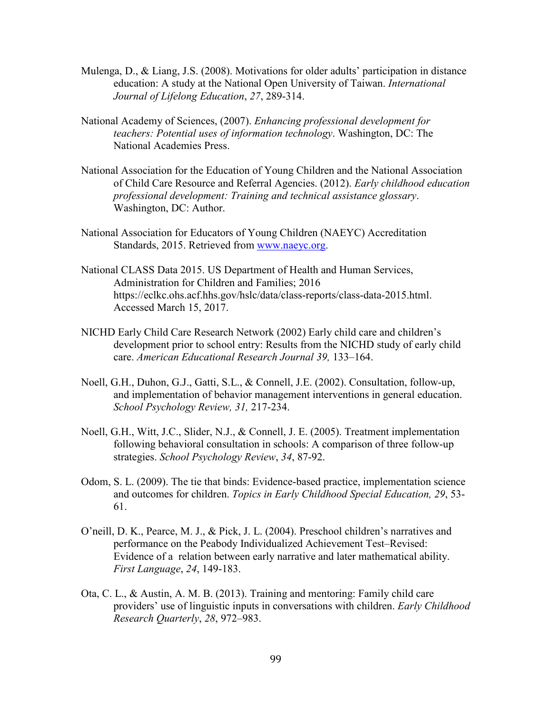- Mulenga, D., & Liang, J.S. (2008). Motivations for older adults' participation in distance education: A study at the National Open University of Taiwan. *International Journal of Lifelong Education*, *27*, 289-314.
- National Academy of Sciences, (2007). *Enhancing professional development for teachers: Potential uses of information technology*. Washington, DC: The National Academies Press.
- National Association for the Education of Young Children and the National Association of Child Care Resource and Referral Agencies. (2012). *Early childhood education professional development: Training and technical assistance glossary*. Washington, DC: Author.
- National Association for Educators of Young Children (NAEYC) Accreditation Standards, 2015. Retrieved from www.naeyc.org.
- National CLASS Data 2015. US Department of Health and Human Services, Administration for Children and Families; 2016 https://eclkc.ohs.acf.hhs.gov/hslc/data/class-reports/class-data-2015.html. Accessed March 15, 2017.
- NICHD Early Child Care Research Network (2002) Early child care and children's development prior to school entry: Results from the NICHD study of early child care. *American Educational Research Journal 39,* 133–164.
- Noell, G.H., Duhon, G.J., Gatti, S.L., & Connell, J.E. (2002). Consultation, follow-up, and implementation of behavior management interventions in general education. *School Psychology Review, 31,* 217-234.
- Noell, G.H., Witt, J.C., Slider, N.J., & Connell, J. E. (2005). Treatment implementation following behavioral consultation in schools: A comparison of three follow-up strategies. *School Psychology Review*, *34*, 87-92.
- Odom, S. L. (2009). The tie that binds: Evidence-based practice, implementation science and outcomes for children. *Topics in Early Childhood Special Education, 29*, 53- 61.
- O'neill, D. K., Pearce, M. J., & Pick, J. L. (2004). Preschool children's narratives and performance on the Peabody Individualized Achievement Test–Revised: Evidence of a relation between early narrative and later mathematical ability. *First Language*, *24*, 149-183.
- Ota, C. L., & Austin, A. M. B. (2013). Training and mentoring: Family child care providers' use of linguistic inputs in conversations with children. *Early Childhood Research Quarterly*, *28*, 972–983.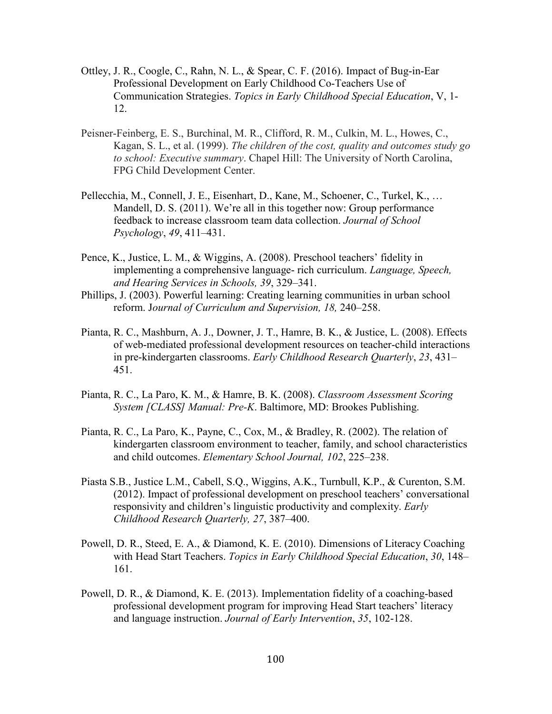- Ottley, J. R., Coogle, C., Rahn, N. L., & Spear, C. F. (2016). Impact of Bug-in-Ear Professional Development on Early Childhood Co-Teachers Use of Communication Strategies. *Topics in Early Childhood Special Education*, V, 1- 12.
- Peisner-Feinberg, E. S., Burchinal, M. R., Clifford, R. M., Culkin, M. L., Howes, C., Kagan, S. L., et al. (1999). *The children of the cost, quality and outcomes study go to school: Executive summary*. Chapel Hill: The University of North Carolina, FPG Child Development Center.
- Pellecchia, M., Connell, J. E., Eisenhart, D., Kane, M., Schoener, C., Turkel, K., … Mandell, D. S. (2011). We're all in this together now: Group performance feedback to increase classroom team data collection. *Journal of School Psychology*, *49*, 411–431.
- Pence, K., Justice, L. M., & Wiggins, A. (2008). Preschool teachers' fidelity in implementing a comprehensive language- rich curriculum. *Language, Speech, and Hearing Services in Schools, 39*, 329–341.
- Phillips, J. (2003). Powerful learning: Creating learning communities in urban school reform. J*ournal of Curriculum and Supervision, 18,* 240–258.
- Pianta, R. C., Mashburn, A. J., Downer, J. T., Hamre, B. K., & Justice, L. (2008). Effects of web-mediated professional development resources on teacher-child interactions in pre-kindergarten classrooms. *Early Childhood Research Quarterly*, *23*, 431– 451.
- Pianta, R. C., La Paro, K. M., & Hamre, B. K. (2008). *Classroom Assessment Scoring System [CLASS] Manual: Pre-K*. Baltimore, MD: Brookes Publishing.
- Pianta, R. C., La Paro, K., Payne, C., Cox, M., & Bradley, R. (2002). The relation of kindergarten classroom environment to teacher, family, and school characteristics and child outcomes. *Elementary School Journal, 102*, 225–238.
- Piasta S.B., Justice L.M., Cabell, S.Q., Wiggins, A.K., Turnbull, K.P., & Curenton, S.M. (2012). Impact of professional development on preschool teachers' conversational responsivity and children's linguistic productivity and complexity. *Early Childhood Research Quarterly, 27*, 387–400.
- Powell, D. R., Steed, E. A., & Diamond, K. E. (2010). Dimensions of Literacy Coaching with Head Start Teachers. *Topics in Early Childhood Special Education*, *30*, 148– 161.
- Powell, D. R., & Diamond, K. E. (2013). Implementation fidelity of a coaching-based professional development program for improving Head Start teachers' literacy and language instruction. *Journal of Early Intervention*, *35*, 102-128.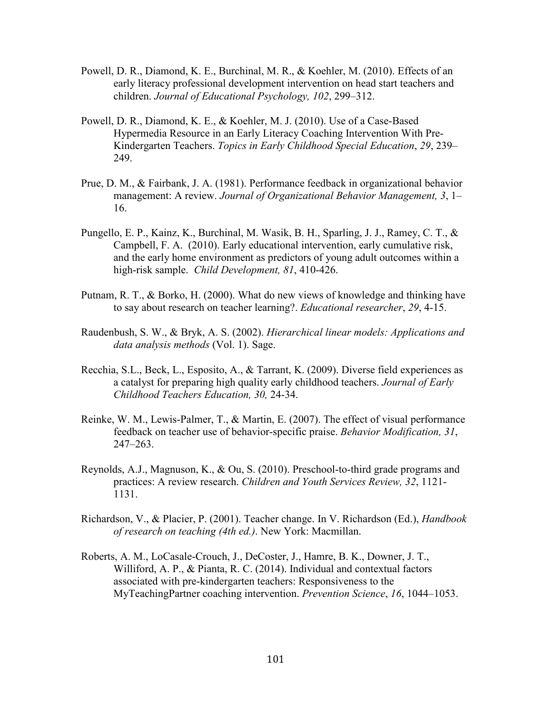- Powell, D. R., Diamond, K. E., Burchinal, M. R., & Koehler, M. (2010). Effects of an early literacy professional development intervention on head start teachers and children. *Journal of Educational Psychology, 102*, 299–312.
- Powell, D. R., Diamond, K. E., & Koehler, M. J. (2010). Use of a Case-Based Hypermedia Resource in an Early Literacy Coaching Intervention With Pre- Kindergarten Teachers. *Topics in Early Childhood Special Education*, *29*, 239– 249.
- Prue, D. M., & Fairbank, J. A. (1981). Performance feedback in organizational behavior management: A review. *Journal of Organizational Behavior Management, 3*, 1– 16.
- Pungello, E. P., Kainz, K., Burchinal, M. Wasik, B. H., Sparling, J. J., Ramey, C. T., & Campbell, F. A. (2010). Early educational intervention, early cumulative risk, and the early home environment as predictors of young adult outcomes within a high-risk sample. *Child Development, 81*, 410-426.
- Putnam, R. T., & Borko, H. (2000). What do new views of knowledge and thinking have to say about research on teacher learning?. *Educational researcher*, *29*, 4-15.
- Raudenbush, S. W., & Bryk, A. S. (2002). *Hierarchical linear models: Applications and data analysis methods* (Vol. 1). Sage.
- Recchia, S.L., Beck, L., Esposito, A., & Tarrant, K. (2009). Diverse field experiences as a catalyst for preparing high quality early childhood teachers. *Journal of Early Childhood Teachers Education, 30,* 24-34.
- Reinke, W. M., Lewis-Palmer, T., & Martin, E. (2007). The effect of visual performance feedback on teacher use of behavior-specific praise. *Behavior Modification, 31*, 247–263.
- Reynolds, A.J., Magnuson, K., & Ou, S. (2010). Preschool-to-third grade programs and practices: A review research. *Children and Youth Services Review, 32*, 1121- 1131.
- Richardson, V., & Placier, P. (2001). Teacher change. In V. Richardson (Ed.), *Handbook of research on teaching (4th ed.)*. New York: Macmillan.
- Roberts, A. M., LoCasale-Crouch, J., DeCoster, J., Hamre, B. K., Downer, J. T., Williford, A. P., & Pianta, R. C. (2014). Individual and contextual factors associated with pre-kindergarten teachers: Responsiveness to the MyTeachingPartner coaching intervention. *Prevention Science*, *16*, 1044–1053.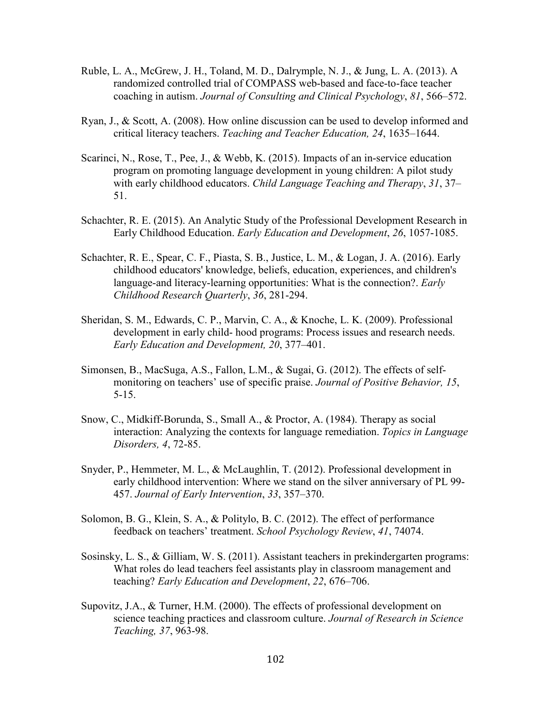- Ruble, L. A., McGrew, J. H., Toland, M. D., Dalrymple, N. J., & Jung, L. A. (2013). A randomized controlled trial of COMPASS web-based and face-to-face teacher coaching in autism. *Journal of Consulting and Clinical Psychology*, *81*, 566–572.
- Ryan, J., & Scott, A. (2008). How online discussion can be used to develop informed and critical literacy teachers. *Teaching and Teacher Education, 24*, 1635–1644.
- Scarinci, N., Rose, T., Pee, J., & Webb, K. (2015). Impacts of an in-service education program on promoting language development in young children: A pilot study with early childhood educators. *Child Language Teaching and Therapy*, *31*, 37– 51.
- Schachter, R. E. (2015). An Analytic Study of the Professional Development Research in Early Childhood Education. *Early Education and Development*, *26*, 1057-1085.
- Schachter, R. E., Spear, C. F., Piasta, S. B., Justice, L. M., & Logan, J. A. (2016). Early childhood educators' knowledge, beliefs, education, experiences, and children's language-and literacy-learning opportunities: What is the connection?. *Early Childhood Research Quarterly*, *36*, 281-294.
- Sheridan, S. M., Edwards, C. P., Marvin, C. A., & Knoche, L. K. (2009). Professional development in early child- hood programs: Process issues and research needs. *Early Education and Development, 20*, 377–401.
- Simonsen, B., MacSuga, A.S., Fallon, L.M., & Sugai, G. (2012). The effects of selfmonitoring on teachers' use of specific praise. *Journal of Positive Behavior, 15*, 5-15.
- Snow, C., Midkiff-Borunda, S., Small A., & Proctor, A. (1984). Therapy as social interaction: Analyzing the contexts for language remediation. *Topics in Language Disorders, 4*, 72-85.
- Snyder, P., Hemmeter, M. L., & McLaughlin, T. (2012). Professional development in early childhood intervention: Where we stand on the silver anniversary of PL 99- 457. *Journal of Early Intervention*, *33*, 357–370.
- Solomon, B. G., Klein, S. A., & Politylo, B. C. (2012). The effect of performance feedback on teachers' treatment. *School Psychology Review*, *41*, 74074.
- Sosinsky, L. S., & Gilliam, W. S. (2011). Assistant teachers in prekindergarten programs: What roles do lead teachers feel assistants play in classroom management and teaching? *Early Education and Development*, *22*, 676–706.
- Supovitz, J.A., & Turner, H.M. (2000). The effects of professional development on science teaching practices and classroom culture. *Journal of Research in Science Teaching, 37*, 963-98.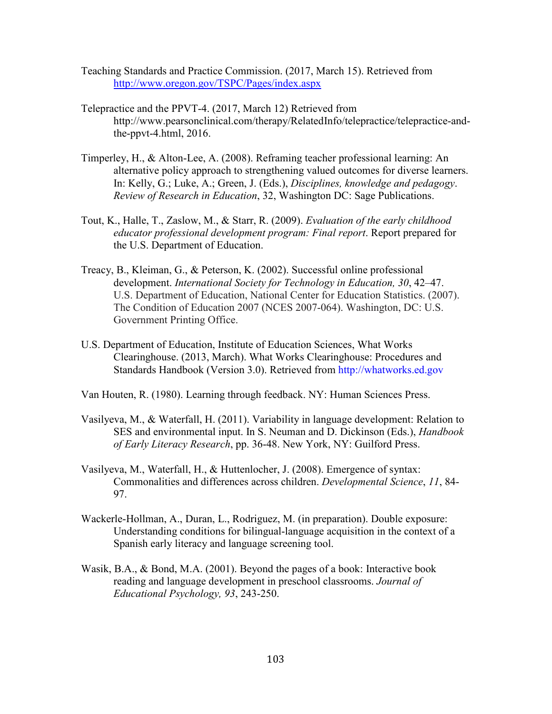Teaching Standards and Practice Commission. (2017, March 15). Retrieved from http://www.oregon.gov/TSPC/Pages/index.aspx

- Telepractice and the PPVT-4. (2017, March 12) Retrieved from http://www.pearsonclinical.com/therapy/RelatedInfo/telepractice/telepractice-andthe-ppvt-4.html, 2016.
- Timperley, H., & Alton-Lee, A. (2008). Reframing teacher professional learning: An alternative policy approach to strengthening valued outcomes for diverse learners. In: Kelly, G.; Luke, A.; Green, J. (Eds.), *Disciplines, knowledge and pedagogy*. *Review of Research in Education*, 32, Washington DC: Sage Publications.
- Tout, K., Halle, T., Zaslow, M., & Starr, R. (2009). *Evaluation of the early childhood educator professional development program: Final report*. Report prepared for the U.S. Department of Education.
- Treacy, B., Kleiman, G., & Peterson, K. (2002). Successful online professional development. *International Society for Technology in Education, 30*, 42–47. U.S. Department of Education, National Center for Education Statistics. (2007). The Condition of Education 2007 (NCES 2007-064). Washington, DC: U.S. Government Printing Office.
- U.S. Department of Education, Institute of Education Sciences, What Works Clearinghouse. (2013, March). What Works Clearinghouse: Procedures and Standards Handbook (Version 3.0). Retrieved from http://whatworks.ed.gov

Van Houten, R. (1980). Learning through feedback. NY: Human Sciences Press.

- Vasilyeva, M., & Waterfall, H. (2011). Variability in language development: Relation to SES and environmental input. In S. Neuman and D. Dickinson (Eds.), *Handbook of Early Literacy Research*, pp. 36-48. New York, NY: Guilford Press.
- Vasilyeva, M., Waterfall, H., & Huttenlocher, J. (2008). Emergence of syntax: Commonalities and differences across children. *Developmental Science*, *11*, 84- 97.
- Wackerle-Hollman, A., Duran, L., Rodriguez, M. (in preparation). Double exposure: Understanding conditions for bilingual-language acquisition in the context of a Spanish early literacy and language screening tool.
- Wasik, B.A., & Bond, M.A. (2001). Beyond the pages of a book: Interactive book reading and language development in preschool classrooms. *Journal of Educational Psychology, 93*, 243-250.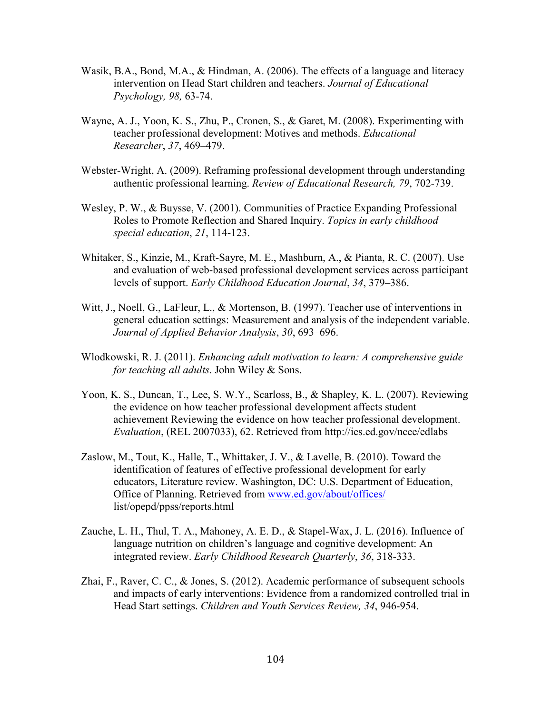- Wasik, B.A., Bond, M.A., & Hindman, A. (2006). The effects of a language and literacy intervention on Head Start children and teachers. *Journal of Educational Psychology, 98,* 63-74.
- Wayne, A. J., Yoon, K. S., Zhu, P., Cronen, S., & Garet, M. (2008). Experimenting with teacher professional development: Motives and methods. *Educational Researcher*, *37*, 469–479.
- Webster-Wright, A. (2009). Reframing professional development through understanding authentic professional learning. *Review of Educational Research, 79*, 702-739.
- Wesley, P. W., & Buysse, V. (2001). Communities of Practice Expanding Professional Roles to Promote Reflection and Shared Inquiry. *Topics in early childhood special education*, *21*, 114-123.
- Whitaker, S., Kinzie, M., Kraft-Sayre, M. E., Mashburn, A., & Pianta, R. C. (2007). Use and evaluation of web-based professional development services across participant levels of support. *Early Childhood Education Journal*, *34*, 379–386.
- Witt, J., Noell, G., LaFleur, L., & Mortenson, B. (1997). Teacher use of interventions in general education settings: Measurement and analysis of the independent variable. *Journal of Applied Behavior Analysis*, *30*, 693–696.
- Wlodkowski, R. J. (2011). *Enhancing adult motivation to learn: A comprehensive guide for teaching all adults*. John Wiley & Sons.
- Yoon, K. S., Duncan, T., Lee, S. W.Y., Scarloss, B., & Shapley, K. L. (2007). Reviewing the evidence on how teacher professional development affects student achievement Reviewing the evidence on how teacher professional development. *Evaluation*, (REL 2007033), 62. Retrieved from http://ies.ed.gov/ncee/edlabs
- Zaslow, M., Tout, K., Halle, T., Whittaker, J. V., & Lavelle, B. (2010). Toward the identification of features of effective professional development for early educators, Literature review. Washington, DC: U.S. Department of Education, Office of Planning. Retrieved from www.ed.gov/about/offices/ list/opepd/ppss/reports.html
- Zauche, L. H., Thul, T. A., Mahoney, A. E. D., & Stapel-Wax, J. L. (2016). Influence of language nutrition on children's language and cognitive development: An integrated review. *Early Childhood Research Quarterly*, *36*, 318-333.
- Zhai, F., Raver, C. C., & Jones, S. (2012). Academic performance of subsequent schools and impacts of early interventions: Evidence from a randomized controlled trial in Head Start settings. *Children and Youth Services Review, 34*, 946-954.